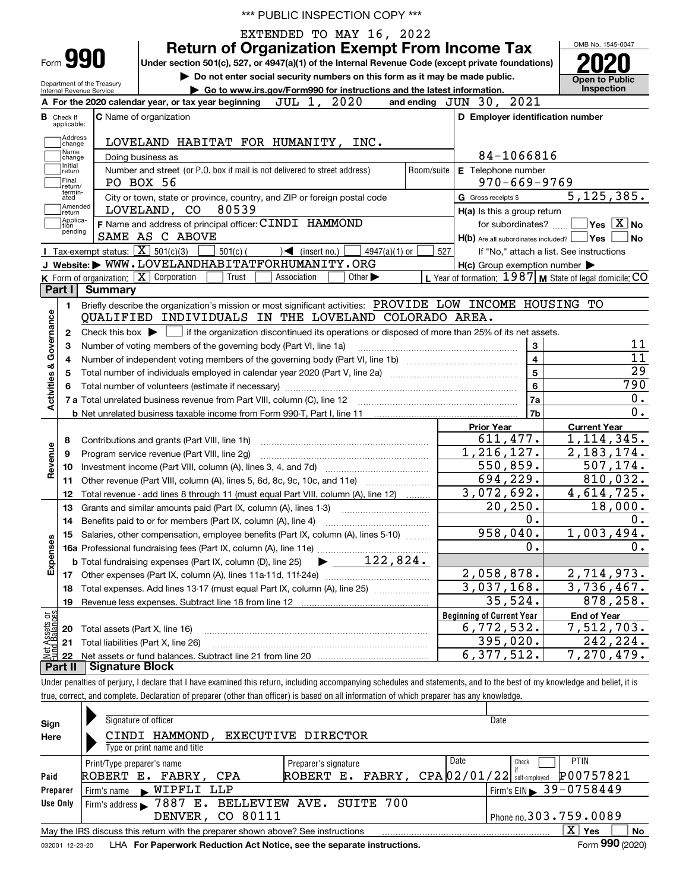|  |  |  | *** PUBLIC INSPECTION COPY *** |  |
|--|--|--|--------------------------------|--|
|--|--|--|--------------------------------|--|

 EXTENDED TO MAY 16, 2022 OMB No. 1545-0047 **Return of Organization Exempt From Income Tax 990Under section 501(c), 527, or 4947(a)(1) of the Internal Revenue Code (except private foundations) 2020** Form**| Do not enter social security numbers on this form as it may be made public. Open to Public**  Department of the Treasury **| Go to www.irs.gov/Form990 for instructions and the latest information. Inspection** Internal Revenue Service and ending  $JUN$  30, 2021 For the 2020 calendar year, or tax year beginning **JUL 1**, 2020 **AC** Name of organization **C D Employer identification number B**Check if applicable:**Address**<br>Change LOVELAND HABITAT FOR HUMANITY, INC. Name<br>Change 84-1066816 Doing business as Initial<br>
return **E** Telephone number Number and street (or P.O. box if mail is not delivered to street address)  $\qquad \qquad \mid$  Room/suite  $\mid$  E Telephone number PO BOX 56 970-669-9769 Final return/ termin-atedG Gross receipts \$ 5,125,385.  $\overline{e}$  City or town, state or province, country, and ZIP or foreign postal code  $\overline{G}$  Gross receipts \$ **communisment**<br> **return** LOVELAND, CO 80539 **H(a)** Is this a group return Applica-tion pending **F** Applica- **F** Name and address of principal officer: CINDI HAMMOND **The SET 10** for subordinates?  $\frac{1}{\sqrt{2}}$  **Yes** X No SAME AS C ABOVE ded? Yes **I No** H(b) Are all subordinates included? Tax-exempt status:  $\boxed{\mathbf{X}}$  501(c)(3)  $\boxed{\phantom{0}}$  501(c)(  $\phantom{0}$  )  $\blacktriangleleft$  (insert no.)  $\boxed{\phantom{0}}$  4947(a)(1) or  $\boxed{\phantom{0}}$ 501(c) (301(c)  $\left(327\right)$  (insert no.)  $\left(3947(a)(1) \text{ or } 527\right)$ If "No," attach a list. See instructions **JWebsite: |** WWW.LOVELANDHABITATFORHUMANITY.ORG **H(c)** Group exemption number Form of organization:  $\boxed{\textbf{X}}$  Corporation  $\boxed{\phantom{\textbf{X}}\phantom{\textbf{X}}}$  Trust  $\boxed{\phantom{\textbf{X}}\phantom{\textbf{X}}}$  Association  $\boxed{\phantom{\textbf{X}}\phantom{\textbf{X}}}$  Other  $\blacktriangleright\phantom{\textbf{X}}\phantom{\textbf{X}}\mathbf{X}$  of formation:  $1987$  **M** State of legal domicile: **K** Form of organization:  $\boxed{\mathbf{X}}$  Corporation  $\boxed{\phantom{a}}$  Trust  $\boxed{\phantom{a}}$  Association **LPart I Summary** Briefly describe the organization's mission or most significant activities:  $\,$  PROVIDE  $\,$  LOW  $\,$  INCOME  $\,$  HOUSING  $\,$  TO **1Activities & Governance Activities & Governance** QUALIFIED INDIVIDUALS IN THE LOVELAND COLORADO AREA. Check this box  $\blacktriangleright$  if the organization discontinued its operations or disposed of more than 25% of its net assets. **2**Check this box  $\blacktriangleright$ 11 Number of voting members of the governing body (Part VI, line 1a) **33**11 **4**Number of independent voting members of the governing body (Part VI, line 1b) www.community.community.com **4**29 Total number of individuals employed in calendar year 2020 (Part V, line 2a) **55**790 **66**Total number of volunteers (estimate if necessary) …………………………………………………………………………… 0. ~~~~~~~~~~~~~~~~~~~~**7a7a**Total unrelated business revenue from Part VIII, column (C), line 12 **7b**0. **b** Net unrelated business taxable income from Form 990-T, Part I, line 11 **Prior Year Current Year** 611,477. 1,114,345. Contributions and grants (Part VIII, line 1h) **8**Revenue **Revenue** 1,216,127. 2,183,174. Program service revenue (Part VIII, line 2g) ~~~~~~~~~~~~~~~~~~~~~ **9**550,859. 507,174. **10**Investment income (Part VIII, column (A), lines 3, 4, and 7d) ~~~~~~~~~~~~~ **11**Other revenue (Part VIII, column (A), lines 5, 6d, 8c, 9c, 10c, and 11e)  $\ldots$ 694,229. 810,032.  $3,072,692.$  4,614,725. Total revenue - add lines 8 through 11 (must equal Part VIII, column (A), line 12) ......... **12**20,250. 18,000. **13**Grants and similar amounts paid (Part IX, column (A), lines 1-3) …………………………… 0.  $0$  . Benefits paid to or for members (Part IX, column (A), line 4) **14**958,040. 1,003,494. **15**Salaries, other compensation, employee benefits (Part IX, column (A), lines 5-10)  $\,$  , , , , , , , **Expenses** 0.  $0.$ **16a**Professional fundraising fees (Part IX, column (A), line 11e) ~~~~~~~~~~~~~~ | 122,824. **b**Total fundraising expenses (Part IX, column (D), line 25) 2,058,878. 2,714,973. **17**Other expenses (Part IX, column (A), lines 11a-11d, 11f-24e) ………………………………… 3,037,168. 3,736,467. **18**Total expenses. Add lines 13-17 (must equal Part IX, column (A), line 25)  $\quad \ldots \ldots \ldots \ldots \ldots \ldots \ldots$ 35,524. 878,258. **19**Revenue less expenses. Subtract line 18 from line 12 **Beginning of Current Year** vet Assets or<br>und Balances **End of Year** Total assets (Part X, line 16) 6,772,532. 7,512,703. **20**395,020. 242,224. **21**Total liabilities (Part X, line 26) **22**Net assets or fund balances. Subtract line 21 from line 20 6,377,512. 7,270,479. **Part II Signature Block**

Under penalties of perjury, I declare that I have examined this return, including accompanying schedules and statements, and to the best of my knowledge and belief, it is true, correct, and complete. Declaration of preparer (other than officer) is based on all information of which preparer has any knowledge.

| Sign            | Signature of officer                                                                                     |                                               |  |      | Date                  |                 |  |  |  |  |  |
|-----------------|----------------------------------------------------------------------------------------------------------|-----------------------------------------------|--|------|-----------------------|-----------------|--|--|--|--|--|
| Here            | HAMMOND,<br>CINDI                                                                                        | EXECUTIVE DIRECTOR                            |  |      |                       |                 |  |  |  |  |  |
|                 | Type or print name and title                                                                             |                                               |  |      |                       |                 |  |  |  |  |  |
|                 | Print/Type preparer's name                                                                               | Preparer's signature                          |  | Date | Check                 | <b>PTIN</b>     |  |  |  |  |  |
| Paid            | ROBERT E. FABRY, CPA                                                                                     | ROBERT E. FABRY, CPA $02/01/22$ self-employed |  |      |                       | P00757821       |  |  |  |  |  |
| Preparer        | Firm's name WIPFLI LLP                                                                                   |                                               |  |      | Firm's EIN 39-0758449 |                 |  |  |  |  |  |
| Use Only        | Firm's address > 7887 E. BELLEVIEW AVE. SUITE 700                                                        |                                               |  |      |                       |                 |  |  |  |  |  |
|                 | Phone no. 303.759.0089<br>DENVER, CO 80111                                                               |                                               |  |      |                       |                 |  |  |  |  |  |
|                 | x<br><b>No</b><br>Yes<br>May the IRS discuss this return with the preparer shown above? See instructions |                                               |  |      |                       |                 |  |  |  |  |  |
| 032001 12-23-20 | LHA For Paperwork Reduction Act Notice, see the separate instructions.                                   |                                               |  |      |                       | Form 990 (2020) |  |  |  |  |  |

202) **Porm** ອອບ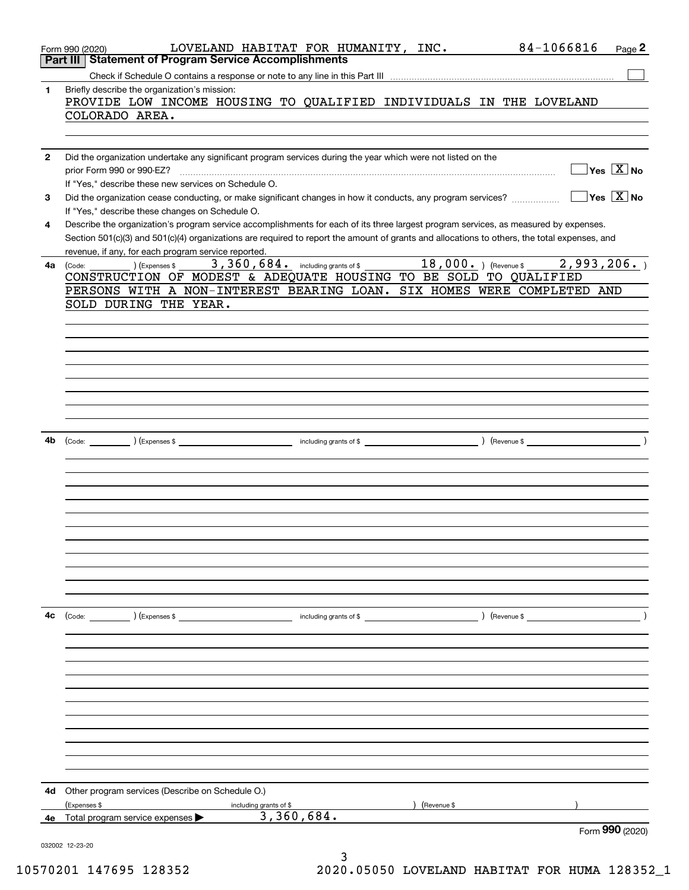|              | 84-1066816<br>LOVELAND HABITAT FOR HUMANITY, INC.<br>Page 2<br>Form 990 (2020)<br>Part III   Statement of Program Service Accomplishments                                                                                                                                                                                                                                                      |
|--------------|------------------------------------------------------------------------------------------------------------------------------------------------------------------------------------------------------------------------------------------------------------------------------------------------------------------------------------------------------------------------------------------------|
|              |                                                                                                                                                                                                                                                                                                                                                                                                |
| 1.           | Briefly describe the organization's mission:<br>PROVIDE LOW INCOME HOUSING TO QUALIFIED INDIVIDUALS IN THE LOVELAND                                                                                                                                                                                                                                                                            |
|              | COLORADO AREA.                                                                                                                                                                                                                                                                                                                                                                                 |
| $\mathbf{2}$ | Did the organization undertake any significant program services during the year which were not listed on the<br>$Yes \ \boxed{X}$ No<br>prior Form 990 or 990-EZ?<br>If "Yes," describe these new services on Schedule O.                                                                                                                                                                      |
| 3            | $Yes \ \boxed{X}$ No<br>Did the organization cease conducting, or make significant changes in how it conducts, any program services?                                                                                                                                                                                                                                                           |
| 4            | If "Yes," describe these changes on Schedule O.<br>Describe the organization's program service accomplishments for each of its three largest program services, as measured by expenses.<br>Section 501(c)(3) and 501(c)(4) organizations are required to report the amount of grants and allocations to others, the total expenses, and<br>revenue, if any, for each program service reported. |
| 4a l         | 3,360,684. including grants of \$ 18,000. ) (Revenue \$<br>2,993,206.<br>) (Expenses \$<br>(Code:<br>CONSTRUCTION OF MODEST & ADEQUATE HOUSING TO BE SOLD TO QUALIFIED                                                                                                                                                                                                                         |
|              | PERSONS WITH A NON-INTEREST BEARING LOAN. SIX HOMES WERE COMPLETED AND                                                                                                                                                                                                                                                                                                                         |
|              | SOLD DURING THE YEAR.                                                                                                                                                                                                                                                                                                                                                                          |
|              |                                                                                                                                                                                                                                                                                                                                                                                                |
|              |                                                                                                                                                                                                                                                                                                                                                                                                |
|              |                                                                                                                                                                                                                                                                                                                                                                                                |
|              |                                                                                                                                                                                                                                                                                                                                                                                                |
|              |                                                                                                                                                                                                                                                                                                                                                                                                |
| 4b.          |                                                                                                                                                                                                                                                                                                                                                                                                |
|              |                                                                                                                                                                                                                                                                                                                                                                                                |
|              |                                                                                                                                                                                                                                                                                                                                                                                                |
|              |                                                                                                                                                                                                                                                                                                                                                                                                |
|              |                                                                                                                                                                                                                                                                                                                                                                                                |
|              |                                                                                                                                                                                                                                                                                                                                                                                                |
|              |                                                                                                                                                                                                                                                                                                                                                                                                |
|              |                                                                                                                                                                                                                                                                                                                                                                                                |
|              |                                                                                                                                                                                                                                                                                                                                                                                                |
| 4с           |                                                                                                                                                                                                                                                                                                                                                                                                |
|              |                                                                                                                                                                                                                                                                                                                                                                                                |
|              |                                                                                                                                                                                                                                                                                                                                                                                                |
|              |                                                                                                                                                                                                                                                                                                                                                                                                |
|              |                                                                                                                                                                                                                                                                                                                                                                                                |
|              |                                                                                                                                                                                                                                                                                                                                                                                                |
|              |                                                                                                                                                                                                                                                                                                                                                                                                |
|              |                                                                                                                                                                                                                                                                                                                                                                                                |
|              |                                                                                                                                                                                                                                                                                                                                                                                                |
| 4d           | Other program services (Describe on Schedule O.)                                                                                                                                                                                                                                                                                                                                               |
|              | (Expenses \$<br>(Revenue \$<br>including grants of \$                                                                                                                                                                                                                                                                                                                                          |
| 4е           | 3,360,684.<br>Total program service expenses<br>Form 990 (2020)                                                                                                                                                                                                                                                                                                                                |
|              | 032002 12-23-20                                                                                                                                                                                                                                                                                                                                                                                |
|              |                                                                                                                                                                                                                                                                                                                                                                                                |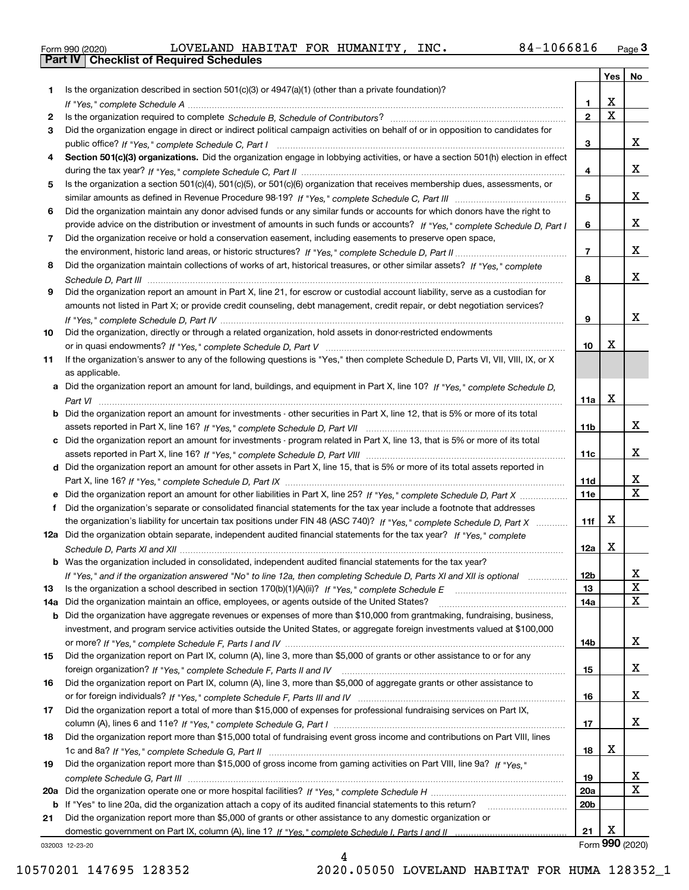|  | Form 990 (2020) |
|--|-----------------|

|     |                                                                                                                                                    |                 | Yes                     | No                      |
|-----|----------------------------------------------------------------------------------------------------------------------------------------------------|-----------------|-------------------------|-------------------------|
| 1   | Is the organization described in section $501(c)(3)$ or $4947(a)(1)$ (other than a private foundation)?                                            |                 |                         |                         |
|     |                                                                                                                                                    | 1.              | X                       |                         |
| 2   |                                                                                                                                                    | $\overline{2}$  | $\overline{\mathbf{x}}$ |                         |
| 3   | Did the organization engage in direct or indirect political campaign activities on behalf of or in opposition to candidates for                    |                 |                         |                         |
|     |                                                                                                                                                    | 3               |                         | x                       |
| 4   | Section 501(c)(3) organizations. Did the organization engage in lobbying activities, or have a section 501(h) election in effect                   |                 |                         |                         |
|     |                                                                                                                                                    | 4               |                         | x                       |
| 5   | Is the organization a section 501(c)(4), 501(c)(5), or 501(c)(6) organization that receives membership dues, assessments, or                       |                 |                         |                         |
|     |                                                                                                                                                    | 5               |                         | x                       |
| 6   | Did the organization maintain any donor advised funds or any similar funds or accounts for which donors have the right to                          |                 |                         |                         |
|     | provide advice on the distribution or investment of amounts in such funds or accounts? If "Yes," complete Schedule D, Part I                       | 6               |                         | x                       |
| 7   | Did the organization receive or hold a conservation easement, including easements to preserve open space,                                          |                 |                         |                         |
|     |                                                                                                                                                    | $\overline{7}$  |                         | x                       |
| 8   | Did the organization maintain collections of works of art, historical treasures, or other similar assets? If "Yes," complete                       |                 |                         | х                       |
|     |                                                                                                                                                    | 8               |                         |                         |
| 9   | Did the organization report an amount in Part X, line 21, for escrow or custodial account liability, serve as a custodian for                      |                 |                         |                         |
|     | amounts not listed in Part X; or provide credit counseling, debt management, credit repair, or debt negotiation services?                          |                 |                         | x                       |
|     |                                                                                                                                                    | 9               |                         |                         |
| 10  | Did the organization, directly or through a related organization, hold assets in donor-restricted endowments                                       | 10              | Х                       |                         |
| 11  |                                                                                                                                                    |                 |                         |                         |
|     | If the organization's answer to any of the following questions is "Yes," then complete Schedule D, Parts VI, VII, VIII, IX, or X<br>as applicable. |                 |                         |                         |
|     | a Did the organization report an amount for land, buildings, and equipment in Part X, line 10? If "Yes," complete Schedule D,                      |                 |                         |                         |
|     |                                                                                                                                                    | 11a             | X                       |                         |
|     | Did the organization report an amount for investments - other securities in Part X, line 12, that is 5% or more of its total                       |                 |                         |                         |
|     |                                                                                                                                                    | 11 <sub>b</sub> |                         | x                       |
|     | Did the organization report an amount for investments - program related in Part X, line 13, that is 5% or more of its total                        |                 |                         |                         |
|     |                                                                                                                                                    | 11c             |                         | x                       |
| d   | Did the organization report an amount for other assets in Part X, line 15, that is 5% or more of its total assets reported in                      |                 |                         |                         |
|     |                                                                                                                                                    | 11d             |                         | х                       |
|     | Did the organization report an amount for other liabilities in Part X, line 25? If "Yes," complete Schedule D, Part X                              | 11e             |                         | $\overline{\mathbf{x}}$ |
|     | Did the organization's separate or consolidated financial statements for the tax year include a footnote that addresses                            |                 |                         |                         |
|     | the organization's liability for uncertain tax positions under FIN 48 (ASC 740)? If "Yes," complete Schedule D, Part X                             | 11f             | X                       |                         |
|     | 12a Did the organization obtain separate, independent audited financial statements for the tax year? If "Yes," complete                            |                 |                         |                         |
|     |                                                                                                                                                    | 12a             | X                       |                         |
|     | <b>b</b> Was the organization included in consolidated, independent audited financial statements for the tax year?                                 |                 |                         |                         |
|     | If "Yes," and if the organization answered "No" to line 12a, then completing Schedule D, Parts XI and XII is optional                              | 12b             |                         | ᅀ                       |
| 13  |                                                                                                                                                    | 13              |                         | $\mathbf X$             |
| 14a | Did the organization maintain an office, employees, or agents outside of the United States?                                                        | 14a             |                         | X                       |
| b   | Did the organization have aggregate revenues or expenses of more than \$10,000 from grantmaking, fundraising, business,                            |                 |                         |                         |
|     | investment, and program service activities outside the United States, or aggregate foreign investments valued at \$100,000                         |                 |                         |                         |
|     |                                                                                                                                                    | 14b             |                         | x                       |
| 15  | Did the organization report on Part IX, column (A), line 3, more than \$5,000 of grants or other assistance to or for any                          |                 |                         |                         |
|     |                                                                                                                                                    | 15              |                         | x                       |
| 16  | Did the organization report on Part IX, column (A), line 3, more than \$5,000 of aggregate grants or other assistance to                           |                 |                         |                         |
|     |                                                                                                                                                    | 16              |                         | x                       |
| 17  | Did the organization report a total of more than \$15,000 of expenses for professional fundraising services on Part IX,                            |                 |                         |                         |
|     |                                                                                                                                                    | 17              |                         | x                       |
| 18  | Did the organization report more than \$15,000 total of fundraising event gross income and contributions on Part VIII, lines                       |                 |                         |                         |
|     |                                                                                                                                                    | 18              | х                       |                         |
| 19  | Did the organization report more than \$15,000 of gross income from gaming activities on Part VIII, line 9a? If "Yes."                             |                 |                         |                         |
|     |                                                                                                                                                    | 19              |                         | x                       |
| 20a |                                                                                                                                                    | 20a             |                         | X                       |
| b   | If "Yes" to line 20a, did the organization attach a copy of its audited financial statements to this return?                                       | 20 <sub>b</sub> |                         |                         |
| 21  | Did the organization report more than \$5,000 of grants or other assistance to any domestic organization or                                        |                 |                         |                         |
|     |                                                                                                                                                    | 21              | х                       |                         |
|     | 032003 12-23-20                                                                                                                                    |                 |                         | Form 990 (2020)         |

4

032003 12-23-20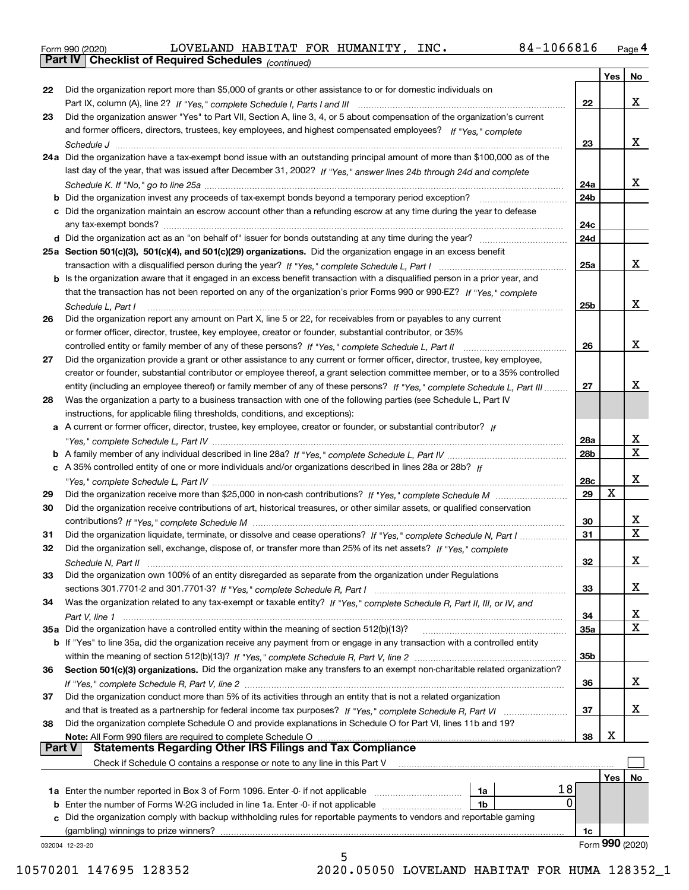|  | Form 990 (2020) |
|--|-----------------|
|  |                 |

*(continued)*

|               |                                                                                                                                   |     | Yes | No                      |
|---------------|-----------------------------------------------------------------------------------------------------------------------------------|-----|-----|-------------------------|
| 22            | Did the organization report more than \$5,000 of grants or other assistance to or for domestic individuals on                     |     |     |                         |
|               |                                                                                                                                   | 22  |     | x                       |
| 23            | Did the organization answer "Yes" to Part VII, Section A, line 3, 4, or 5 about compensation of the organization's current        |     |     |                         |
|               | and former officers, directors, trustees, key employees, and highest compensated employees? If "Yes," complete                    |     |     |                         |
|               |                                                                                                                                   | 23  |     | X.                      |
|               | 24a Did the organization have a tax-exempt bond issue with an outstanding principal amount of more than \$100,000 as of the       |     |     |                         |
|               | last day of the year, that was issued after December 31, 2002? If "Yes," answer lines 24b through 24d and complete                |     |     |                         |
|               |                                                                                                                                   | 24a |     | X.                      |
|               | b Did the organization invest any proceeds of tax-exempt bonds beyond a temporary period exception?                               | 24b |     |                         |
|               | c Did the organization maintain an escrow account other than a refunding escrow at any time during the year to defease            |     |     |                         |
|               | any tax-exempt bonds?                                                                                                             | 24c |     |                         |
|               |                                                                                                                                   | 24d |     |                         |
|               |                                                                                                                                   |     |     |                         |
|               | 25a Section 501(c)(3), 501(c)(4), and 501(c)(29) organizations. Did the organization engage in an excess benefit                  |     |     |                         |
|               |                                                                                                                                   | 25a |     | X.                      |
|               | b Is the organization aware that it engaged in an excess benefit transaction with a disqualified person in a prior year, and      |     |     |                         |
|               | that the transaction has not been reported on any of the organization's prior Forms 990 or 990-EZ? If "Yes." complete             |     |     |                         |
|               | Schedule L, Part I                                                                                                                | 25b |     | X.                      |
| 26            | Did the organization report any amount on Part X, line 5 or 22, for receivables from or payables to any current                   |     |     |                         |
|               | or former officer, director, trustee, key employee, creator or founder, substantial contributor, or 35%                           |     |     |                         |
|               |                                                                                                                                   | 26  |     | x                       |
| 27            | Did the organization provide a grant or other assistance to any current or former officer, director, trustee, key employee,       |     |     |                         |
|               | creator or founder, substantial contributor or employee thereof, a grant selection committee member, or to a 35% controlled       |     |     |                         |
|               | entity (including an employee thereof) or family member of any of these persons? If "Yes," complete Schedule L, Part III          | 27  |     | x                       |
| 28            | Was the organization a party to a business transaction with one of the following parties (see Schedule L, Part IV                 |     |     |                         |
|               | instructions, for applicable filing thresholds, conditions, and exceptions):                                                      |     |     |                         |
|               | a A current or former officer, director, trustee, key employee, creator or founder, or substantial contributor? If                |     |     |                         |
|               |                                                                                                                                   | 28a |     | x                       |
|               |                                                                                                                                   | 28b |     | $\mathbf X$             |
|               | c A 35% controlled entity of one or more individuals and/or organizations described in lines 28a or 28b? If                       |     |     |                         |
|               |                                                                                                                                   | 28c |     | x                       |
| 29            |                                                                                                                                   | 29  | X   |                         |
| 30            | Did the organization receive contributions of art, historical treasures, or other similar assets, or qualified conservation       |     |     |                         |
|               |                                                                                                                                   | 30  |     | X.                      |
| 31            | Did the organization liquidate, terminate, or dissolve and cease operations? If "Yes," complete Schedule N, Part I                | 31  |     | $\overline{\mathbf{x}}$ |
| 32            | Did the organization sell, exchange, dispose of, or transfer more than 25% of its net assets? If "Yes," complete                  |     |     |                         |
|               |                                                                                                                                   | 32  |     | x                       |
|               | Schedule N, Part II<br>Did the organization own 100% of an entity disregarded as separate from the organization under Regulations |     |     |                         |
| 33            |                                                                                                                                   |     |     | X                       |
|               |                                                                                                                                   | 33  |     |                         |
| 34            | Was the organization related to any tax-exempt or taxable entity? If "Yes," complete Schedule R, Part II, III, or IV, and         |     |     |                         |
|               |                                                                                                                                   | 34  |     | X<br>X                  |
|               | 35a Did the organization have a controlled entity within the meaning of section 512(b)(13)?                                       | 35a |     |                         |
|               | b If "Yes" to line 35a, did the organization receive any payment from or engage in any transaction with a controlled entity       |     |     |                         |
|               |                                                                                                                                   | 35b |     |                         |
| 36            | Section 501(c)(3) organizations. Did the organization make any transfers to an exempt non-charitable related organization?        |     |     |                         |
|               |                                                                                                                                   | 36  |     | x                       |
| 37            | Did the organization conduct more than 5% of its activities through an entity that is not a related organization                  |     |     |                         |
|               | and that is treated as a partnership for federal income tax purposes? If "Yes," complete Schedule R, Part VI                      | 37  |     | x                       |
| 38            | Did the organization complete Schedule O and provide explanations in Schedule O for Part VI, lines 11b and 19?                    |     |     |                         |
|               | Note: All Form 990 filers are required to complete Schedule O                                                                     | 38  | X   |                         |
| <b>Part V</b> | <b>Statements Regarding Other IRS Filings and Tax Compliance</b>                                                                  |     |     |                         |
|               | Check if Schedule O contains a response or note to any line in this Part V                                                        |     |     |                         |
|               |                                                                                                                                   |     | Yes | No                      |
|               | 18<br>1a Enter the number reported in Box 3 of Form 1096. Enter -0- if not applicable<br>1a                                       |     |     |                         |
|               | 0<br><b>b</b> Enter the number of Forms W-2G included in line 1a. Enter -0- if not applicable<br>1b                               |     |     |                         |
|               | c Did the organization comply with backup withholding rules for reportable payments to vendors and reportable gaming              |     |     |                         |
|               | (gambling) winnings to prize winners?                                                                                             | 1c  |     |                         |
|               | 032004 12-23-20                                                                                                                   |     |     | Form 990 (2020)         |
|               | 5                                                                                                                                 |     |     |                         |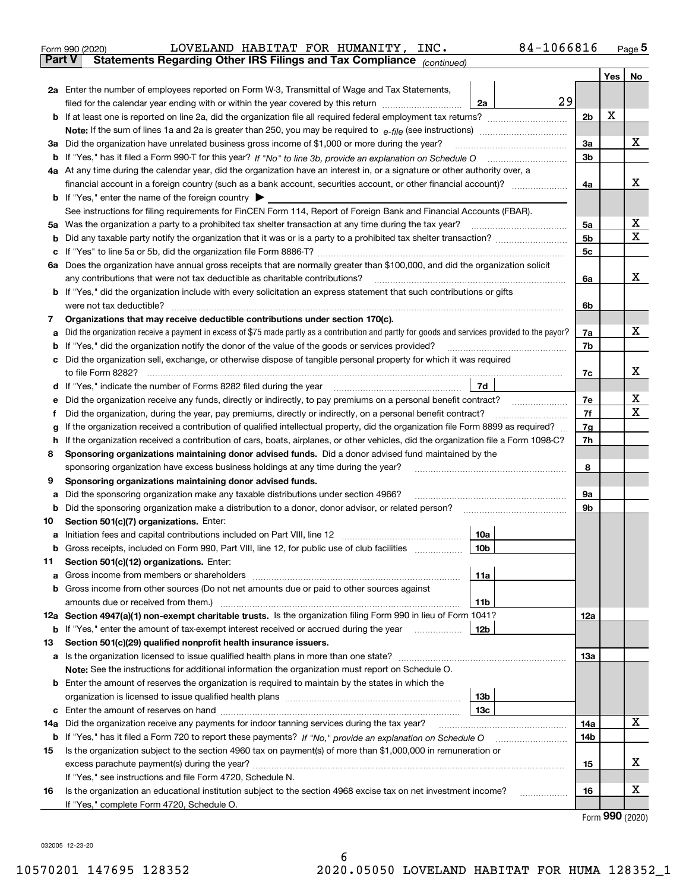|               |                                                                                                                                                 |                      |   | Page $5$ |
|---------------|-------------------------------------------------------------------------------------------------------------------------------------------------|----------------------|---|----------|
| <b>Part V</b> | Statements Regarding Other IRS Filings and Tax Compliance (continued)                                                                           |                      |   |          |
|               |                                                                                                                                                 |                      |   | Yes   No |
|               | 2a Enter the number of employees reported on Form W-3, Transmittal of Wage and Tax Statements,                                                  |                      |   |          |
|               | 29<br>filed for the calendar year ending with or within the year covered by this return <i>[[[[[[[[[[[[[]]]]</i><br>2a                          |                      |   |          |
|               |                                                                                                                                                 | 2 <sub>b</sub>       | X |          |
|               |                                                                                                                                                 |                      |   |          |
|               | 3a Did the organization have unrelated business gross income of \$1,000 or more during the year?                                                | 3a                   |   | х        |
|               |                                                                                                                                                 | 3 <sub>b</sub>       |   |          |
|               | 4a At any time during the calendar year, did the organization have an interest in, or a signature or other authority over, a                    |                      |   |          |
|               |                                                                                                                                                 | 4a                   |   | х        |
|               | <b>b</b> If "Yes," enter the name of the foreign country $\blacktriangleright$                                                                  |                      |   |          |
|               | See instructions for filing requirements for FinCEN Form 114, Report of Foreign Bank and Financial Accounts (FBAR).                             |                      |   | X        |
|               | 5a Was the organization a party to a prohibited tax shelter transaction at any time during the tax year?                                        | 5a<br>5 <sub>b</sub> |   | Х        |
|               |                                                                                                                                                 | 5c                   |   |          |
|               | 6a Does the organization have annual gross receipts that are normally greater than \$100,000, and did the organization solicit                  |                      |   |          |
|               | any contributions that were not tax deductible as charitable contributions?                                                                     | 6a                   |   | х        |
|               | b If "Yes," did the organization include with every solicitation an express statement that such contributions or gifts                          |                      |   |          |
|               | were not tax deductible?                                                                                                                        | 6b                   |   |          |
| 7             | Organizations that may receive deductible contributions under section 170(c).                                                                   |                      |   |          |
| а             | Did the organization receive a payment in excess of \$75 made partly as a contribution and partly for goods and services provided to the payor? | 7a                   |   | x        |
|               | <b>b</b> If "Yes," did the organization notify the donor of the value of the goods or services provided?                                        | 7b                   |   |          |
|               | c Did the organization sell, exchange, or otherwise dispose of tangible personal property for which it was required                             |                      |   |          |
|               |                                                                                                                                                 | 7c                   |   | х        |
|               | 7d<br>d If "Yes," indicate the number of Forms 8282 filed during the year manufactured in the second of the New York                            |                      |   |          |
| е             | Did the organization receive any funds, directly or indirectly, to pay premiums on a personal benefit contract?                                 | 7e                   |   | x        |
| f             | Did the organization, during the year, pay premiums, directly or indirectly, on a personal benefit contract?                                    | 7f                   |   | х        |
| g             | If the organization received a contribution of qualified intellectual property, did the organization file Form 8899 as required?                | 7g                   |   |          |
|               | h If the organization received a contribution of cars, boats, airplanes, or other vehicles, did the organization file a Form 1098-C?            | 7h                   |   |          |
| 8             | Sponsoring organizations maintaining donor advised funds. Did a donor advised fund maintained by the                                            |                      |   |          |
|               | sponsoring organization have excess business holdings at any time during the year?                                                              | 8                    |   |          |
| 9             | Sponsoring organizations maintaining donor advised funds.                                                                                       |                      |   |          |
| а             | Did the sponsoring organization make any taxable distributions under section 4966?                                                              | 9а                   |   |          |
| b             |                                                                                                                                                 | 9b                   |   |          |
| 10            | Section 501(c)(7) organizations. Enter:                                                                                                         |                      |   |          |
|               | 10a                                                                                                                                             |                      |   |          |
| b             | Gross receipts, included on Form 990, Part VIII, line 12, for public use of club facilities manument<br>10b                                     |                      |   |          |
| 11            | Section 501(c)(12) organizations. Enter:                                                                                                        |                      |   |          |
| a             | 11a                                                                                                                                             |                      |   |          |
|               | <b>b</b> Gross income from other sources (Do not net amounts due or paid to other sources against                                               |                      |   |          |
|               | amounts due or received from them.)<br>11b                                                                                                      |                      |   |          |
|               | 12a Section 4947(a)(1) non-exempt charitable trusts. Is the organization filing Form 990 in lieu of Form 1041?                                  | 12a                  |   |          |
|               | <b>b</b> If "Yes," enter the amount of tax-exempt interest received or accrued during the year<br>12b                                           |                      |   |          |
| 13            | Section 501(c)(29) qualified nonprofit health insurance issuers.                                                                                |                      |   |          |
|               | a Is the organization licensed to issue qualified health plans in more than one state?                                                          | 13а                  |   |          |
|               | Note: See the instructions for additional information the organization must report on Schedule O.                                               |                      |   |          |
|               | <b>b</b> Enter the amount of reserves the organization is required to maintain by the states in which the                                       |                      |   |          |
|               | 13 <sub>b</sub>                                                                                                                                 |                      |   |          |
| c             | 13с                                                                                                                                             |                      |   | х        |
| 14a           | Did the organization receive any payments for indoor tanning services during the tax year?                                                      | 14a                  |   |          |
|               |                                                                                                                                                 | 14b                  |   |          |
| 15            | Is the organization subject to the section 4960 tax on payment(s) of more than \$1,000,000 in remuneration or                                   | 15                   |   | х        |
|               | If "Yes," see instructions and file Form 4720, Schedule N.                                                                                      |                      |   |          |
| 16            | Is the organization an educational institution subject to the section 4968 excise tax on net investment income?                                 | 16                   |   | х        |
|               | .<br>If "Yes," complete Form 4720, Schedule O.                                                                                                  |                      |   |          |

Form (2020) **990**

032005 12-23-20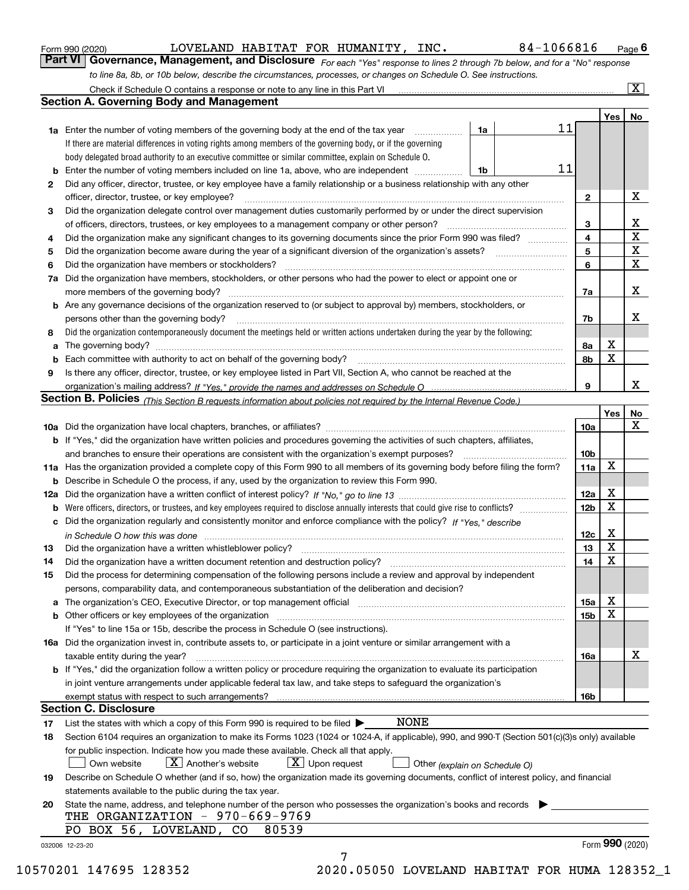|  | Form 990 (2020) |
|--|-----------------|
|  |                 |

LOVELAND HABITAT FOR HUMANITY, INC. 84-1066816

*For each "Yes" response to lines 2 through 7b below, and for a "No" response to line 8a, 8b, or 10b below, describe the circumstances, processes, or changes on Schedule O. See instructions.* Form 990 (2020) **12 EDART MEDAN BELAND HABITAT FOR HUMANITY, INC .** 84 – 1066816 Page 6<br>**Part VI Governance, Management, and Disclosure** *For each "Yes" response to lines 2 through 7b below, and for a "No" response* 

|     | Check if Schedule O contains a response or note to any line in this Part VI                                                                                                                                                   |    |    |                 |     | $\overline{\mathbf{x}}$ |  |  |  |  |
|-----|-------------------------------------------------------------------------------------------------------------------------------------------------------------------------------------------------------------------------------|----|----|-----------------|-----|-------------------------|--|--|--|--|
|     | <b>Section A. Governing Body and Management</b>                                                                                                                                                                               |    |    |                 |     |                         |  |  |  |  |
|     |                                                                                                                                                                                                                               |    |    |                 | Yes | No                      |  |  |  |  |
|     | <b>1a</b> Enter the number of voting members of the governing body at the end of the tax year                                                                                                                                 | 1a | 11 |                 |     |                         |  |  |  |  |
|     | If there are material differences in voting rights among members of the governing body, or if the governing                                                                                                                   |    |    |                 |     |                         |  |  |  |  |
|     | body delegated broad authority to an executive committee or similar committee, explain on Schedule O.                                                                                                                         |    |    |                 |     |                         |  |  |  |  |
| b   | Enter the number of voting members included on line 1a, above, who are independent                                                                                                                                            | 1b | 11 |                 |     |                         |  |  |  |  |
| 2   | Did any officer, director, trustee, or key employee have a family relationship or a business relationship with any other                                                                                                      |    |    |                 |     |                         |  |  |  |  |
|     | officer, director, trustee, or key employee?                                                                                                                                                                                  |    |    | $\mathbf{2}$    |     | X                       |  |  |  |  |
| 3   | Did the organization delegate control over management duties customarily performed by or under the direct supervision                                                                                                         |    |    |                 |     |                         |  |  |  |  |
|     | of officers, directors, trustees, or key employees to a management company or other person?                                                                                                                                   |    |    | З               |     | х                       |  |  |  |  |
| 4   | Did the organization make any significant changes to its governing documents since the prior Form 990 was filed?                                                                                                              |    |    |                 |     |                         |  |  |  |  |
| 5   |                                                                                                                                                                                                                               |    |    | 5               |     | X                       |  |  |  |  |
| 6   | Did the organization have members or stockholders?                                                                                                                                                                            |    |    | 6               |     | $\mathbf X$             |  |  |  |  |
| 7a  | Did the organization have members, stockholders, or other persons who had the power to elect or appoint one or                                                                                                                |    |    |                 |     |                         |  |  |  |  |
|     | more members of the governing body?                                                                                                                                                                                           |    |    | 7a              |     | х                       |  |  |  |  |
|     | <b>b</b> Are any governance decisions of the organization reserved to (or subject to approval by) members, stockholders, or                                                                                                   |    |    |                 |     |                         |  |  |  |  |
|     | persons other than the governing body?                                                                                                                                                                                        |    |    | 7b              |     | x.                      |  |  |  |  |
| 8   | Did the organization contemporaneously document the meetings held or written actions undertaken during the year by the following:                                                                                             |    |    |                 |     |                         |  |  |  |  |
| a   |                                                                                                                                                                                                                               |    |    | 8а              | х   |                         |  |  |  |  |
| b   |                                                                                                                                                                                                                               |    |    | 8b              | X   |                         |  |  |  |  |
| 9   | Is there any officer, director, trustee, or key employee listed in Part VII, Section A, who cannot be reached at the                                                                                                          |    |    |                 |     |                         |  |  |  |  |
|     |                                                                                                                                                                                                                               |    |    | 9               |     | x                       |  |  |  |  |
|     | <b>Section B. Policies</b> (This Section B requests information about policies not required by the Internal Revenue Code.)                                                                                                    |    |    |                 |     |                         |  |  |  |  |
|     |                                                                                                                                                                                                                               |    |    |                 | Yes | No                      |  |  |  |  |
|     |                                                                                                                                                                                                                               |    |    | 10a             |     | Χ                       |  |  |  |  |
|     | <b>b</b> If "Yes," did the organization have written policies and procedures governing the activities of such chapters, affiliates,                                                                                           |    |    |                 |     |                         |  |  |  |  |
|     | and branches to ensure their operations are consistent with the organization's exempt purposes?                                                                                                                               |    |    | 10 <sub>b</sub> |     |                         |  |  |  |  |
| 11a | Has the organization provided a complete copy of this Form 990 to all members of its governing body before filing the form?                                                                                                   |    |    | 11a             | X   |                         |  |  |  |  |
| b   | Describe in Schedule O the process, if any, used by the organization to review this Form 990.                                                                                                                                 |    |    |                 |     |                         |  |  |  |  |
| 12a |                                                                                                                                                                                                                               |    |    | 12a             | X   |                         |  |  |  |  |
| b   | Were officers, directors, or trustees, and key employees required to disclose annually interests that could give rise to conflicts?                                                                                           |    |    | 12 <sub>b</sub> | X   |                         |  |  |  |  |
| с   | Did the organization regularly and consistently monitor and enforce compliance with the policy? If "Yes." describe                                                                                                            |    |    |                 |     |                         |  |  |  |  |
|     |                                                                                                                                                                                                                               |    |    | 12c             | X   |                         |  |  |  |  |
| 13  | in Schedule O how this was done www.communication.com/www.communications.com/www.communications.com/<br>Did the organization have a written whistleblower policy?                                                             |    |    | 13              | X   |                         |  |  |  |  |
| 14  | Did the organization have a written document retention and destruction policy?                                                                                                                                                |    |    | 14              | X   |                         |  |  |  |  |
| 15  | Did the process for determining compensation of the following persons include a review and approval by independent                                                                                                            |    |    |                 |     |                         |  |  |  |  |
|     | persons, comparability data, and contemporaneous substantiation of the deliberation and decision?                                                                                                                             |    |    |                 |     |                         |  |  |  |  |
|     | The organization's CEO, Executive Director, or top management official manufactured contains and contained a support of the Director, or top management official manufactured and contain a support of the state of the state |    |    | 15a             | Χ   |                         |  |  |  |  |
|     |                                                                                                                                                                                                                               |    |    |                 | X   |                         |  |  |  |  |
| b   | Other officers or key employees of the organization                                                                                                                                                                           |    |    | 15 <sub>b</sub> |     |                         |  |  |  |  |
|     | If "Yes" to line 15a or 15b, describe the process in Schedule O (see instructions).                                                                                                                                           |    |    |                 |     |                         |  |  |  |  |
|     | 16a Did the organization invest in, contribute assets to, or participate in a joint venture or similar arrangement with a                                                                                                     |    |    |                 |     | х                       |  |  |  |  |
|     | taxable entity during the year?<br>b If "Yes," did the organization follow a written policy or procedure requiring the organization to evaluate its participation                                                             |    |    | 16a             |     |                         |  |  |  |  |
|     |                                                                                                                                                                                                                               |    |    |                 |     |                         |  |  |  |  |
|     | in joint venture arrangements under applicable federal tax law, and take steps to safeguard the organization's                                                                                                                |    |    |                 |     |                         |  |  |  |  |
|     | exempt status with respect to such arrangements?<br><b>Section C. Disclosure</b>                                                                                                                                              |    |    | 16b             |     |                         |  |  |  |  |
|     | <b>NONE</b>                                                                                                                                                                                                                   |    |    |                 |     |                         |  |  |  |  |
| 17  | List the states with which a copy of this Form 990 is required to be filed $\blacktriangleright$                                                                                                                              |    |    |                 |     |                         |  |  |  |  |
| 18  | Section 6104 requires an organization to make its Forms 1023 (1024 or 1024-A, if applicable), 990, and 990-T (Section 501(c)(3)s only) available                                                                              |    |    |                 |     |                         |  |  |  |  |
|     | for public inspection. Indicate how you made these available. Check all that apply.                                                                                                                                           |    |    |                 |     |                         |  |  |  |  |
|     | $X$ Another's website<br>$X$ Upon request<br>Own website<br>Other (explain on Schedule O)                                                                                                                                     |    |    |                 |     |                         |  |  |  |  |
| 19  | Describe on Schedule O whether (and if so, how) the organization made its governing documents, conflict of interest policy, and financial                                                                                     |    |    |                 |     |                         |  |  |  |  |
|     | statements available to the public during the tax year.                                                                                                                                                                       |    |    |                 |     |                         |  |  |  |  |
| 20  | State the name, address, and telephone number of the person who possesses the organization's books and records                                                                                                                |    |    |                 |     |                         |  |  |  |  |
|     | THE ORGANIZATION - 970-669-9769<br>PO BOX 56, LOVELAND, CO<br>80539                                                                                                                                                           |    |    |                 |     |                         |  |  |  |  |
|     |                                                                                                                                                                                                                               |    |    |                 |     |                         |  |  |  |  |
|     | 032006 12-23-20                                                                                                                                                                                                               |    |    |                 |     | Form 990 (2020)         |  |  |  |  |
|     | 7                                                                                                                                                                                                                             |    |    |                 |     |                         |  |  |  |  |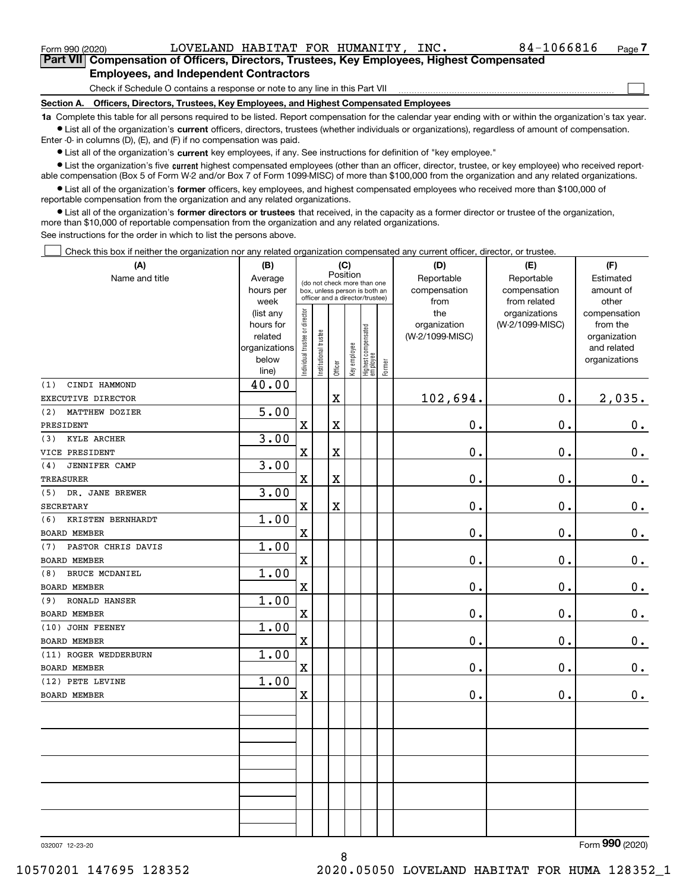|  | Form 990 (2020) |
|--|-----------------|
|  |                 |

 $_{\rm Form}$   $_{990}$   $_{(2020)}$   $_{\rm LOVELAND}$   $_{\rm HABITAT}$  for  $_{\rm HUMANITY}$ , INC.  $_{\rm SOe}$   $_{\rm 84-1066816}$   $_{\rm Page}$ 

 $\mathcal{L}^{\text{max}}$ 

**7Part VII Compensation of Officers, Directors, Trustees, Key Employees, Highest Compensated Employees, and Independent Contractors**

Check if Schedule O contains a response or note to any line in this Part VII

**Section A. Officers, Directors, Trustees, Key Employees, and Highest Compensated Employees**

**1a**  Complete this table for all persons required to be listed. Report compensation for the calendar year ending with or within the organization's tax year. **•** List all of the organization's current officers, directors, trustees (whether individuals or organizations), regardless of amount of compensation.

Enter -0- in columns (D), (E), and (F) if no compensation was paid.

 $\bullet$  List all of the organization's  $\,$ current key employees, if any. See instructions for definition of "key employee."

**•** List the organization's five current highest compensated employees (other than an officer, director, trustee, or key employee) who received reportable compensation (Box 5 of Form W-2 and/or Box 7 of Form 1099-MISC) of more than \$100,000 from the organization and any related organizations.

**•** List all of the organization's former officers, key employees, and highest compensated employees who received more than \$100,000 of reportable compensation from the organization and any related organizations.

**former directors or trustees**  ¥ List all of the organization's that received, in the capacity as a former director or trustee of the organization, more than \$10,000 of reportable compensation from the organization and any related organizations.

See instructions for the order in which to list the persons above.

Check this box if neither the organization nor any related organization compensated any current officer, director, or trustee.  $\mathcal{L}^{\text{max}}$ 

| (A)                         | (B)                                                |                                |                                 |         | (C)          |                                  |            | (D)             | (E)             | (F)            |
|-----------------------------|----------------------------------------------------|--------------------------------|---------------------------------|---------|--------------|----------------------------------|------------|-----------------|-----------------|----------------|
| Name and title              | Position<br>Average<br>(do not check more than one |                                |                                 |         |              |                                  | Reportable | Reportable      | Estimated       |                |
|                             | hours per                                          |                                | box, unless person is both an   |         |              |                                  |            | compensation    | compensation    | amount of      |
|                             | week                                               |                                | officer and a director/trustee) |         |              |                                  |            | from            | from related    | other          |
|                             | (list any                                          |                                |                                 |         |              |                                  |            | the             | organizations   | compensation   |
|                             | hours for                                          |                                |                                 |         |              |                                  |            | organization    | (W-2/1099-MISC) | from the       |
|                             | related                                            |                                |                                 |         |              |                                  |            | (W-2/1099-MISC) |                 | organization   |
|                             | organizations                                      |                                |                                 |         |              |                                  |            |                 |                 | and related    |
|                             | below<br>line)                                     | Individual trustee or director | Institutional trustee           | Officer | Key employee | Highest compensated<br> employee | Former     |                 |                 | organizations  |
| CINDI HAMMOND<br>(1)        | 40.00                                              |                                |                                 |         |              |                                  |            |                 |                 |                |
| EXECUTIVE DIRECTOR          |                                                    |                                |                                 | X       |              |                                  |            | 102,694.        | 0.              | 2,035.         |
| MATTHEW DOZIER<br>(2)       | $\overline{5.00}$                                  |                                |                                 |         |              |                                  |            |                 |                 |                |
| PRESIDENT                   |                                                    | $\mathbf X$                    |                                 | X       |              |                                  |            | 0.              | 0.              | $0_{.}$        |
| <b>KYLE ARCHER</b><br>(3)   | 3.00                                               |                                |                                 |         |              |                                  |            |                 |                 |                |
| VICE PRESIDENT              |                                                    | $\mathbf x$                    |                                 | X       |              |                                  |            | $0$ .           | 0.              | $\mathbf 0$ .  |
| <b>JENNIFER CAMP</b><br>(4) | 3.00                                               |                                |                                 |         |              |                                  |            |                 |                 |                |
| <b>TREASURER</b>            |                                                    | $\mathbf X$                    |                                 | X       |              |                                  |            | 0.              | 0.              | $\mathbf 0$ .  |
| (5) DR. JANE BREWER         | 3.00                                               |                                |                                 |         |              |                                  |            |                 |                 |                |
| <b>SECRETARY</b>            |                                                    | $\mathbf x$                    |                                 | X       |              |                                  |            | 0.              | 0.              | $\mathbf 0$ .  |
| KRISTEN BERNHARDT<br>(6)    | 1.00                                               |                                |                                 |         |              |                                  |            |                 |                 |                |
| <b>BOARD MEMBER</b>         |                                                    | $\mathbf X$                    |                                 |         |              |                                  |            | 0.              | 0.              | $\mathbf 0$ .  |
| PASTOR CHRIS DAVIS<br>(7)   | 1.00                                               |                                |                                 |         |              |                                  |            |                 |                 |                |
| <b>BOARD MEMBER</b>         |                                                    | $\mathbf X$                    |                                 |         |              |                                  |            | $0$ .           | 0.              | $0_{.}$        |
| BRUCE MCDANIEL<br>(8)       | 1.00                                               |                                |                                 |         |              |                                  |            |                 |                 |                |
| BOARD MEMBER                |                                                    | $\mathbf X$                    |                                 |         |              |                                  |            | $0$ .           | 0.              | $0_{.}$        |
| <b>RONALD HANSER</b><br>(9) | 1.00                                               |                                |                                 |         |              |                                  |            |                 |                 |                |
| <b>BOARD MEMBER</b>         |                                                    | $\mathbf X$                    |                                 |         |              |                                  |            | $0$ .           | 0.              | $\mathbf 0$ .  |
| (10) JOHN FEENEY            | 1.00                                               |                                |                                 |         |              |                                  |            |                 |                 |                |
| <b>BOARD MEMBER</b>         |                                                    | $\mathbf x$                    |                                 |         |              |                                  |            | 0.              | 0.              | $\mathbf 0$ .  |
| (11) ROGER WEDDERBURN       | 1.00                                               |                                |                                 |         |              |                                  |            |                 |                 |                |
| BOARD MEMBER                |                                                    | $\mathbf X$                    |                                 |         |              |                                  |            | 0.              | 0.              | $\mathbf 0$ .  |
| (12) PETE LEVINE            | 1.00                                               |                                |                                 |         |              |                                  |            |                 |                 |                |
| <b>BOARD MEMBER</b>         |                                                    | $\mathbf x$                    |                                 |         |              |                                  |            | 0.              | 0.              | $\mathbf 0$ .  |
|                             |                                                    |                                |                                 |         |              |                                  |            |                 |                 |                |
|                             |                                                    |                                |                                 |         |              |                                  |            |                 |                 |                |
|                             |                                                    |                                |                                 |         |              |                                  |            |                 |                 |                |
|                             |                                                    |                                |                                 |         |              |                                  |            |                 |                 |                |
|                             |                                                    |                                |                                 |         |              |                                  |            |                 |                 |                |
|                             |                                                    |                                |                                 |         |              |                                  |            |                 |                 |                |
|                             |                                                    |                                |                                 |         |              |                                  |            |                 |                 |                |
|                             |                                                    |                                |                                 |         |              |                                  |            |                 |                 |                |
|                             |                                                    |                                |                                 |         |              |                                  |            |                 |                 |                |
|                             |                                                    |                                |                                 |         |              |                                  |            |                 |                 | $\overline{a}$ |

032007 12-23-20

Form (2020) **990**

8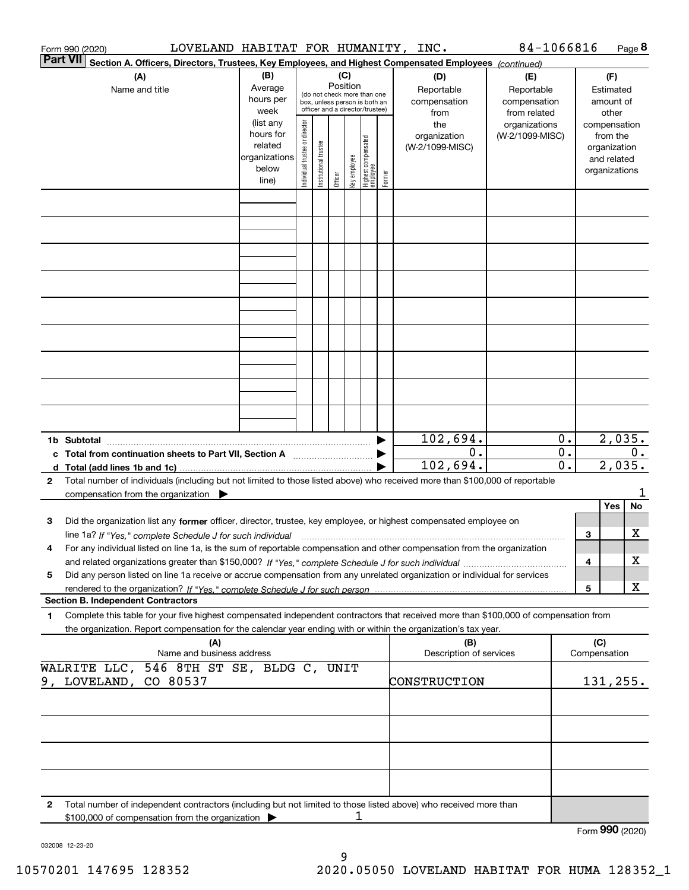|                 | Form 990 (2020)                                                                                                                                   | LOVELAND HABITAT FOR HUMANITY, INC. |                        |                                 |                       |          |              |                                  |        |                                                                                                        | 84-1066816                 |                  |     |                 | Page 8  |
|-----------------|---------------------------------------------------------------------------------------------------------------------------------------------------|-------------------------------------|------------------------|---------------------------------|-----------------------|----------|--------------|----------------------------------|--------|--------------------------------------------------------------------------------------------------------|----------------------------|------------------|-----|-----------------|---------|
| <b>Part VII</b> |                                                                                                                                                   |                                     |                        |                                 |                       |          |              |                                  |        | Section A. Officers, Directors, Trustees, Key Employees, and Highest Compensated Employees (continued) |                            |                  |     |                 |         |
|                 | (A)                                                                                                                                               |                                     | (B)<br>(C)             |                                 |                       |          |              |                                  |        | (D)                                                                                                    | (E)                        |                  | (F) |                 |         |
|                 | Name and title                                                                                                                                    |                                     | Average                |                                 |                       | Position |              | (do not check more than one      |        | Reportable                                                                                             | Reportable<br>compensation |                  |     | Estimated       |         |
|                 |                                                                                                                                                   |                                     | hours per              |                                 |                       |          |              | box, unless person is both an    |        | compensation                                                                                           |                            |                  |     | amount of       |         |
|                 |                                                                                                                                                   |                                     | week                   | officer and a director/trustee) |                       |          |              |                                  |        | from                                                                                                   | from related               |                  |     | other           |         |
|                 |                                                                                                                                                   |                                     | (list any              |                                 |                       |          |              |                                  |        | the                                                                                                    | organizations              |                  |     | compensation    |         |
|                 |                                                                                                                                                   |                                     | hours for              |                                 |                       |          |              |                                  |        | organization                                                                                           | (W-2/1099-MISC)            |                  |     | from the        |         |
|                 |                                                                                                                                                   |                                     | related                |                                 |                       |          |              |                                  |        | (W-2/1099-MISC)                                                                                        |                            |                  |     | organization    |         |
|                 |                                                                                                                                                   |                                     | organizations<br>below |                                 |                       |          |              |                                  |        |                                                                                                        |                            |                  |     | and related     |         |
|                 |                                                                                                                                                   |                                     | line)                  | ndividual trustee or director   | Institutional trustee | Officer  | Key employee | Highest compensated<br> employee | Former |                                                                                                        |                            |                  |     | organizations   |         |
|                 |                                                                                                                                                   |                                     |                        |                                 |                       |          |              |                                  |        |                                                                                                        |                            |                  |     |                 |         |
|                 |                                                                                                                                                   |                                     |                        |                                 |                       |          |              |                                  |        |                                                                                                        |                            |                  |     |                 |         |
|                 |                                                                                                                                                   |                                     |                        |                                 |                       |          |              |                                  |        |                                                                                                        |                            |                  |     |                 |         |
|                 |                                                                                                                                                   |                                     |                        |                                 |                       |          |              |                                  |        |                                                                                                        |                            |                  |     |                 |         |
|                 |                                                                                                                                                   |                                     |                        |                                 |                       |          |              |                                  |        |                                                                                                        |                            |                  |     |                 |         |
|                 |                                                                                                                                                   |                                     |                        |                                 |                       |          |              |                                  |        |                                                                                                        |                            |                  |     |                 |         |
|                 |                                                                                                                                                   |                                     |                        |                                 |                       |          |              |                                  |        |                                                                                                        |                            |                  |     |                 |         |
|                 |                                                                                                                                                   |                                     |                        |                                 |                       |          |              |                                  |        |                                                                                                        |                            |                  |     |                 |         |
|                 |                                                                                                                                                   |                                     |                        |                                 |                       |          |              |                                  |        |                                                                                                        |                            |                  |     |                 |         |
|                 |                                                                                                                                                   |                                     |                        |                                 |                       |          |              |                                  |        |                                                                                                        |                            |                  |     |                 |         |
|                 |                                                                                                                                                   |                                     |                        |                                 |                       |          |              |                                  |        |                                                                                                        |                            |                  |     |                 |         |
|                 |                                                                                                                                                   |                                     |                        |                                 |                       |          |              |                                  |        |                                                                                                        |                            |                  |     |                 |         |
|                 |                                                                                                                                                   |                                     |                        |                                 |                       |          |              |                                  |        |                                                                                                        |                            |                  |     |                 |         |
|                 |                                                                                                                                                   |                                     |                        |                                 |                       |          |              |                                  |        |                                                                                                        |                            |                  |     |                 |         |
|                 |                                                                                                                                                   |                                     |                        |                                 |                       |          |              |                                  |        |                                                                                                        |                            |                  |     |                 |         |
|                 |                                                                                                                                                   |                                     |                        |                                 |                       |          |              |                                  |        |                                                                                                        |                            |                  |     |                 |         |
|                 |                                                                                                                                                   |                                     |                        |                                 |                       |          |              |                                  |        |                                                                                                        |                            |                  |     |                 |         |
|                 |                                                                                                                                                   |                                     |                        |                                 |                       |          |              |                                  |        |                                                                                                        |                            |                  |     |                 |         |
|                 |                                                                                                                                                   |                                     |                        |                                 |                       |          |              |                                  |        |                                                                                                        |                            |                  |     |                 |         |
|                 |                                                                                                                                                   |                                     |                        |                                 |                       |          |              |                                  |        | 102,694.                                                                                               |                            | 0.               |     | 2,035.          |         |
|                 |                                                                                                                                                   |                                     |                        |                                 |                       |          |              |                                  |        | 0.                                                                                                     |                            | $\overline{0}$ . |     |                 | 0.      |
|                 | c Total from continuation sheets to Part VII, Section A <b>manual</b> Testion Section 3                                                           |                                     |                        |                                 |                       |          |              |                                  |        | 102,694.                                                                                               |                            | 0.               |     | 2,035.          |         |
|                 |                                                                                                                                                   |                                     |                        |                                 |                       |          |              |                                  |        |                                                                                                        |                            |                  |     |                 |         |
| $\mathbf{2}$    | Total number of individuals (including but not limited to those listed above) who received more than \$100,000 of reportable                      |                                     |                        |                                 |                       |          |              |                                  |        |                                                                                                        |                            |                  |     |                 |         |
|                 | compensation from the organization                                                                                                                |                                     |                        |                                 |                       |          |              |                                  |        |                                                                                                        |                            |                  |     | Yes             | 1<br>No |
|                 |                                                                                                                                                   |                                     |                        |                                 |                       |          |              |                                  |        |                                                                                                        |                            |                  |     |                 |         |
| 3               | Did the organization list any former officer, director, trustee, key employee, or highest compensated employee on                                 |                                     |                        |                                 |                       |          |              |                                  |        |                                                                                                        |                            |                  |     |                 |         |
|                 | line 1a? If "Yes," complete Schedule J for such individual material content content to the content of the complete schedule J for such individual |                                     |                        |                                 |                       |          |              |                                  |        |                                                                                                        |                            |                  | 3   |                 | х       |
|                 | For any individual listed on line 1a, is the sum of reportable compensation and other compensation from the organization                          |                                     |                        |                                 |                       |          |              |                                  |        |                                                                                                        |                            |                  |     |                 |         |
|                 |                                                                                                                                                   |                                     |                        |                                 |                       |          |              |                                  |        |                                                                                                        |                            |                  | 4   |                 | х       |
| 5               | Did any person listed on line 1a receive or accrue compensation from any unrelated organization or individual for services                        |                                     |                        |                                 |                       |          |              |                                  |        |                                                                                                        |                            |                  |     |                 |         |
|                 |                                                                                                                                                   |                                     |                        |                                 |                       |          |              |                                  |        |                                                                                                        |                            |                  | 5   |                 | х       |
|                 | <b>Section B. Independent Contractors</b>                                                                                                         |                                     |                        |                                 |                       |          |              |                                  |        |                                                                                                        |                            |                  |     |                 |         |
| 1               | Complete this table for your five highest compensated independent contractors that received more than \$100,000 of compensation from              |                                     |                        |                                 |                       |          |              |                                  |        |                                                                                                        |                            |                  |     |                 |         |
|                 | the organization. Report compensation for the calendar year ending with or within the organization's tax year.                                    |                                     |                        |                                 |                       |          |              |                                  |        |                                                                                                        |                            |                  |     |                 |         |
|                 |                                                                                                                                                   | (A)                                 |                        |                                 |                       |          |              |                                  |        | (B)                                                                                                    |                            |                  | (C) |                 |         |
|                 |                                                                                                                                                   | Name and business address           |                        |                                 |                       |          |              |                                  |        | Description of services                                                                                |                            |                  |     | Compensation    |         |
|                 | WALRITE LLC, 546 8TH ST SE, BLDG C, UNIT                                                                                                          |                                     |                        |                                 |                       |          |              |                                  |        |                                                                                                        |                            |                  |     |                 |         |
|                 | 9, LOVELAND, CO 80537                                                                                                                             |                                     |                        |                                 |                       |          |              |                                  |        | CONSTRUCTION                                                                                           |                            |                  |     | 131,255.        |         |
|                 |                                                                                                                                                   |                                     |                        |                                 |                       |          |              |                                  |        |                                                                                                        |                            |                  |     |                 |         |
|                 |                                                                                                                                                   |                                     |                        |                                 |                       |          |              |                                  |        |                                                                                                        |                            |                  |     |                 |         |
|                 |                                                                                                                                                   |                                     |                        |                                 |                       |          |              |                                  |        |                                                                                                        |                            |                  |     |                 |         |
|                 |                                                                                                                                                   |                                     |                        |                                 |                       |          |              |                                  |        |                                                                                                        |                            |                  |     |                 |         |
|                 |                                                                                                                                                   |                                     |                        |                                 |                       |          |              |                                  |        |                                                                                                        |                            |                  |     |                 |         |
|                 |                                                                                                                                                   |                                     |                        |                                 |                       |          |              |                                  |        |                                                                                                        |                            |                  |     |                 |         |
|                 |                                                                                                                                                   |                                     |                        |                                 |                       |          |              |                                  |        |                                                                                                        |                            |                  |     |                 |         |
|                 |                                                                                                                                                   |                                     |                        |                                 |                       |          |              |                                  |        |                                                                                                        |                            |                  |     |                 |         |
|                 |                                                                                                                                                   |                                     |                        |                                 |                       |          |              |                                  |        |                                                                                                        |                            |                  |     |                 |         |
| 2               | Total number of independent contractors (including but not limited to those listed above) who received more than                                  |                                     |                        |                                 |                       |          |              |                                  |        |                                                                                                        |                            |                  |     |                 |         |
|                 | \$100,000 of compensation from the organization                                                                                                   |                                     |                        |                                 |                       |          | 1            |                                  |        |                                                                                                        |                            |                  |     |                 |         |
|                 |                                                                                                                                                   |                                     |                        |                                 |                       |          |              |                                  |        |                                                                                                        |                            |                  |     | Form 990 (2020) |         |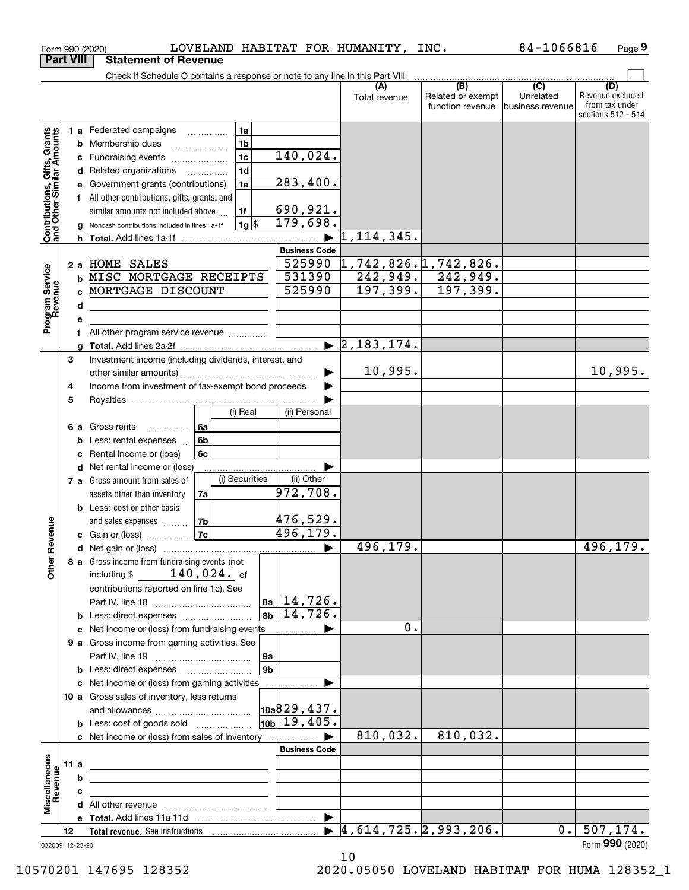|                                                           | <b>Part VIII</b> |        | <b>Statement of Revenue</b>                                                   |                          |                    |                              |                                  |                                            |                             |                                      |
|-----------------------------------------------------------|------------------|--------|-------------------------------------------------------------------------------|--------------------------|--------------------|------------------------------|----------------------------------|--------------------------------------------|-----------------------------|--------------------------------------|
|                                                           |                  |        | Check if Schedule O contains a response or note to any line in this Part VIII |                          |                    |                              |                                  |                                            |                             |                                      |
|                                                           |                  |        |                                                                               |                          |                    |                              | Total revenue                    | (B)<br>Related or exempt                   | $\overline{C}$<br>Unrelated | (D)<br>Revenue excluded              |
|                                                           |                  |        |                                                                               |                          |                    |                              |                                  | function revenue                           | business revenue            | from tax under<br>sections 512 - 514 |
|                                                           |                  |        | <b>1 a</b> Federated campaigns                                                |                          | 1a                 |                              |                                  |                                            |                             |                                      |
|                                                           |                  | b      | Membership dues                                                               |                          | 1 <sub>b</sub>     |                              |                                  |                                            |                             |                                      |
|                                                           |                  | с      | Fundraising events                                                            |                          | 1 <sub>c</sub>     | 140,024.                     |                                  |                                            |                             |                                      |
|                                                           |                  | d      | Related organizations                                                         | $\overline{\phantom{a}}$ | 1 <sub>d</sub>     |                              |                                  |                                            |                             |                                      |
|                                                           |                  |        | Government grants (contributions)                                             |                          | 1e                 | 283,400.                     |                                  |                                            |                             |                                      |
|                                                           |                  |        | f All other contributions, gifts, grants, and                                 |                          |                    |                              |                                  |                                            |                             |                                      |
|                                                           |                  |        | similar amounts not included above                                            |                          | 1f                 | 690, 921.                    |                                  |                                            |                             |                                      |
| Contributions, Gifts, Grants<br>and Other Similar Amounts |                  | g      | Noncash contributions included in lines 1a-1f                                 |                          | $1g$ $\frac{1}{3}$ | 179,698.                     |                                  |                                            |                             |                                      |
|                                                           |                  | h      |                                                                               |                          |                    |                              | 1,114,345.                       |                                            |                             |                                      |
|                                                           |                  |        |                                                                               |                          |                    | <b>Business Code</b>         |                                  |                                            |                             |                                      |
|                                                           |                  |        | 2 a HOME SALES                                                                |                          |                    | 525990                       |                                  | 1,742,826.1742,826.                        |                             |                                      |
|                                                           |                  | b      | MISC MORTGAGE RECEIPTS                                                        |                          |                    | 531390                       | 197, 399.                        | $242,949.$ 242,949.                        |                             |                                      |
|                                                           |                  |        | c MORTGAGE DISCOUNT                                                           |                          |                    | 525990                       |                                  | 197,399.                                   |                             |                                      |
|                                                           |                  | d      |                                                                               |                          |                    |                              |                                  |                                            |                             |                                      |
| Program Service<br>Revenue                                |                  | е      |                                                                               |                          |                    |                              |                                  |                                            |                             |                                      |
|                                                           |                  | f<br>a | All other program service revenue                                             |                          |                    |                              | $\blacktriangleright$ 2,183,174. |                                            |                             |                                      |
|                                                           | 3                |        | Investment income (including dividends, interest, and                         |                          |                    |                              |                                  |                                            |                             |                                      |
|                                                           |                  |        |                                                                               |                          |                    |                              | 10,995.                          |                                            |                             | 10,995.                              |
|                                                           | 4                |        | Income from investment of tax-exempt bond proceeds                            |                          |                    |                              |                                  |                                            |                             |                                      |
|                                                           | 5                |        |                                                                               |                          |                    |                              |                                  |                                            |                             |                                      |
|                                                           |                  |        |                                                                               |                          | (i) Real           | (ii) Personal                |                                  |                                            |                             |                                      |
|                                                           | 6а               |        | Gross rents<br>.                                                              | 6a                       |                    |                              |                                  |                                            |                             |                                      |
|                                                           |                  | b      | Less: rental expenses                                                         | 6b                       |                    |                              |                                  |                                            |                             |                                      |
|                                                           |                  | с      | Rental income or (loss)                                                       | 6c                       |                    |                              |                                  |                                            |                             |                                      |
|                                                           |                  | d      | Net rental income or (loss)                                                   |                          |                    |                              |                                  |                                            |                             |                                      |
|                                                           |                  |        | 7 a Gross amount from sales of                                                |                          | (i) Securities     | (ii) Other                   |                                  |                                            |                             |                                      |
|                                                           |                  |        | assets other than inventory                                                   | 7a                       |                    | 972,708.                     |                                  |                                            |                             |                                      |
|                                                           |                  |        | <b>b</b> Less: cost or other basis                                            |                          |                    |                              |                                  |                                            |                             |                                      |
|                                                           |                  |        | and sales expenses                                                            | 7b                       |                    | 476,529.                     |                                  |                                            |                             |                                      |
| Revenue                                                   |                  |        | c Gain or (loss)                                                              | 7c                       |                    | 496,179.                     |                                  |                                            |                             |                                      |
|                                                           |                  |        |                                                                               |                          |                    | ▶                            | 496,179.                         |                                            |                             | 496,179.                             |
| <b>Othe</b>                                               |                  |        | 8 a Gross income from fundraising events (not                                 |                          |                    |                              |                                  |                                            |                             |                                      |
|                                                           |                  |        | including \$                                                                  | $140,024$ . of           |                    |                              |                                  |                                            |                             |                                      |
|                                                           |                  |        | contributions reported on line 1c). See                                       |                          |                    | $ a_2 $ 14,726.              |                                  |                                            |                             |                                      |
|                                                           |                  |        | <b>b</b> Less: direct expenses <i>manually contained</i>                      |                          | 8 <sub>b</sub>     | 14,726.                      |                                  |                                            |                             |                                      |
|                                                           |                  |        | c Net income or (loss) from fundraising events                                |                          |                    |                              | 0.                               |                                            |                             |                                      |
|                                                           |                  |        | 9 a Gross income from gaming activities. See                                  |                          |                    |                              |                                  |                                            |                             |                                      |
|                                                           |                  |        |                                                                               |                          | 9a                 |                              |                                  |                                            |                             |                                      |
|                                                           |                  |        | <b>b</b> Less: direct expenses <b>manually</b>                                |                          | 9 <sub>b</sub>     |                              |                                  |                                            |                             |                                      |
|                                                           |                  |        | c Net income or (loss) from gaming activities                                 |                          |                    | .                            |                                  |                                            |                             |                                      |
|                                                           |                  |        | 10 a Gross sales of inventory, less returns                                   |                          |                    |                              |                                  |                                            |                             |                                      |
|                                                           |                  |        |                                                                               |                          |                    | $\vert$ 10a $\vert$ 829,437. |                                  |                                            |                             |                                      |
|                                                           |                  |        | <b>b</b> Less: cost of goods sold                                             |                          |                    | $\overline{10b}$ 19,405.     |                                  |                                            |                             |                                      |
|                                                           |                  |        |                                                                               |                          |                    |                              | 810,032.                         | 810,032.                                   |                             |                                      |
|                                                           |                  |        |                                                                               |                          |                    | <b>Business Code</b>         |                                  |                                            |                             |                                      |
|                                                           | 11a              |        |                                                                               |                          |                    |                              |                                  |                                            |                             |                                      |
| evenue                                                    |                  | b      |                                                                               |                          |                    |                              |                                  |                                            |                             |                                      |
| Miscellaneous                                             |                  | c      | the control of the control of the control of the control of the control of    |                          |                    |                              |                                  |                                            |                             |                                      |
|                                                           |                  |        |                                                                               |                          |                    | ▶                            |                                  |                                            |                             |                                      |
|                                                           | 12               |        |                                                                               |                          |                    |                              |                                  | $\blacktriangleright$ 4,614,725.2,993,206. | 0.1                         | 507, 174.                            |
| 032009 12-23-20                                           |                  |        |                                                                               |                          |                    |                              |                                  |                                            |                             | Form 990 (2020)                      |

 $_{\rm Form}$ 990 (2020) LOVELAND HABITAT FOR HUMANITY, INC. 84-1066816 Page

LOVELAND HABITAT FOR HUMANITY, INC. 84-1066816

**9**

032009 12-23-20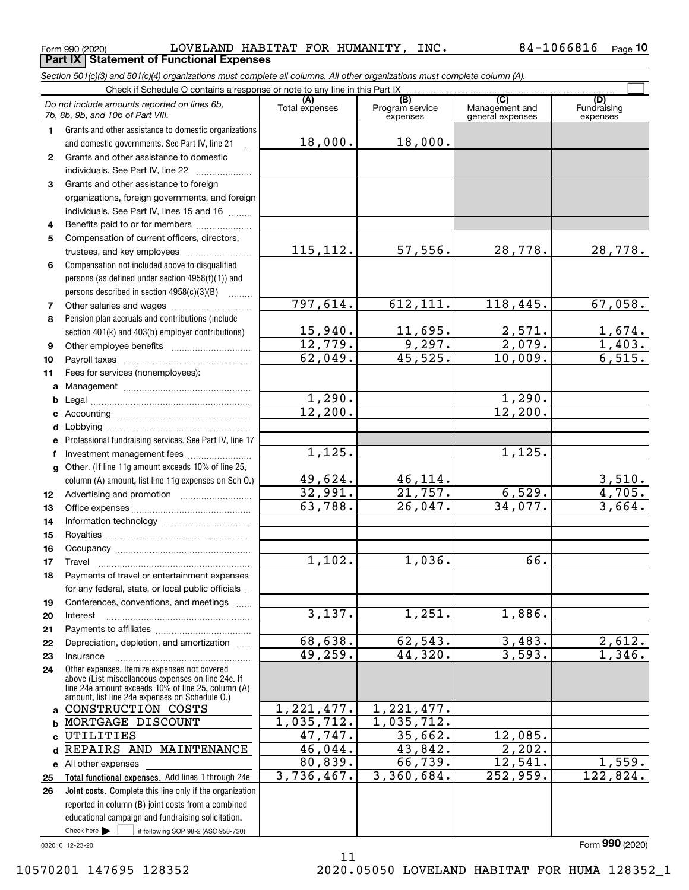$_{\rm Form}$   $_{990}$   $_{(2020)}$   $_{\rm LOVELAND}$   $_{\rm HABITAT}$   $_{\rm FOR}$   $_{\rm HUMANITY}$  ,  $_{\rm INC}$  .  $84$   $-10$   $66816$   $_{\rm Page}$ **Part IX Statement of Functional Expenses**

*Section 501(c)(3) and 501(c)(4) organizations must complete all columns. All other organizations must complete column (A).*

 $\Box$ 

|              | Check if Schedule O contains a response or note to any line in this Part IX [11] Check if Schedule O contains a response or note to any line in this Part IX                                               |                       |                                    |                                                        |                                   |
|--------------|------------------------------------------------------------------------------------------------------------------------------------------------------------------------------------------------------------|-----------------------|------------------------------------|--------------------------------------------------------|-----------------------------------|
|              | Do not include amounts reported on lines 6b,<br>7b, 8b, 9b, and 10b of Part VIII.                                                                                                                          | (A)<br>Total expenses | (B)<br>Program service<br>expenses | $\overline{(C)}$<br>Management and<br>general expenses | (D)<br>Fundraising<br>expenses    |
| 1.           | Grants and other assistance to domestic organizations                                                                                                                                                      |                       |                                    |                                                        |                                   |
|              | and domestic governments. See Part IV, line 21                                                                                                                                                             | 18,000.               | 18,000.                            |                                                        |                                   |
| 2            | Grants and other assistance to domestic                                                                                                                                                                    |                       |                                    |                                                        |                                   |
|              | individuals. See Part IV, line 22                                                                                                                                                                          |                       |                                    |                                                        |                                   |
| 3            | Grants and other assistance to foreign                                                                                                                                                                     |                       |                                    |                                                        |                                   |
|              | organizations, foreign governments, and foreign                                                                                                                                                            |                       |                                    |                                                        |                                   |
|              | individuals. See Part IV, lines 15 and 16                                                                                                                                                                  |                       |                                    |                                                        |                                   |
| 4            | Benefits paid to or for members                                                                                                                                                                            |                       |                                    |                                                        |                                   |
| 5            | Compensation of current officers, directors,                                                                                                                                                               |                       |                                    |                                                        |                                   |
|              | trustees, and key employees                                                                                                                                                                                | 115, 112.             | 57,556.                            | 28,778.                                                | 28,778.                           |
| 6            | Compensation not included above to disqualified                                                                                                                                                            |                       |                                    |                                                        |                                   |
|              | persons (as defined under section 4958(f)(1)) and                                                                                                                                                          |                       |                                    |                                                        |                                   |
|              | persons described in section 4958(c)(3)(B)                                                                                                                                                                 |                       |                                    |                                                        |                                   |
| 7            |                                                                                                                                                                                                            | 797,614.              | 612, 111.                          | 118,445.                                               | 67,058.                           |
| 8            | Pension plan accruals and contributions (include                                                                                                                                                           |                       |                                    |                                                        |                                   |
|              | section 401(k) and 403(b) employer contributions)                                                                                                                                                          | 15,940.               | 11,695.                            | $\frac{2,571}{2,079}$                                  |                                   |
| 9            |                                                                                                                                                                                                            | 12,779.               | 9,297.                             |                                                        | $\frac{1,674.}{1,403.}$<br>6,515. |
| 10           |                                                                                                                                                                                                            | 62,049.               | 45,525.                            | 10,009.                                                |                                   |
| 11           | Fees for services (nonemployees):                                                                                                                                                                          |                       |                                    |                                                        |                                   |
| а            |                                                                                                                                                                                                            |                       |                                    |                                                        |                                   |
| b            |                                                                                                                                                                                                            | 1,290.                |                                    | 1,290.                                                 |                                   |
| с            |                                                                                                                                                                                                            | 12,200.               |                                    | 12,200.                                                |                                   |
| d            |                                                                                                                                                                                                            |                       |                                    |                                                        |                                   |
| е            | Professional fundraising services. See Part IV, line 17                                                                                                                                                    |                       |                                    |                                                        |                                   |
| f            | Investment management fees                                                                                                                                                                                 | 1,125.                |                                    | 1,125.                                                 |                                   |
| $\mathbf{q}$ | Other. (If line 11g amount exceeds 10% of line 25,                                                                                                                                                         |                       |                                    |                                                        |                                   |
|              | column (A) amount, list line 11g expenses on Sch O.)                                                                                                                                                       | 49,624.               | 46,114.                            |                                                        | $\frac{3,510.}{4,705.}$           |
| 12           |                                                                                                                                                                                                            | 32,991.               | 21,757.                            | 6,529.                                                 |                                   |
| 13           |                                                                                                                                                                                                            | 63,788.               | 26,047.                            | 34,077.                                                | 3,664.                            |
| 14           |                                                                                                                                                                                                            |                       |                                    |                                                        |                                   |
| 15           |                                                                                                                                                                                                            |                       |                                    |                                                        |                                   |
| 16           |                                                                                                                                                                                                            |                       |                                    |                                                        |                                   |
| 17           | Travel                                                                                                                                                                                                     | 1,102.                | 1,036.                             | 66.                                                    |                                   |
| 18           | Payments of travel or entertainment expenses                                                                                                                                                               |                       |                                    |                                                        |                                   |
|              | for any federal, state, or local public officials                                                                                                                                                          |                       |                                    |                                                        |                                   |
| 19           | Conferences, conventions, and meetings                                                                                                                                                                     |                       |                                    |                                                        |                                   |
| 20           | Interest                                                                                                                                                                                                   | 3,137.                | 1,251.                             | 1,886.                                                 |                                   |
| 21           |                                                                                                                                                                                                            |                       |                                    |                                                        |                                   |
| 22           | Depreciation, depletion, and amortization                                                                                                                                                                  | 68,638.               | 62, 543.                           | 3,483.                                                 | 2,612.                            |
| 23           | Insurance                                                                                                                                                                                                  | 49,259.               | 44,320.                            | 3,593.                                                 | 1,346.                            |
| 24           | Other expenses. Itemize expenses not covered<br>above (List miscellaneous expenses on line 24e. If<br>line 24e amount exceeds 10% of line 25, column (A)<br>amount, list line 24e expenses on Schedule O.) |                       |                                    |                                                        |                                   |
|              | a CONSTRUCTION COSTS                                                                                                                                                                                       | 1, 221, 477.          | 1, 221, 477.                       |                                                        |                                   |
|              | <b>b MORTGAGE DISCOUNT</b>                                                                                                                                                                                 | 1,035,712.            | 1,035,712.                         |                                                        |                                   |
| c            | UTILITIES                                                                                                                                                                                                  | 47,747.               | 35,662.                            | 12,085.                                                |                                   |
| d            | REPAIRS AND MAINTENANCE                                                                                                                                                                                    | 46,044.               | 43,842.                            | 2, 202.                                                |                                   |
|              | e All other expenses                                                                                                                                                                                       | 80,839.               | 66,739.                            | 12,541.                                                | 1,559.                            |
| 25           | Total functional expenses. Add lines 1 through 24e                                                                                                                                                         | 3,736,467.            | 3,360,684.                         | 252,959.                                               | 122,824.                          |
| 26           | <b>Joint costs.</b> Complete this line only if the organization                                                                                                                                            |                       |                                    |                                                        |                                   |
|              | reported in column (B) joint costs from a combined                                                                                                                                                         |                       |                                    |                                                        |                                   |
|              | educational campaign and fundraising solicitation.                                                                                                                                                         |                       |                                    |                                                        |                                   |
|              | Check here $\blacktriangleright$<br>if following SOP 98-2 (ASC 958-720)                                                                                                                                    |                       |                                    |                                                        |                                   |

11

032010 12-23-20

Form (2020) **990**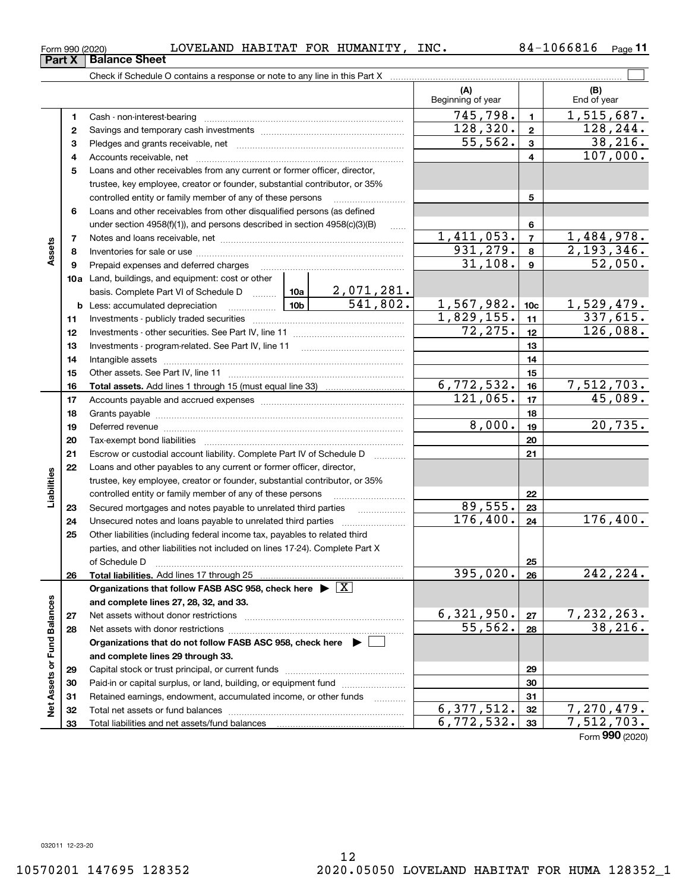### $_{\rm Form}$   $_{990}$   $_{(2020)}$   $_{\rm LOVELAND}$   $_{\rm HABITAT}$   $_{\rm FOR}$   $_{\rm HUMANITY}$  ,  $_{\rm INC}$  .  $84$   $-10$   $66816$   $_{\rm Page}$

|                             | Form 990 (2020) | LOVELAND HABITAT FOR HUMANITY, INC.                                                                                              |                          |                 | 84-1066816<br>Page 11        |
|-----------------------------|-----------------|----------------------------------------------------------------------------------------------------------------------------------|--------------------------|-----------------|------------------------------|
|                             | Part X          | <b>Balance Sheet</b>                                                                                                             |                          |                 |                              |
|                             |                 |                                                                                                                                  |                          |                 |                              |
|                             |                 |                                                                                                                                  | (A)<br>Beginning of year |                 | (B)<br>End of year           |
|                             | 1               |                                                                                                                                  | 745,798.                 | 1               | $\overline{1,515,687}$ .     |
|                             | 2               |                                                                                                                                  | 128, 320.                | $\mathbf{2}$    | 128, 244.                    |
|                             | з               |                                                                                                                                  | 55,562.                  | 3               | 38, 216.                     |
|                             | 4               |                                                                                                                                  |                          | 4               | 107,000.                     |
|                             | 5               | Loans and other receivables from any current or former officer, director,                                                        |                          |                 |                              |
|                             |                 | trustee, key employee, creator or founder, substantial contributor, or 35%                                                       |                          |                 |                              |
|                             |                 | controlled entity or family member of any of these persons                                                                       |                          | 5               |                              |
|                             | 6               | Loans and other receivables from other disqualified persons (as defined                                                          |                          |                 |                              |
|                             |                 | under section $4958(f)(1)$ , and persons described in section $4958(c)(3)(B)$                                                    |                          | 6               |                              |
|                             | 7               |                                                                                                                                  | <u>1,411,053.</u>        | $\overline{7}$  | <u>1,484,978.</u>            |
| Assets                      | 8               |                                                                                                                                  | 931, 279.                | 8               | 2,193,346.                   |
|                             | 9               | Prepaid expenses and deferred charges                                                                                            | 31,108.                  | 9               | 52,050.                      |
|                             |                 | 10a Land, buildings, and equipment: cost or other                                                                                |                          |                 |                              |
|                             |                 | basis. Complete Part VI of Schedule D $\frac{10a}{2}$ , 071, 281.                                                                |                          |                 |                              |
|                             |                 | 541,802.<br>$\frac{10b}{\sqrt{100}}$<br><b>b</b> Less: accumulated depreciation                                                  | 1,567,982.<br>1,829,155. | 10 <sub>c</sub> | <u>1,529,479.</u>            |
|                             | 11              |                                                                                                                                  |                          | 11              | $\overline{337,615}$ .       |
|                             | 12              |                                                                                                                                  | 72, 275.                 | 12              | 126,088.                     |
|                             | 13              |                                                                                                                                  |                          | 13              |                              |
|                             | 14              |                                                                                                                                  |                          | 14              |                              |
|                             | 15              |                                                                                                                                  |                          | 15              |                              |
|                             | 16              |                                                                                                                                  | 6,772,532.               | 16              | <u>7,512,703.</u>            |
|                             | 17              |                                                                                                                                  | 121,065.                 | 17              | 45,089.                      |
|                             | 18              |                                                                                                                                  |                          | 18              |                              |
|                             | 19              |                                                                                                                                  | 8,000.                   | 19              | 20, 735.                     |
|                             | 20              |                                                                                                                                  |                          | 20              |                              |
|                             | 21              | Escrow or custodial account liability. Complete Part IV of Schedule D                                                            |                          | 21              |                              |
|                             | 22              | Loans and other payables to any current or former officer, director,                                                             |                          |                 |                              |
| Liabilities                 |                 | trustee, key employee, creator or founder, substantial contributor, or 35%                                                       |                          |                 |                              |
|                             |                 | controlled entity or family member of any of these persons                                                                       |                          | 22              |                              |
|                             | 23              | Secured mortgages and notes payable to unrelated third parties                                                                   | 89,555.                  | 23              |                              |
|                             | 24              |                                                                                                                                  | 176,400.                 | 24              | 176,400.                     |
|                             | 25              | Other liabilities (including federal income tax, payables to related third                                                       |                          |                 |                              |
|                             |                 | parties, and other liabilities not included on lines 17-24). Complete Part X                                                     |                          |                 |                              |
|                             |                 | of Schedule D                                                                                                                    | 395,020.                 | 25              | 242,224.                     |
|                             | 26              | Total liabilities. Add lines 17 through 25<br>Organizations that follow FASB ASC 958, check here $\blacktriangleright \boxed{X}$ |                          | 26              |                              |
|                             |                 | and complete lines 27, 28, 32, and 33.                                                                                           |                          |                 |                              |
|                             | 27              |                                                                                                                                  | 6,321,950.               | 27              |                              |
|                             | 28              | Net assets with donor restrictions                                                                                               | 55,562.                  | 28              | $\frac{7,232,263.}{38,216.}$ |
|                             |                 | Organizations that do not follow FASB ASC 958, check here $\blacktriangleright$                                                  |                          |                 |                              |
|                             |                 | and complete lines 29 through 33.                                                                                                |                          |                 |                              |
|                             | 29              |                                                                                                                                  |                          | 29              |                              |
|                             | 30              | Paid-in or capital surplus, or land, building, or equipment fund                                                                 |                          | 30              |                              |
|                             | 31              | Retained earnings, endowment, accumulated income, or other funds                                                                 |                          | 31              |                              |
| Net Assets or Fund Balances | 32              | Total net assets or fund balances                                                                                                | 6, 377, 512.             | 32              | 7,270,479.                   |
|                             | 33              | Total liabilities and net assets/fund balances                                                                                   | 6, 772, 532.             | 33              | 7,512,703.                   |
|                             |                 |                                                                                                                                  |                          |                 |                              |

Form (2020) **990**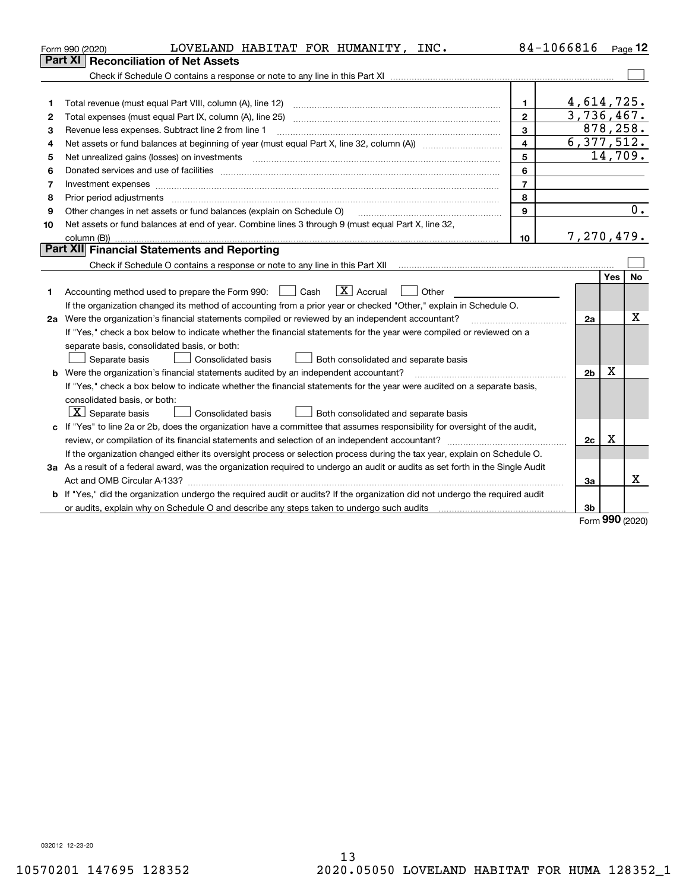|    | LOVELAND HABITAT FOR HUMANITY, INC.<br>Form 990 (2020)                                                                          |                | 84-1066816     |      | Page $12$        |
|----|---------------------------------------------------------------------------------------------------------------------------------|----------------|----------------|------|------------------|
|    | <b>Part XI   Reconciliation of Net Assets</b>                                                                                   |                |                |      |                  |
|    |                                                                                                                                 |                |                |      |                  |
|    |                                                                                                                                 |                |                |      |                  |
| 1  |                                                                                                                                 | 1              | 4,614,725.     |      |                  |
| 2  |                                                                                                                                 | $\mathbf{2}$   | 3,736,467.     |      |                  |
| З  | Revenue less expenses. Subtract line 2 from line 1                                                                              | 3              | 878,258.       |      |                  |
| 4  |                                                                                                                                 | 4              | 6,377,512.     |      |                  |
| 5  | Net unrealized gains (losses) on investments                                                                                    | 5              |                |      | 14,709.          |
| 6  |                                                                                                                                 | 6              |                |      |                  |
| 7  |                                                                                                                                 | $\overline{7}$ |                |      |                  |
| 8  |                                                                                                                                 | 8              |                |      |                  |
| 9  | Other changes in net assets or fund balances (explain on Schedule O)                                                            | 9              |                |      | $\overline{0}$ . |
| 10 | Net assets or fund balances at end of year. Combine lines 3 through 9 (must equal Part X, line 32,                              |                |                |      |                  |
|    |                                                                                                                                 | 10             | 7,270,479.     |      |                  |
|    | Part XII Financial Statements and Reporting                                                                                     |                |                |      |                  |
|    |                                                                                                                                 |                |                |      |                  |
|    |                                                                                                                                 |                |                | Yes  | <b>No</b>        |
| 1  | $\boxed{\mathbf{X}}$ Accrual<br>Accounting method used to prepare the Form 990: <u>June</u> Cash<br>Other                       |                |                |      |                  |
|    | If the organization changed its method of accounting from a prior year or checked "Other," explain in Schedule O.               |                |                |      |                  |
|    | 2a Were the organization's financial statements compiled or reviewed by an independent accountant?                              |                | 2a             |      | х                |
|    | If "Yes," check a box below to indicate whether the financial statements for the year were compiled or reviewed on a            |                |                |      |                  |
|    | separate basis, consolidated basis, or both:                                                                                    |                |                |      |                  |
|    | Separate basis<br>Consolidated basis<br>Both consolidated and separate basis                                                    |                |                |      |                  |
|    | <b>b</b> Were the organization's financial statements audited by an independent accountant?                                     |                | 2 <sub>b</sub> | х    |                  |
|    | If "Yes," check a box below to indicate whether the financial statements for the year were audited on a separate basis,         |                |                |      |                  |
|    | consolidated basis, or both:                                                                                                    |                |                |      |                  |
|    | $X$ Separate basis<br><b>Consolidated basis</b><br>Both consolidated and separate basis                                         |                |                |      |                  |
|    | c If "Yes" to line 2a or 2b, does the organization have a committee that assumes responsibility for oversight of the audit,     |                |                |      |                  |
|    |                                                                                                                                 |                | 2c             | x    |                  |
|    | If the organization changed either its oversight process or selection process during the tax year, explain on Schedule O.       |                |                |      |                  |
|    | 3a As a result of a federal award, was the organization required to undergo an audit or audits as set forth in the Single Audit |                |                |      |                  |
|    |                                                                                                                                 |                | 3a             |      | x                |
| b  | If "Yes," did the organization undergo the required audit or audits? If the organization did not undergo the required audit     |                |                |      |                  |
|    | or audits, explain why on Schedule O and describe any steps taken to undergo such audits [11] content to under                  |                | 3b             | nn n |                  |

Form (2020) **990**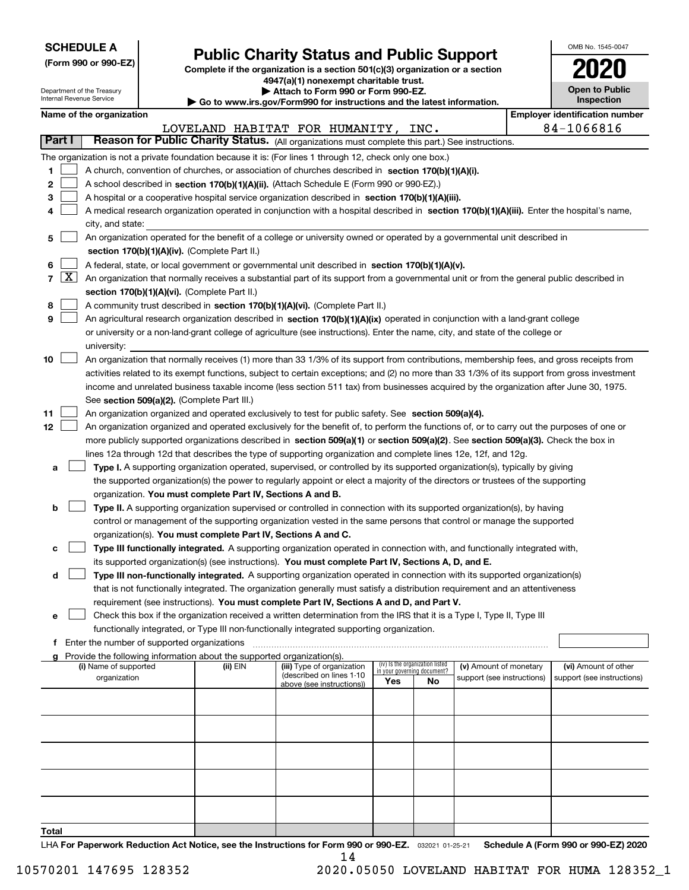| <b>SCHEDULE A</b> |
|-------------------|
|-------------------|

Department of the Treasury Internal Revenue Service

**(Form 990 or 990-EZ)**

# **Public Charity Status and Public Support**

**Complete if the organization is a section 501(c)(3) organization or a section 4947(a)(1) nonexempt charitable trust. | Attach to Form 990 or Form 990-EZ.** 

| ▶ Go to www.irs.gov/Form990 for instructions and the latest information. |
|--------------------------------------------------------------------------|

| OMB No. 1545-0047                   |  |
|-------------------------------------|--|
| 2020                                |  |
| <b>Open to Public</b><br>Inspection |  |

 $\mathbf{I}$ 

|  | Name of the organization |
|--|--------------------------|
|--|--------------------------|

|        |                                                                                                                                               | Name of the organization                                                                                                                                                                                            |          |                                                       |                             |                                 |                            |  | <b>Employer identification number</b> |  |  |
|--------|-----------------------------------------------------------------------------------------------------------------------------------------------|---------------------------------------------------------------------------------------------------------------------------------------------------------------------------------------------------------------------|----------|-------------------------------------------------------|-----------------------------|---------------------------------|----------------------------|--|---------------------------------------|--|--|
| Part I |                                                                                                                                               | Reason for Public Charity Status. (All organizations must complete this part.) See instructions.                                                                                                                    |          | LOVELAND HABITAT FOR HUMANITY, INC.                   |                             |                                 |                            |  | 84-1066816                            |  |  |
|        |                                                                                                                                               |                                                                                                                                                                                                                     |          |                                                       |                             |                                 |                            |  |                                       |  |  |
|        |                                                                                                                                               | The organization is not a private foundation because it is: (For lines 1 through 12, check only one box.)                                                                                                           |          |                                                       |                             |                                 |                            |  |                                       |  |  |
| 1      |                                                                                                                                               | A church, convention of churches, or association of churches described in section 170(b)(1)(A)(i).                                                                                                                  |          |                                                       |                             |                                 |                            |  |                                       |  |  |
| 2      |                                                                                                                                               | A school described in section 170(b)(1)(A)(ii). (Attach Schedule E (Form 990 or 990-EZ).)                                                                                                                           |          |                                                       |                             |                                 |                            |  |                                       |  |  |
| 3      |                                                                                                                                               | A hospital or a cooperative hospital service organization described in section $170(b)(1)(A)(iii)$ .                                                                                                                |          |                                                       |                             |                                 |                            |  |                                       |  |  |
| 4      | A medical research organization operated in conjunction with a hospital described in section 170(b)(1)(A)(iii). Enter the hospital's name,    |                                                                                                                                                                                                                     |          |                                                       |                             |                                 |                            |  |                                       |  |  |
| 5      | city, and state:<br>An organization operated for the benefit of a college or university owned or operated by a governmental unit described in |                                                                                                                                                                                                                     |          |                                                       |                             |                                 |                            |  |                                       |  |  |
|        |                                                                                                                                               |                                                                                                                                                                                                                     |          |                                                       |                             |                                 |                            |  |                                       |  |  |
| 6      |                                                                                                                                               | section 170(b)(1)(A)(iv). (Complete Part II.)<br>A federal, state, or local government or governmental unit described in section 170(b)(1)(A)(v).                                                                   |          |                                                       |                             |                                 |                            |  |                                       |  |  |
|        | $7 \times$                                                                                                                                    | An organization that normally receives a substantial part of its support from a governmental unit or from the general public described in                                                                           |          |                                                       |                             |                                 |                            |  |                                       |  |  |
|        |                                                                                                                                               | section 170(b)(1)(A)(vi). (Complete Part II.)                                                                                                                                                                       |          |                                                       |                             |                                 |                            |  |                                       |  |  |
| 8      |                                                                                                                                               | A community trust described in section 170(b)(1)(A)(vi). (Complete Part II.)                                                                                                                                        |          |                                                       |                             |                                 |                            |  |                                       |  |  |
| 9      |                                                                                                                                               | An agricultural research organization described in section 170(b)(1)(A)(ix) operated in conjunction with a land-grant college                                                                                       |          |                                                       |                             |                                 |                            |  |                                       |  |  |
|        |                                                                                                                                               | or university or a non-land-grant college of agriculture (see instructions). Enter the name, city, and state of the college or                                                                                      |          |                                                       |                             |                                 |                            |  |                                       |  |  |
|        |                                                                                                                                               | university:                                                                                                                                                                                                         |          |                                                       |                             |                                 |                            |  |                                       |  |  |
| 10     |                                                                                                                                               | An organization that normally receives (1) more than 33 1/3% of its support from contributions, membership fees, and gross receipts from                                                                            |          |                                                       |                             |                                 |                            |  |                                       |  |  |
|        |                                                                                                                                               | activities related to its exempt functions, subject to certain exceptions; and (2) no more than 33 1/3% of its support from gross investment                                                                        |          |                                                       |                             |                                 |                            |  |                                       |  |  |
|        |                                                                                                                                               | income and unrelated business taxable income (less section 511 tax) from businesses acquired by the organization after June 30, 1975.                                                                               |          |                                                       |                             |                                 |                            |  |                                       |  |  |
|        |                                                                                                                                               | See section 509(a)(2). (Complete Part III.)                                                                                                                                                                         |          |                                                       |                             |                                 |                            |  |                                       |  |  |
| 11     |                                                                                                                                               | An organization organized and operated exclusively to test for public safety. See section 509(a)(4).                                                                                                                |          |                                                       |                             |                                 |                            |  |                                       |  |  |
| 12     |                                                                                                                                               | An organization organized and operated exclusively for the benefit of, to perform the functions of, or to carry out the purposes of one or                                                                          |          |                                                       |                             |                                 |                            |  |                                       |  |  |
|        |                                                                                                                                               | more publicly supported organizations described in section 509(a)(1) or section 509(a)(2). See section 509(a)(3). Check the box in                                                                                  |          |                                                       |                             |                                 |                            |  |                                       |  |  |
|        |                                                                                                                                               | lines 12a through 12d that describes the type of supporting organization and complete lines 12e, 12f, and 12g.                                                                                                      |          |                                                       |                             |                                 |                            |  |                                       |  |  |
| а      |                                                                                                                                               | <b>Type I.</b> A supporting organization operated, supervised, or controlled by its supported organization(s), typically by giving                                                                                  |          |                                                       |                             |                                 |                            |  |                                       |  |  |
|        |                                                                                                                                               | the supported organization(s) the power to regularly appoint or elect a majority of the directors or trustees of the supporting                                                                                     |          |                                                       |                             |                                 |                            |  |                                       |  |  |
|        |                                                                                                                                               | organization. You must complete Part IV, Sections A and B.                                                                                                                                                          |          |                                                       |                             |                                 |                            |  |                                       |  |  |
| b      |                                                                                                                                               | Type II. A supporting organization supervised or controlled in connection with its supported organization(s), by having                                                                                             |          |                                                       |                             |                                 |                            |  |                                       |  |  |
|        |                                                                                                                                               | control or management of the supporting organization vested in the same persons that control or manage the supported                                                                                                |          |                                                       |                             |                                 |                            |  |                                       |  |  |
|        |                                                                                                                                               | organization(s). You must complete Part IV, Sections A and C.                                                                                                                                                       |          |                                                       |                             |                                 |                            |  |                                       |  |  |
| с      |                                                                                                                                               | Type III functionally integrated. A supporting organization operated in connection with, and functionally integrated with,                                                                                          |          |                                                       |                             |                                 |                            |  |                                       |  |  |
|        |                                                                                                                                               | its supported organization(s) (see instructions). You must complete Part IV, Sections A, D, and E.                                                                                                                  |          |                                                       |                             |                                 |                            |  |                                       |  |  |
| d      |                                                                                                                                               | Type III non-functionally integrated. A supporting organization operated in connection with its supported organization(s)                                                                                           |          |                                                       |                             |                                 |                            |  |                                       |  |  |
|        |                                                                                                                                               | that is not functionally integrated. The organization generally must satisfy a distribution requirement and an attentiveness                                                                                        |          |                                                       |                             |                                 |                            |  |                                       |  |  |
|        |                                                                                                                                               | requirement (see instructions). You must complete Part IV, Sections A and D, and Part V.<br>Check this box if the organization received a written determination from the IRS that it is a Type I, Type II, Type III |          |                                                       |                             |                                 |                            |  |                                       |  |  |
|        |                                                                                                                                               | functionally integrated, or Type III non-functionally integrated supporting organization.                                                                                                                           |          |                                                       |                             |                                 |                            |  |                                       |  |  |
|        |                                                                                                                                               | f Enter the number of supported organizations                                                                                                                                                                       |          |                                                       |                             |                                 |                            |  |                                       |  |  |
|        |                                                                                                                                               | g Provide the following information about the supported organization(s).                                                                                                                                            |          |                                                       |                             |                                 |                            |  |                                       |  |  |
|        |                                                                                                                                               | (i) Name of supported                                                                                                                                                                                               | (ii) EIN | (iii) Type of organization                            | in your governing document? | (iv) Is the organization listed | (v) Amount of monetary     |  | (vi) Amount of other                  |  |  |
|        |                                                                                                                                               | organization                                                                                                                                                                                                        |          | (described on lines 1-10<br>above (see instructions)) | Yes                         | No                              | support (see instructions) |  | support (see instructions)            |  |  |
|        |                                                                                                                                               |                                                                                                                                                                                                                     |          |                                                       |                             |                                 |                            |  |                                       |  |  |
|        |                                                                                                                                               |                                                                                                                                                                                                                     |          |                                                       |                             |                                 |                            |  |                                       |  |  |
|        |                                                                                                                                               |                                                                                                                                                                                                                     |          |                                                       |                             |                                 |                            |  |                                       |  |  |
|        |                                                                                                                                               |                                                                                                                                                                                                                     |          |                                                       |                             |                                 |                            |  |                                       |  |  |
|        |                                                                                                                                               |                                                                                                                                                                                                                     |          |                                                       |                             |                                 |                            |  |                                       |  |  |
|        |                                                                                                                                               |                                                                                                                                                                                                                     |          |                                                       |                             |                                 |                            |  |                                       |  |  |
|        |                                                                                                                                               |                                                                                                                                                                                                                     |          |                                                       |                             |                                 |                            |  |                                       |  |  |
|        |                                                                                                                                               |                                                                                                                                                                                                                     |          |                                                       |                             |                                 |                            |  |                                       |  |  |
|        |                                                                                                                                               |                                                                                                                                                                                                                     |          |                                                       |                             |                                 |                            |  |                                       |  |  |
|        |                                                                                                                                               |                                                                                                                                                                                                                     |          |                                                       |                             |                                 |                            |  |                                       |  |  |
| Total  |                                                                                                                                               |                                                                                                                                                                                                                     |          |                                                       |                             |                                 |                            |  |                                       |  |  |

LHA For Paperwork Reduction Act Notice, see the Instructions for Form 990 or 990-EZ. <sub>032021</sub> o1-25-21 Schedule A (Form 990 or 990-EZ) 2020 14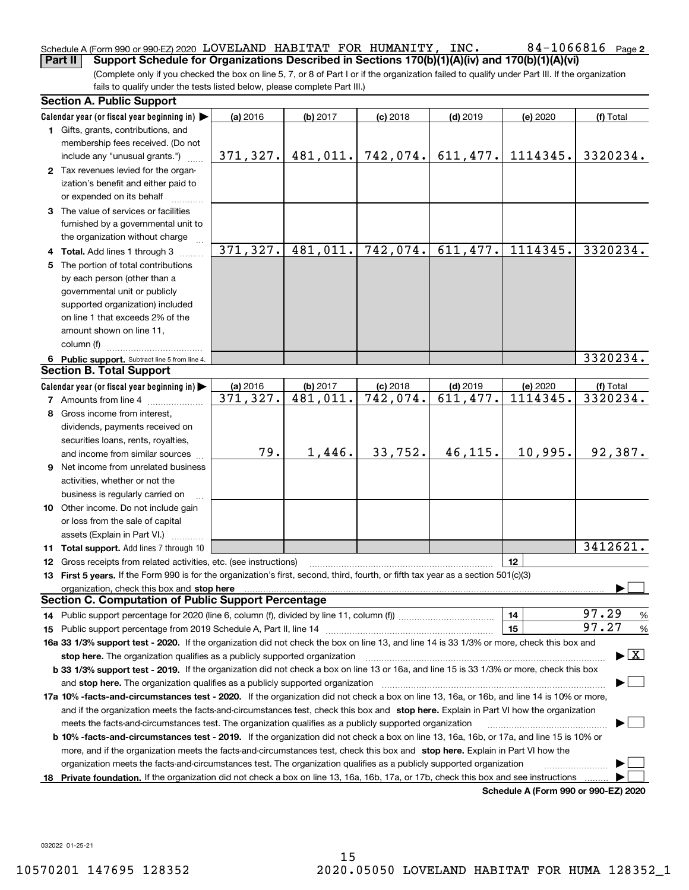### 84-1066816 Page 2 Schedule A (Form 990 or 990-EZ) 2020 Page LOVELAND HABITAT FOR HUMANITY, INC. 84-1066816 **Part II Support Schedule for Organizations Described in Sections 170(b)(1)(A)(iv) and 170(b)(1)(A)(vi)**

(Complete only if you checked the box on line 5, 7, or 8 of Part I or if the organization failed to qualify under Part III. If the organization fails to qualify under the tests listed below, please complete Part III.)

|    | <b>Section A. Public Support</b>                                                                                                                                                                                               |           |                        |                         |            |                                      |                                          |
|----|--------------------------------------------------------------------------------------------------------------------------------------------------------------------------------------------------------------------------------|-----------|------------------------|-------------------------|------------|--------------------------------------|------------------------------------------|
|    | Calendar year (or fiscal year beginning in) $\blacktriangleright$                                                                                                                                                              | (a) 2016  | (b) 2017               | $(c)$ 2018              | $(d)$ 2019 | (e) 2020                             | (f) Total                                |
|    | 1 Gifts, grants, contributions, and                                                                                                                                                                                            |           |                        |                         |            |                                      |                                          |
|    | membership fees received. (Do not                                                                                                                                                                                              |           |                        |                         |            |                                      |                                          |
|    | include any "unusual grants.")                                                                                                                                                                                                 | 371, 327. | 481,011.               | 742,074.                | 611,477.   | 1114345.                             | 3320234.                                 |
|    | 2 Tax revenues levied for the organ-                                                                                                                                                                                           |           |                        |                         |            |                                      |                                          |
|    | ization's benefit and either paid to                                                                                                                                                                                           |           |                        |                         |            |                                      |                                          |
|    | or expended on its behalf                                                                                                                                                                                                      |           |                        |                         |            |                                      |                                          |
|    | 3 The value of services or facilities                                                                                                                                                                                          |           |                        |                         |            |                                      |                                          |
|    | furnished by a governmental unit to                                                                                                                                                                                            |           |                        |                         |            |                                      |                                          |
|    | the organization without charge                                                                                                                                                                                                |           |                        |                         |            |                                      |                                          |
|    | 4 Total. Add lines 1 through 3                                                                                                                                                                                                 | 371, 327. | 481,011.               | 742,074.                | 611,477.   | 1114345.                             | 3320234.                                 |
|    | 5 The portion of total contributions                                                                                                                                                                                           |           |                        |                         |            |                                      |                                          |
|    | by each person (other than a                                                                                                                                                                                                   |           |                        |                         |            |                                      |                                          |
|    | governmental unit or publicly                                                                                                                                                                                                  |           |                        |                         |            |                                      |                                          |
|    | supported organization) included                                                                                                                                                                                               |           |                        |                         |            |                                      |                                          |
|    | on line 1 that exceeds 2% of the                                                                                                                                                                                               |           |                        |                         |            |                                      |                                          |
|    | amount shown on line 11,                                                                                                                                                                                                       |           |                        |                         |            |                                      |                                          |
|    | column (f)                                                                                                                                                                                                                     |           |                        |                         |            |                                      |                                          |
|    | 6 Public support. Subtract line 5 from line 4.                                                                                                                                                                                 |           |                        |                         |            |                                      | 3320234.                                 |
|    | <b>Section B. Total Support</b>                                                                                                                                                                                                |           |                        |                         |            |                                      |                                          |
|    | Calendar year (or fiscal year beginning in)                                                                                                                                                                                    | (a) 2016  | (b) 2017               | $(c)$ 2018              | $(d)$ 2019 | (e) 2020                             | (f) Total                                |
|    | <b>7</b> Amounts from line 4                                                                                                                                                                                                   | 371,327.  | $\overline{481,011}$ . | $\overline{742}$ , 074. | 611,477.   | 1114345.                             | 3320234.                                 |
|    | 8 Gross income from interest,                                                                                                                                                                                                  |           |                        |                         |            |                                      |                                          |
|    | dividends, payments received on                                                                                                                                                                                                |           |                        |                         |            |                                      |                                          |
|    | securities loans, rents, royalties,                                                                                                                                                                                            |           |                        |                         |            |                                      |                                          |
|    | and income from similar sources                                                                                                                                                                                                | 79.       | 1,446.                 | 33,752.                 | 46,115.    | 10,995.                              | 92,387.                                  |
|    | <b>9</b> Net income from unrelated business                                                                                                                                                                                    |           |                        |                         |            |                                      |                                          |
|    | activities, whether or not the                                                                                                                                                                                                 |           |                        |                         |            |                                      |                                          |
|    | business is regularly carried on                                                                                                                                                                                               |           |                        |                         |            |                                      |                                          |
|    | 10 Other income. Do not include gain                                                                                                                                                                                           |           |                        |                         |            |                                      |                                          |
|    | or loss from the sale of capital                                                                                                                                                                                               |           |                        |                         |            |                                      |                                          |
|    | assets (Explain in Part VI.)                                                                                                                                                                                                   |           |                        |                         |            |                                      |                                          |
|    | 11 Total support. Add lines 7 through 10                                                                                                                                                                                       |           |                        |                         |            |                                      | 3412621.                                 |
|    | 12 Gross receipts from related activities, etc. (see instructions)                                                                                                                                                             |           |                        |                         |            | 12                                   |                                          |
|    | 13 First 5 years. If the Form 990 is for the organization's first, second, third, fourth, or fifth tax year as a section 501(c)(3)                                                                                             |           |                        |                         |            |                                      |                                          |
|    | organization, check this box and stop here manufactured and according to the state of the state of the state of the state of the state of the state of the state of the state of the state of the state of the state of the st |           |                        |                         |            |                                      |                                          |
|    | <b>Section C. Computation of Public Support Percentage</b>                                                                                                                                                                     |           |                        |                         |            |                                      |                                          |
|    |                                                                                                                                                                                                                                |           |                        |                         |            | 14                                   | 97.29<br>%                               |
|    |                                                                                                                                                                                                                                |           |                        |                         |            | 15                                   | 97.27<br>$\%$                            |
|    | 16a 33 1/3% support test - 2020. If the organization did not check the box on line 13, and line 14 is 33 1/3% or more, check this box and                                                                                      |           |                        |                         |            |                                      |                                          |
|    | stop here. The organization qualifies as a publicly supported organization                                                                                                                                                     |           |                        |                         |            |                                      | $\blacktriangleright$ $\boxed{\text{X}}$ |
|    | b 33 1/3% support test - 2019. If the organization did not check a box on line 13 or 16a, and line 15 is 33 1/3% or more, check this box                                                                                       |           |                        |                         |            |                                      |                                          |
|    | and stop here. The organization qualifies as a publicly supported organization                                                                                                                                                 |           |                        |                         |            |                                      |                                          |
|    | 17a 10% -facts-and-circumstances test - 2020. If the organization did not check a box on line 13, 16a, or 16b, and line 14 is 10% or more,                                                                                     |           |                        |                         |            |                                      |                                          |
|    | and if the organization meets the facts-and-circumstances test, check this box and stop here. Explain in Part VI how the organization                                                                                          |           |                        |                         |            |                                      |                                          |
|    | meets the facts-and-circumstances test. The organization qualifies as a publicly supported organization                                                                                                                        |           |                        |                         |            |                                      |                                          |
|    | <b>b 10% -facts-and-circumstances test - 2019.</b> If the organization did not check a box on line 13, 16a, 16b, or 17a, and line 15 is 10% or                                                                                 |           |                        |                         |            |                                      |                                          |
|    | more, and if the organization meets the facts-and-circumstances test, check this box and stop here. Explain in Part VI how the                                                                                                 |           |                        |                         |            |                                      |                                          |
|    | organization meets the facts-and-circumstances test. The organization qualifies as a publicly supported organization                                                                                                           |           |                        |                         |            |                                      |                                          |
| 18 | Private foundation. If the organization did not check a box on line 13, 16a, 16b, 17a, or 17b, check this box and see instructions                                                                                             |           |                        |                         |            |                                      |                                          |
|    |                                                                                                                                                                                                                                |           |                        |                         |            | Schodule A (Form 000 or 000 F7) 2020 |                                          |

**Schedule A (Form 990 or 990-EZ) 2020**

032022 01-25-21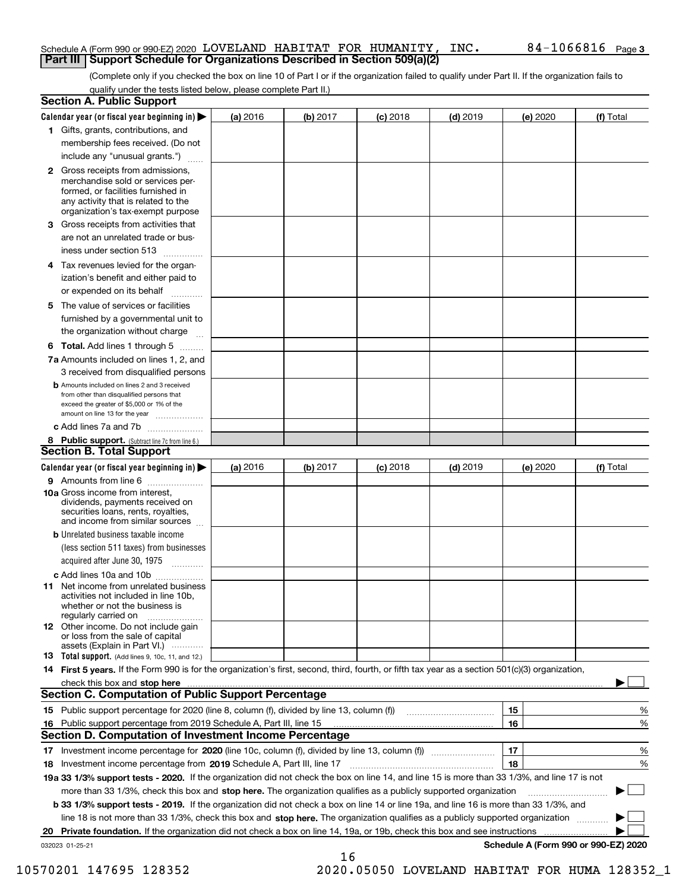### Schedule A (Form 990 or 990-EZ) 2020 Page LOVELAND HABITAT FOR HUMANITY, INC. 84-1066816 **Part III Support Schedule for Organizations Described in Section 509(a)(2)**

(Complete only if you checked the box on line 10 of Part I or if the organization failed to qualify under Part II. If the organization fails to qualify under the tests listed below, please complete Part II.)

|     | <b>Section A. Public Support</b>                                                                                                                                                                                              |          |          |            |            |          |                                      |
|-----|-------------------------------------------------------------------------------------------------------------------------------------------------------------------------------------------------------------------------------|----------|----------|------------|------------|----------|--------------------------------------|
|     | Calendar year (or fiscal year beginning in) $\blacktriangleright$                                                                                                                                                             | (a) 2016 | (b) 2017 | $(c)$ 2018 | $(d)$ 2019 | (e) 2020 | (f) Total                            |
|     | 1 Gifts, grants, contributions, and                                                                                                                                                                                           |          |          |            |            |          |                                      |
|     | membership fees received. (Do not                                                                                                                                                                                             |          |          |            |            |          |                                      |
|     | include any "unusual grants.")                                                                                                                                                                                                |          |          |            |            |          |                                      |
|     | 2 Gross receipts from admissions,<br>merchandise sold or services per-<br>formed, or facilities furnished in<br>any activity that is related to the<br>organization's tax-exempt purpose                                      |          |          |            |            |          |                                      |
|     | 3 Gross receipts from activities that<br>are not an unrelated trade or bus-                                                                                                                                                   |          |          |            |            |          |                                      |
|     | iness under section 513                                                                                                                                                                                                       |          |          |            |            |          |                                      |
|     | 4 Tax revenues levied for the organ-                                                                                                                                                                                          |          |          |            |            |          |                                      |
|     | ization's benefit and either paid to<br>or expended on its behalf<br>.                                                                                                                                                        |          |          |            |            |          |                                      |
|     | 5 The value of services or facilities                                                                                                                                                                                         |          |          |            |            |          |                                      |
|     | furnished by a governmental unit to                                                                                                                                                                                           |          |          |            |            |          |                                      |
|     | the organization without charge                                                                                                                                                                                               |          |          |            |            |          |                                      |
|     | <b>6 Total.</b> Add lines 1 through 5                                                                                                                                                                                         |          |          |            |            |          |                                      |
|     | 7a Amounts included on lines 1, 2, and<br>3 received from disqualified persons                                                                                                                                                |          |          |            |            |          |                                      |
|     | <b>b</b> Amounts included on lines 2 and 3 received<br>from other than disqualified persons that<br>exceed the greater of \$5,000 or 1% of the<br>amount on line 13 for the year                                              |          |          |            |            |          |                                      |
|     | c Add lines 7a and 7b                                                                                                                                                                                                         |          |          |            |            |          |                                      |
|     | 8 Public support. (Subtract line 7c from line 6.)<br><b>Section B. Total Support</b>                                                                                                                                          |          |          |            |            |          |                                      |
|     | Calendar year (or fiscal year beginning in)                                                                                                                                                                                   | (a) 2016 | (b) 2017 | $(c)$ 2018 | $(d)$ 2019 | (e) 2020 | (f) Total                            |
|     | 9 Amounts from line 6                                                                                                                                                                                                         |          |          |            |            |          |                                      |
|     | <b>10a</b> Gross income from interest,<br>dividends, payments received on<br>securities loans, rents, royalties,<br>and income from similar sources                                                                           |          |          |            |            |          |                                      |
|     | <b>b</b> Unrelated business taxable income                                                                                                                                                                                    |          |          |            |            |          |                                      |
|     | (less section 511 taxes) from businesses                                                                                                                                                                                      |          |          |            |            |          |                                      |
|     | acquired after June 30, 1975                                                                                                                                                                                                  |          |          |            |            |          |                                      |
|     | c Add lines 10a and 10b                                                                                                                                                                                                       |          |          |            |            |          |                                      |
|     | 11 Net income from unrelated business<br>activities not included in line 10b,<br>whether or not the business is<br>regularly carried on                                                                                       |          |          |            |            |          |                                      |
|     | 12 Other income. Do not include gain<br>or loss from the sale of capital<br>assets (Explain in Part VI.)                                                                                                                      |          |          |            |            |          |                                      |
|     | <b>13</b> Total support. (Add lines 9, 10c, 11, and 12.)                                                                                                                                                                      |          |          |            |            |          |                                      |
|     | 14 First 5 years. If the Form 990 is for the organization's first, second, third, fourth, or fifth tax year as a section 501(c)(3) organization,                                                                              |          |          |            |            |          |                                      |
|     | check this box and stop here measurements and the control of the state of the control of the state of the control of the control of the control of the control of the control of the control of the control of the control of |          |          |            |            |          |                                      |
|     | <b>Section C. Computation of Public Support Percentage</b>                                                                                                                                                                    |          |          |            |            |          |                                      |
|     | 15 Public support percentage for 2020 (line 8, column (f), divided by line 13, column (f))                                                                                                                                    |          |          |            |            | 15       | %                                    |
| 16. | Public support percentage from 2019 Schedule A, Part III, line 15                                                                                                                                                             |          |          |            |            | 16       | %                                    |
|     | <b>Section D. Computation of Investment Income Percentage</b>                                                                                                                                                                 |          |          |            |            |          |                                      |
|     | 17 Investment income percentage for 2020 (line 10c, column (f), divided by line 13, column (f))                                                                                                                               |          |          |            |            | 17       | %                                    |
|     | 18 Investment income percentage from 2019 Schedule A, Part III, line 17                                                                                                                                                       |          |          |            |            | 18       | %                                    |
|     | 19a 33 1/3% support tests - 2020. If the organization did not check the box on line 14, and line 15 is more than 33 1/3%, and line 17 is not                                                                                  |          |          |            |            |          |                                      |
|     | more than 33 1/3%, check this box and stop here. The organization qualifies as a publicly supported organization                                                                                                              |          |          |            |            |          | ▶                                    |
|     | <b>b 33 1/3% support tests - 2019.</b> If the organization did not check a box on line 14 or line 19a, and line 16 is more than 33 1/3%, and                                                                                  |          |          |            |            |          |                                      |
|     | line 18 is not more than 33 1/3%, check this box and stop here. The organization qualifies as a publicly supported organization                                                                                               |          |          |            |            |          |                                      |
|     | 20 Private foundation. If the organization did not check a box on line 14, 19a, or 19b, check this box and see instructions                                                                                                   |          |          |            |            |          |                                      |
|     | 032023 01-25-21                                                                                                                                                                                                               |          | 16       |            |            |          | Schedule A (Form 990 or 990-EZ) 2020 |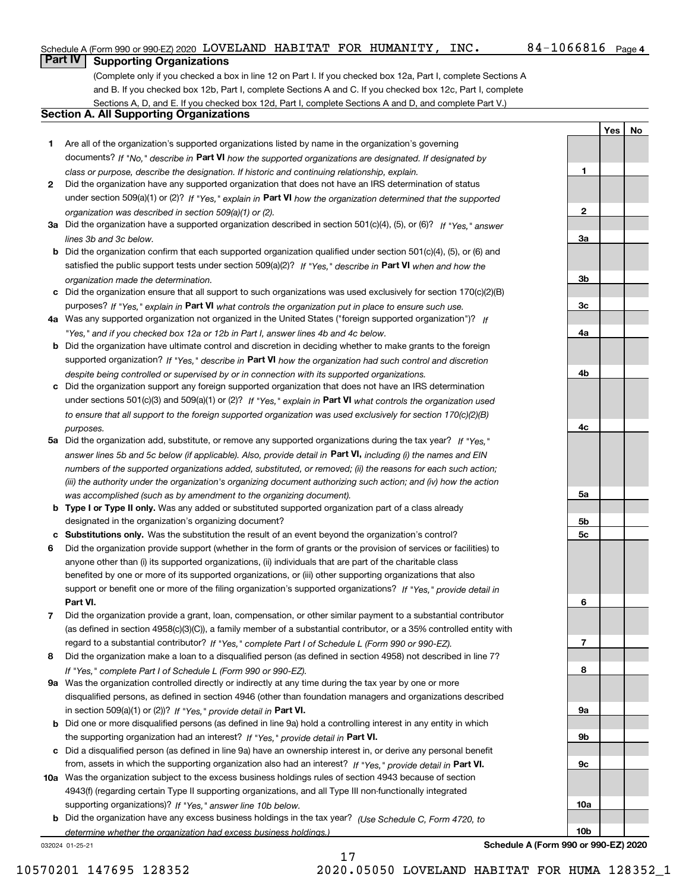**1**

**2**

**3a**

**3b**

**3c**

**4a**

**4b**

**4c**

**5a**

**5b5c**

**6**

**7**

**8**

**9a**

**9b**

**9c**

**10a**

**10b**

**YesNo**

## **Part IV Supporting Organizations**

(Complete only if you checked a box in line 12 on Part I. If you checked box 12a, Part I, complete Sections A and B. If you checked box 12b, Part I, complete Sections A and C. If you checked box 12c, Part I, complete Sections A, D, and E. If you checked box 12d, Part I, complete Sections A and D, and complete Part V.)

### **Section A. All Supporting Organizations**

- **1** Are all of the organization's supported organizations listed by name in the organization's governing documents? If "No," describe in **Part VI** how the supported organizations are designated. If designated by *class or purpose, describe the designation. If historic and continuing relationship, explain.*
- **2** Did the organization have any supported organization that does not have an IRS determination of status under section 509(a)(1) or (2)? If "Yes," explain in Part VI how the organization determined that the supported *organization was described in section 509(a)(1) or (2).*
- **3a** Did the organization have a supported organization described in section 501(c)(4), (5), or (6)? If "Yes," answer *lines 3b and 3c below.*
- **b** Did the organization confirm that each supported organization qualified under section 501(c)(4), (5), or (6) and satisfied the public support tests under section 509(a)(2)? If "Yes," describe in **Part VI** when and how the *organization made the determination.*
- **c**Did the organization ensure that all support to such organizations was used exclusively for section 170(c)(2)(B) purposes? If "Yes," explain in **Part VI** what controls the organization put in place to ensure such use.
- **4a***If* Was any supported organization not organized in the United States ("foreign supported organization")? *"Yes," and if you checked box 12a or 12b in Part I, answer lines 4b and 4c below.*
- **b** Did the organization have ultimate control and discretion in deciding whether to make grants to the foreign supported organization? If "Yes," describe in **Part VI** how the organization had such control and discretion *despite being controlled or supervised by or in connection with its supported organizations.*
- **c** Did the organization support any foreign supported organization that does not have an IRS determination under sections 501(c)(3) and 509(a)(1) or (2)? If "Yes," explain in **Part VI** what controls the organization used *to ensure that all support to the foreign supported organization was used exclusively for section 170(c)(2)(B) purposes.*
- **5a** Did the organization add, substitute, or remove any supported organizations during the tax year? If "Yes," answer lines 5b and 5c below (if applicable). Also, provide detail in **Part VI,** including (i) the names and EIN *numbers of the supported organizations added, substituted, or removed; (ii) the reasons for each such action; (iii) the authority under the organization's organizing document authorizing such action; and (iv) how the action was accomplished (such as by amendment to the organizing document).*
- **b** Type I or Type II only. Was any added or substituted supported organization part of a class already designated in the organization's organizing document?
- **cSubstitutions only.**  Was the substitution the result of an event beyond the organization's control?
- **6** Did the organization provide support (whether in the form of grants or the provision of services or facilities) to **Part VI.** *If "Yes," provide detail in* support or benefit one or more of the filing organization's supported organizations? anyone other than (i) its supported organizations, (ii) individuals that are part of the charitable class benefited by one or more of its supported organizations, or (iii) other supporting organizations that also
- **7**Did the organization provide a grant, loan, compensation, or other similar payment to a substantial contributor *If "Yes," complete Part I of Schedule L (Form 990 or 990-EZ).* regard to a substantial contributor? (as defined in section 4958(c)(3)(C)), a family member of a substantial contributor, or a 35% controlled entity with
- **8** Did the organization make a loan to a disqualified person (as defined in section 4958) not described in line 7? *If "Yes," complete Part I of Schedule L (Form 990 or 990-EZ).*
- **9a** Was the organization controlled directly or indirectly at any time during the tax year by one or more in section 509(a)(1) or (2))? If "Yes," *provide detail in* <code>Part VI.</code> disqualified persons, as defined in section 4946 (other than foundation managers and organizations described
- **b** Did one or more disqualified persons (as defined in line 9a) hold a controlling interest in any entity in which the supporting organization had an interest? If "Yes," provide detail in P**art VI**.
- **c**Did a disqualified person (as defined in line 9a) have an ownership interest in, or derive any personal benefit from, assets in which the supporting organization also had an interest? If "Yes," provide detail in P**art VI.**
- **10a** Was the organization subject to the excess business holdings rules of section 4943 because of section supporting organizations)? If "Yes," answer line 10b below. 4943(f) (regarding certain Type II supporting organizations, and all Type III non-functionally integrated
- **b** Did the organization have any excess business holdings in the tax year? (Use Schedule C, Form 4720, to *determine whether the organization had excess business holdings.)*

17

032024 01-25-21

**Schedule A (Form 990 or 990-EZ) 2020**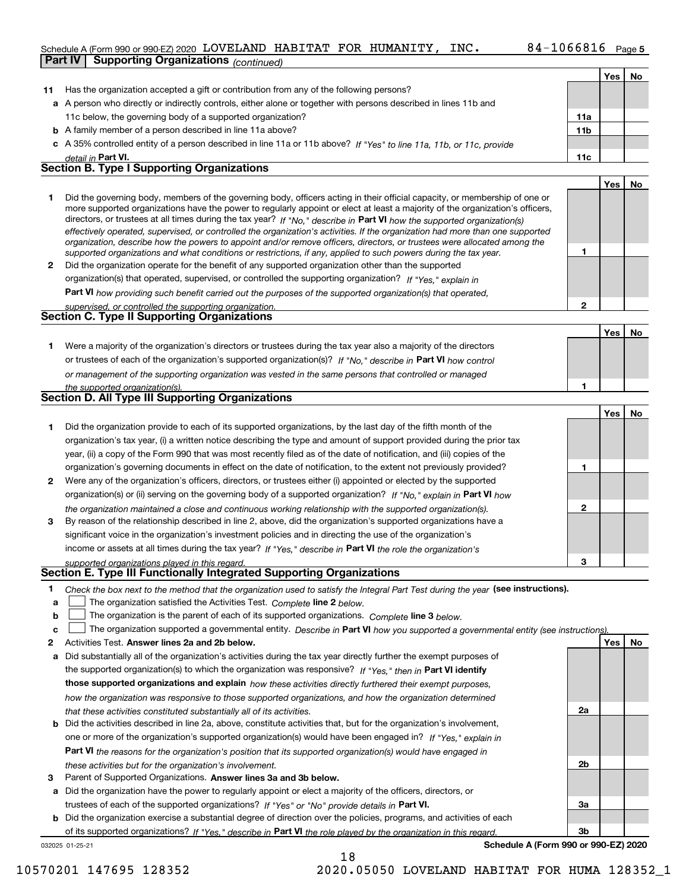### Schedule A (Form 990 or 990-EZ) 2020 Page LOVELAND HABITAT FOR HUMANITY, INC. 84-1066816 **Part IV Supporting Organizations** *(continued)*

|              |                                                                                                                                                                                                                                                           |              | Yes        | No |
|--------------|-----------------------------------------------------------------------------------------------------------------------------------------------------------------------------------------------------------------------------------------------------------|--------------|------------|----|
| 11           | Has the organization accepted a gift or contribution from any of the following persons?                                                                                                                                                                   |              |            |    |
|              | a A person who directly or indirectly controls, either alone or together with persons described in lines 11b and                                                                                                                                          |              |            |    |
|              | 11c below, the governing body of a supported organization?                                                                                                                                                                                                | 11a          |            |    |
|              | <b>b</b> A family member of a person described in line 11a above?                                                                                                                                                                                         | 11b          |            |    |
|              | c A 35% controlled entity of a person described in line 11a or 11b above? If "Yes" to line 11a, 11b, or 11c, provide                                                                                                                                      |              |            |    |
|              | detail in Part VI.                                                                                                                                                                                                                                        | 11c          |            |    |
|              | <b>Section B. Type I Supporting Organizations</b>                                                                                                                                                                                                         |              |            |    |
|              |                                                                                                                                                                                                                                                           |              | Yes        | No |
| 1            | Did the governing body, members of the governing body, officers acting in their official capacity, or membership of one or                                                                                                                                |              |            |    |
|              | more supported organizations have the power to regularly appoint or elect at least a majority of the organization's officers,                                                                                                                             |              |            |    |
|              | directors, or trustees at all times during the tax year? If "No," describe in Part VI how the supported organization(s)<br>effectively operated, supervised, or controlled the organization's activities. If the organization had more than one supported |              |            |    |
|              | organization, describe how the powers to appoint and/or remove officers, directors, or trustees were allocated among the                                                                                                                                  |              |            |    |
|              | supported organizations and what conditions or restrictions, if any, applied to such powers during the tax year.                                                                                                                                          | 1            |            |    |
| $\mathbf{2}$ | Did the organization operate for the benefit of any supported organization other than the supported                                                                                                                                                       |              |            |    |
|              | organization(s) that operated, supervised, or controlled the supporting organization? If "Yes," explain in                                                                                                                                                |              |            |    |
|              | Part VI how providing such benefit carried out the purposes of the supported organization(s) that operated,                                                                                                                                               |              |            |    |
|              | supervised, or controlled the supporting organization.                                                                                                                                                                                                    | $\mathbf{2}$ |            |    |
|              | <b>Section C. Type II Supporting Organizations</b>                                                                                                                                                                                                        |              |            |    |
|              |                                                                                                                                                                                                                                                           |              | Yes        | No |
| 1.           | Were a majority of the organization's directors or trustees during the tax year also a majority of the directors                                                                                                                                          |              |            |    |
|              | or trustees of each of the organization's supported organization(s)? If "No," describe in Part VI how control                                                                                                                                             |              |            |    |
|              | or management of the supporting organization was vested in the same persons that controlled or managed                                                                                                                                                    |              |            |    |
|              | the supported organization(s).                                                                                                                                                                                                                            | 1            |            |    |
|              | Section D. All Type III Supporting Organizations                                                                                                                                                                                                          |              |            |    |
|              |                                                                                                                                                                                                                                                           |              | Yes        | No |
| 1            | Did the organization provide to each of its supported organizations, by the last day of the fifth month of the                                                                                                                                            |              |            |    |
|              | organization's tax year, (i) a written notice describing the type and amount of support provided during the prior tax                                                                                                                                     |              |            |    |
|              | year, (ii) a copy of the Form 990 that was most recently filed as of the date of notification, and (iii) copies of the                                                                                                                                    |              |            |    |
|              | organization's governing documents in effect on the date of notification, to the extent not previously provided?                                                                                                                                          | 1            |            |    |
| 2            | Were any of the organization's officers, directors, or trustees either (i) appointed or elected by the supported                                                                                                                                          |              |            |    |
|              | organization(s) or (ii) serving on the governing body of a supported organization? If "No," explain in Part VI how                                                                                                                                        |              |            |    |
|              | the organization maintained a close and continuous working relationship with the supported organization(s).                                                                                                                                               | 2            |            |    |
| 3            | By reason of the relationship described in line 2, above, did the organization's supported organizations have a                                                                                                                                           |              |            |    |
|              | significant voice in the organization's investment policies and in directing the use of the organization's                                                                                                                                                |              |            |    |
|              | income or assets at all times during the tax year? If "Yes," describe in Part VI the role the organization's                                                                                                                                              |              |            |    |
|              | supported organizations played in this regard.<br>Section E. Type III Functionally Integrated Supporting Organizations                                                                                                                                    | з            |            |    |
|              |                                                                                                                                                                                                                                                           |              |            |    |
| 1<br>а       | Check the box next to the method that the organization used to satisfy the Integral Part Test during the year (see instructions).<br>The organization satisfied the Activities Test. Complete line 2 below.                                               |              |            |    |
| b            | The organization is the parent of each of its supported organizations. Complete line 3 below.                                                                                                                                                             |              |            |    |
| с            | The organization supported a governmental entity. Describe in Part VI how you supported a governmental entity (see instructions).                                                                                                                         |              |            |    |
| 2            | Activities Test. Answer lines 2a and 2b below.                                                                                                                                                                                                            |              | <b>Yes</b> | No |
| а            | Did substantially all of the organization's activities during the tax year directly further the exempt purposes of                                                                                                                                        |              |            |    |
|              | the supported organization(s) to which the organization was responsive? If "Yes," then in Part VI identify                                                                                                                                                |              |            |    |
|              | those supported organizations and explain how these activities directly furthered their exempt purposes,                                                                                                                                                  |              |            |    |
|              | how the organization was responsive to those supported organizations, and how the organization determined                                                                                                                                                 |              |            |    |
|              | that these activities constituted substantially all of its activities.                                                                                                                                                                                    | 2a           |            |    |
| b            | Did the activities described in line 2a, above, constitute activities that, but for the organization's involvement,                                                                                                                                       |              |            |    |
|              | one or more of the organization's supported organization(s) would have been engaged in? If "Yes," explain in                                                                                                                                              |              |            |    |
|              | Part VI the reasons for the organization's position that its supported organization(s) would have engaged in                                                                                                                                              |              |            |    |
|              | these activities but for the organization's involvement.                                                                                                                                                                                                  | 2b           |            |    |
| З            | Parent of Supported Organizations. Answer lines 3a and 3b below.                                                                                                                                                                                          |              |            |    |
|              |                                                                                                                                                                                                                                                           |              |            |    |

**a** Did the organization have the power to regularly appoint or elect a majority of the officers, directors, or trustees of each of the supported organizations? If "Yes" or "No" provide details in **Part VI.** 

032025 01-25-21 **b** Did the organization exercise a substantial degree of direction over the policies, programs, and activities of each of its supported organizations? If "Yes," describe in Part VI the role played by the organization in this regard.

**Schedule A (Form 990 or 990-EZ) 2020**

**3a**

**3b**

18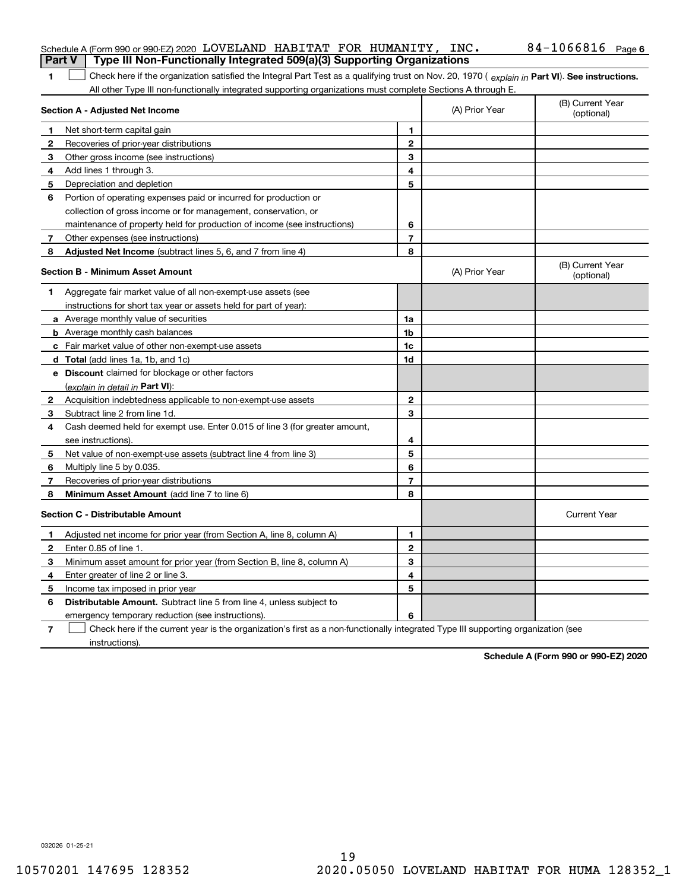| <b>Part V</b> | Schedule A (Form 990 or 990-EZ) 2020 LOVELAND HABITAT FOR HUMANITY, INC.<br>Type III Non-Functionally Integrated 509(a)(3) Supporting Organizations |                |                | $84 - 1066816$ Page 6          |
|---------------|-----------------------------------------------------------------------------------------------------------------------------------------------------|----------------|----------------|--------------------------------|
| 1             | Check here if the organization satisfied the Integral Part Test as a qualifying trust on Nov. 20, 1970 (explain in Part VI). See instructions.      |                |                |                                |
|               | All other Type III non-functionally integrated supporting organizations must complete Sections A through E.                                         |                |                |                                |
|               | Section A - Adjusted Net Income                                                                                                                     |                | (A) Prior Year | (B) Current Year<br>(optional) |
| 1             | Net short-term capital gain                                                                                                                         | 1.             |                |                                |
| 2             | Recoveries of prior-year distributions                                                                                                              | $\mathbf{2}$   |                |                                |
| З             | Other gross income (see instructions)                                                                                                               | 3              |                |                                |
| 4             | Add lines 1 through 3.                                                                                                                              | 4              |                |                                |
| 5             | Depreciation and depletion                                                                                                                          | 5              |                |                                |
| 6             | Portion of operating expenses paid or incurred for production or                                                                                    |                |                |                                |
|               | collection of gross income or for management, conservation, or                                                                                      |                |                |                                |
|               | maintenance of property held for production of income (see instructions)                                                                            | 6              |                |                                |
| 7             | Other expenses (see instructions)                                                                                                                   | $\overline{7}$ |                |                                |
| 8             | Adjusted Net Income (subtract lines 5, 6, and 7 from line 4)                                                                                        | 8              |                |                                |
|               | <b>Section B - Minimum Asset Amount</b>                                                                                                             |                | (A) Prior Year | (B) Current Year<br>(optional) |
| 1             | Aggregate fair market value of all non-exempt-use assets (see                                                                                       |                |                |                                |
|               | instructions for short tax year or assets held for part of year):                                                                                   |                |                |                                |
|               | <b>a</b> Average monthly value of securities                                                                                                        | 1a             |                |                                |
|               | <b>b</b> Average monthly cash balances                                                                                                              | 1b             |                |                                |
|               | <b>c</b> Fair market value of other non-exempt-use assets                                                                                           | 1c             |                |                                |
|               | d Total (add lines 1a, 1b, and 1c)                                                                                                                  | 1d             |                |                                |
|               | <b>e</b> Discount claimed for blockage or other factors                                                                                             |                |                |                                |
|               | (explain in detail in Part VI):                                                                                                                     |                |                |                                |
| 2             | Acquisition indebtedness applicable to non-exempt-use assets                                                                                        | $\mathbf{2}$   |                |                                |
| 3             | Subtract line 2 from line 1d.                                                                                                                       | 3              |                |                                |
| 4             | Cash deemed held for exempt use. Enter 0.015 of line 3 (for greater amount,                                                                         |                |                |                                |
|               | see instructions).                                                                                                                                  | 4              |                |                                |
| 5             | Net value of non-exempt-use assets (subtract line 4 from line 3)                                                                                    | 5              |                |                                |
| 6             | Multiply line 5 by 0.035.                                                                                                                           | 6              |                |                                |
| 7             | Recoveries of prior-year distributions                                                                                                              | $\overline{7}$ |                |                                |
| 8             | Minimum Asset Amount (add line 7 to line 6)                                                                                                         | 8              |                |                                |
|               | <b>Section C - Distributable Amount</b>                                                                                                             |                |                | <b>Current Year</b>            |
|               | Adjusted net income for prior year (from Section A, line 8, column A)                                                                               | 1              |                |                                |
|               | Enter 0.85 of line 1.                                                                                                                               | 2              |                |                                |
| 3             | Minimum asset amount for prior year (from Section B, line 8, column A)                                                                              | 3              |                |                                |
| 4             | Enter greater of line 2 or line 3.                                                                                                                  | 4              |                |                                |
| 5             | Income tax imposed in prior year                                                                                                                    | 5              |                |                                |
| 6             | <b>Distributable Amount.</b> Subtract line 5 from line 4, unless subject to                                                                         |                |                |                                |
|               | emergency temporary reduction (see instructions).                                                                                                   | 6              |                |                                |
| 7             | Check here if the current year is the organization's first as a non-functionally integrated Type III supporting organization (see                   |                |                |                                |

instructions).

**Schedule A (Form 990 or 990-EZ) 2020**

032026 01-25-21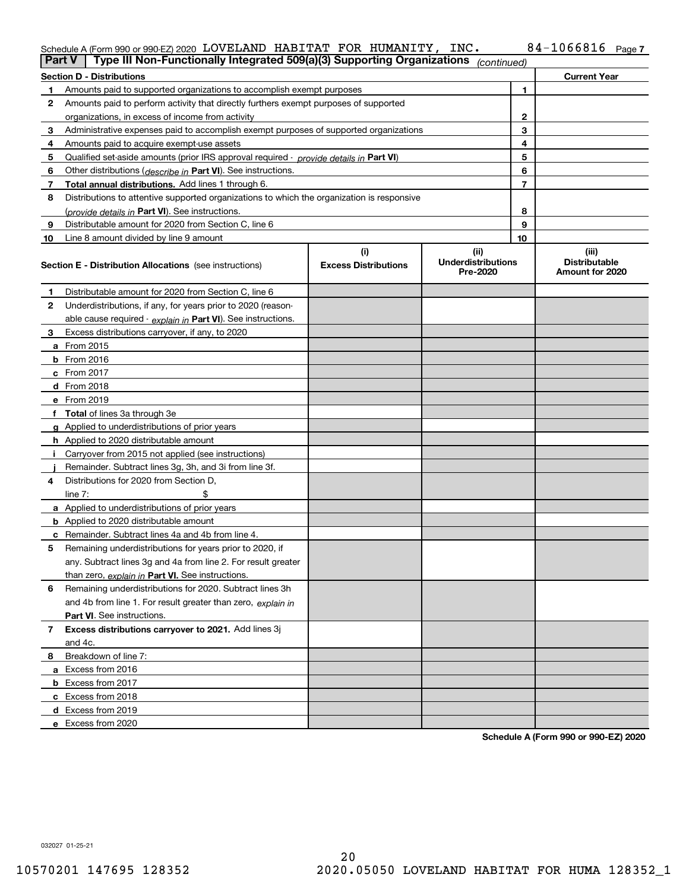### Schedule A (Form 990 or 990-EZ) 2020 LOVELAND HABITAT FOR HUMANITY, INC。 84-IU668I6 Page LOVELAND HABITAT FOR HUMANITY, INC. 84-1066816

| Part V         | Type III Non-Functionally Integrated 509(a)(3) Supporting Organizations                    |                             | (continued)                           |    |                                         |
|----------------|--------------------------------------------------------------------------------------------|-----------------------------|---------------------------------------|----|-----------------------------------------|
|                | <b>Section D - Distributions</b>                                                           |                             |                                       |    | <b>Current Year</b>                     |
| 1.             | Amounts paid to supported organizations to accomplish exempt purposes                      |                             |                                       | 1  |                                         |
| 2              | Amounts paid to perform activity that directly furthers exempt purposes of supported       |                             |                                       |    |                                         |
|                | organizations, in excess of income from activity                                           |                             |                                       | 2  |                                         |
| 3              | Administrative expenses paid to accomplish exempt purposes of supported organizations      |                             |                                       | 3  |                                         |
| 4              | Amounts paid to acquire exempt-use assets                                                  |                             |                                       | 4  |                                         |
| 5              | Qualified set-aside amounts (prior IRS approval required - provide details in Part VI)     |                             | 5                                     |    |                                         |
| 6              | Other distributions ( <i>describe in</i> Part VI). See instructions.                       |                             |                                       | 6  |                                         |
| 7              | Total annual distributions. Add lines 1 through 6.                                         |                             |                                       | 7  |                                         |
| 8              | Distributions to attentive supported organizations to which the organization is responsive |                             |                                       |    |                                         |
|                | (provide details in Part VI). See instructions.                                            |                             |                                       | 8  |                                         |
| 9              | Distributable amount for 2020 from Section C, line 6                                       |                             |                                       | 9  |                                         |
| 10             | Line 8 amount divided by line 9 amount                                                     |                             |                                       | 10 |                                         |
|                |                                                                                            | (i)                         | (ii)                                  |    | (iii)                                   |
|                | <b>Section E - Distribution Allocations</b> (see instructions)                             | <b>Excess Distributions</b> | <b>Underdistributions</b><br>Pre-2020 |    | <b>Distributable</b><br>Amount for 2020 |
| 1              | Distributable amount for 2020 from Section C, line 6                                       |                             |                                       |    |                                         |
| 2              | Underdistributions, if any, for years prior to 2020 (reason-                               |                             |                                       |    |                                         |
|                | able cause required - explain in Part VI). See instructions.                               |                             |                                       |    |                                         |
| 3              | Excess distributions carryover, if any, to 2020                                            |                             |                                       |    |                                         |
|                | a From 2015                                                                                |                             |                                       |    |                                         |
|                | <b>b</b> From 2016                                                                         |                             |                                       |    |                                         |
|                | $c$ From 2017                                                                              |                             |                                       |    |                                         |
|                | <b>d</b> From 2018                                                                         |                             |                                       |    |                                         |
|                | e From 2019                                                                                |                             |                                       |    |                                         |
|                | f Total of lines 3a through 3e                                                             |                             |                                       |    |                                         |
|                | g Applied to underdistributions of prior years                                             |                             |                                       |    |                                         |
|                | <b>h</b> Applied to 2020 distributable amount                                              |                             |                                       |    |                                         |
|                | Carryover from 2015 not applied (see instructions)                                         |                             |                                       |    |                                         |
|                | Remainder. Subtract lines 3g, 3h, and 3i from line 3f.                                     |                             |                                       |    |                                         |
| 4              | Distributions for 2020 from Section D,                                                     |                             |                                       |    |                                         |
|                | line $7:$                                                                                  |                             |                                       |    |                                         |
|                | a Applied to underdistributions of prior years                                             |                             |                                       |    |                                         |
|                | <b>b</b> Applied to 2020 distributable amount                                              |                             |                                       |    |                                         |
|                | c Remainder. Subtract lines 4a and 4b from line 4.                                         |                             |                                       |    |                                         |
| 5              | Remaining underdistributions for years prior to 2020, if                                   |                             |                                       |    |                                         |
|                | any. Subtract lines 3g and 4a from line 2. For result greater                              |                             |                                       |    |                                         |
|                | than zero, explain in Part VI. See instructions.                                           |                             |                                       |    |                                         |
| 6              | Remaining underdistributions for 2020. Subtract lines 3h                                   |                             |                                       |    |                                         |
|                | and 4b from line 1. For result greater than zero, explain in                               |                             |                                       |    |                                         |
|                | Part VI. See instructions.                                                                 |                             |                                       |    |                                         |
| $\overline{7}$ | Excess distributions carryover to 2021. Add lines 3j                                       |                             |                                       |    |                                         |
|                | and 4c.                                                                                    |                             |                                       |    |                                         |
| 8              | Breakdown of line 7:                                                                       |                             |                                       |    |                                         |
|                | a Excess from 2016                                                                         |                             |                                       |    |                                         |
|                | <b>b</b> Excess from 2017                                                                  |                             |                                       |    |                                         |
|                | c Excess from 2018                                                                         |                             |                                       |    |                                         |
|                | d Excess from 2019                                                                         |                             |                                       |    |                                         |
|                | e Excess from 2020                                                                         |                             |                                       |    |                                         |

**Schedule A (Form 990 or 990-EZ) 2020**

032027 01-25-21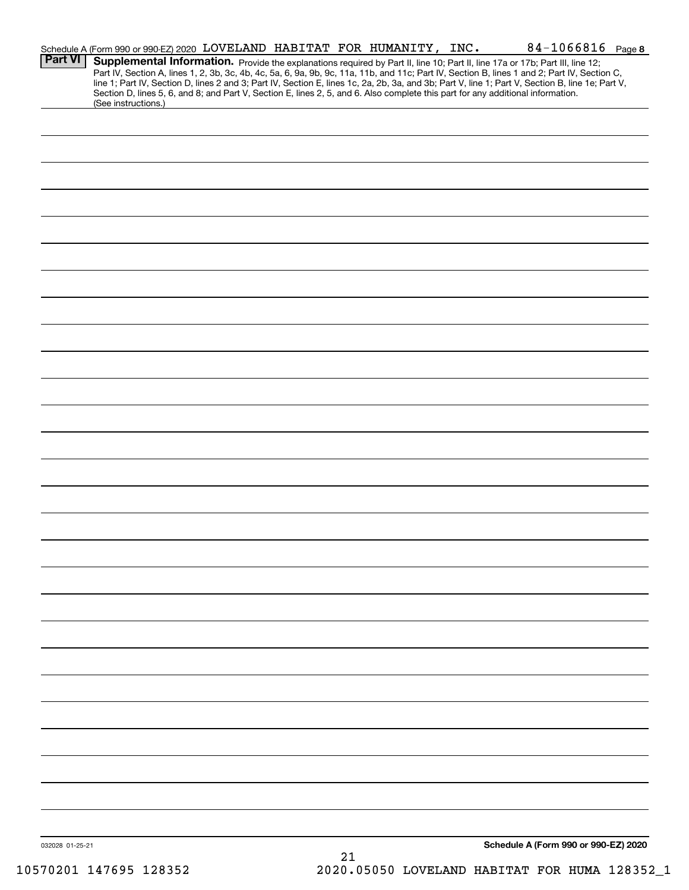|                 | Schedule A (Form 990 or 990-EZ) 2020 LOVELAND HABITAT FOR HUMANITY, INC.                                                                                                                                                                                                                                                                                                                                                          |  |    |  | 84-1066816 Page 8                    |  |
|-----------------|-----------------------------------------------------------------------------------------------------------------------------------------------------------------------------------------------------------------------------------------------------------------------------------------------------------------------------------------------------------------------------------------------------------------------------------|--|----|--|--------------------------------------|--|
| <b>Part VI</b>  | Supplemental Information. Provide the explanations required by Part II, line 10; Part II, line 17a or 17b; Part III, line 12;<br>Part IV, Section A, lines 1, 2, 3b, 3c, 4b, 4c, 5a, 6, 9a, 9b, 9c, 11a, 11b, and 11c; Part IV, Section B, lines 1 and 2; Part IV, Section C,<br>line 1; Part IV, Section D, lines 2 and 3; Part IV, Section E, lines 1c, 2a, 2b, 3a, and 3b; Part V, line 1; Part V, Section B, line 1e; Part V, |  |    |  |                                      |  |
|                 | Section D, lines 5, 6, and 8; and Part V, Section E, lines 2, 5, and 6. Also complete this part for any additional information.<br>(See instructions.)                                                                                                                                                                                                                                                                            |  |    |  |                                      |  |
|                 |                                                                                                                                                                                                                                                                                                                                                                                                                                   |  |    |  |                                      |  |
|                 |                                                                                                                                                                                                                                                                                                                                                                                                                                   |  |    |  |                                      |  |
|                 |                                                                                                                                                                                                                                                                                                                                                                                                                                   |  |    |  |                                      |  |
|                 |                                                                                                                                                                                                                                                                                                                                                                                                                                   |  |    |  |                                      |  |
|                 |                                                                                                                                                                                                                                                                                                                                                                                                                                   |  |    |  |                                      |  |
|                 |                                                                                                                                                                                                                                                                                                                                                                                                                                   |  |    |  |                                      |  |
|                 |                                                                                                                                                                                                                                                                                                                                                                                                                                   |  |    |  |                                      |  |
|                 |                                                                                                                                                                                                                                                                                                                                                                                                                                   |  |    |  |                                      |  |
|                 |                                                                                                                                                                                                                                                                                                                                                                                                                                   |  |    |  |                                      |  |
|                 |                                                                                                                                                                                                                                                                                                                                                                                                                                   |  |    |  |                                      |  |
|                 |                                                                                                                                                                                                                                                                                                                                                                                                                                   |  |    |  |                                      |  |
|                 |                                                                                                                                                                                                                                                                                                                                                                                                                                   |  |    |  |                                      |  |
|                 |                                                                                                                                                                                                                                                                                                                                                                                                                                   |  |    |  |                                      |  |
|                 |                                                                                                                                                                                                                                                                                                                                                                                                                                   |  |    |  |                                      |  |
|                 |                                                                                                                                                                                                                                                                                                                                                                                                                                   |  |    |  |                                      |  |
|                 |                                                                                                                                                                                                                                                                                                                                                                                                                                   |  |    |  |                                      |  |
|                 |                                                                                                                                                                                                                                                                                                                                                                                                                                   |  |    |  |                                      |  |
|                 |                                                                                                                                                                                                                                                                                                                                                                                                                                   |  |    |  |                                      |  |
|                 |                                                                                                                                                                                                                                                                                                                                                                                                                                   |  |    |  |                                      |  |
|                 |                                                                                                                                                                                                                                                                                                                                                                                                                                   |  |    |  |                                      |  |
|                 |                                                                                                                                                                                                                                                                                                                                                                                                                                   |  |    |  |                                      |  |
|                 |                                                                                                                                                                                                                                                                                                                                                                                                                                   |  |    |  |                                      |  |
|                 |                                                                                                                                                                                                                                                                                                                                                                                                                                   |  |    |  |                                      |  |
|                 |                                                                                                                                                                                                                                                                                                                                                                                                                                   |  |    |  |                                      |  |
|                 |                                                                                                                                                                                                                                                                                                                                                                                                                                   |  |    |  |                                      |  |
|                 |                                                                                                                                                                                                                                                                                                                                                                                                                                   |  |    |  |                                      |  |
|                 |                                                                                                                                                                                                                                                                                                                                                                                                                                   |  |    |  |                                      |  |
|                 |                                                                                                                                                                                                                                                                                                                                                                                                                                   |  |    |  |                                      |  |
| 032028 01-25-21 |                                                                                                                                                                                                                                                                                                                                                                                                                                   |  | 21 |  | Schedule A (Form 990 or 990-EZ) 2020 |  |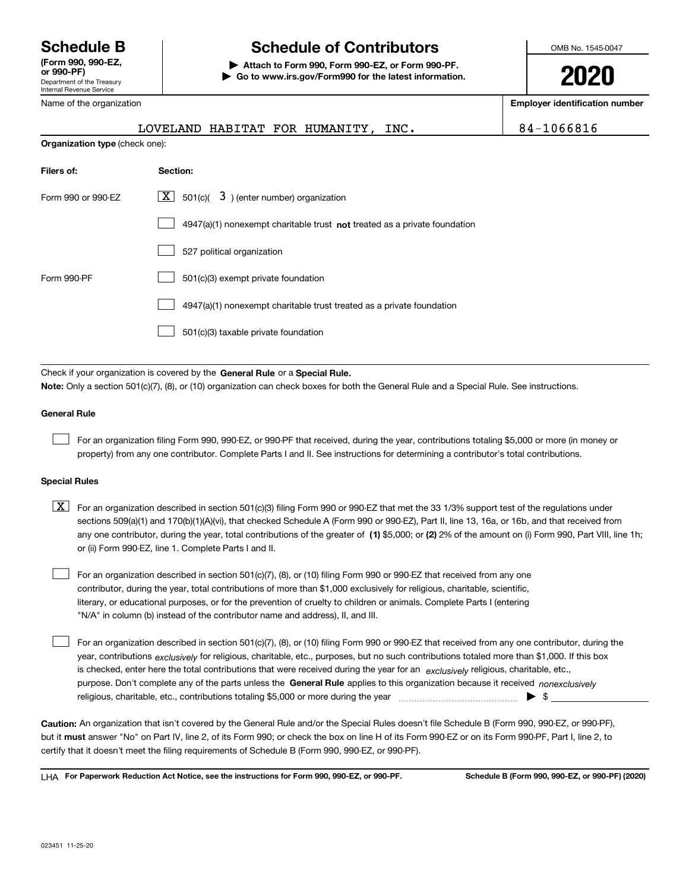Department of the Treasury Internal Revenue Service **(Form 990, 990-EZ, or 990-PF)** Name of the organization

# **Schedule B Schedule of Contributors**

**| Attach to Form 990, Form 990-EZ, or Form 990-PF. | Go to www.irs.gov/Form990 for the latest information.** OMB No. 1545-0047

**2020**

**Employer identification number**

|                                | LOVELAND HABITAT FOR HUMANITY, INC.                                                                                                                                                                                                                                                                                                                                                                                                              | 84-1066816 |
|--------------------------------|--------------------------------------------------------------------------------------------------------------------------------------------------------------------------------------------------------------------------------------------------------------------------------------------------------------------------------------------------------------------------------------------------------------------------------------------------|------------|
| Organization type (check one): |                                                                                                                                                                                                                                                                                                                                                                                                                                                  |            |
| Filers of:                     | Section:                                                                                                                                                                                                                                                                                                                                                                                                                                         |            |
| Form 990 or 990-EZ             | $ \mathbf{X} $ 501(c)( 3) (enter number) organization                                                                                                                                                                                                                                                                                                                                                                                            |            |
|                                | 4947(a)(1) nonexempt charitable trust not treated as a private foundation                                                                                                                                                                                                                                                                                                                                                                        |            |
|                                | 527 political organization                                                                                                                                                                                                                                                                                                                                                                                                                       |            |
| Form 990-PF                    | 501(c)(3) exempt private foundation                                                                                                                                                                                                                                                                                                                                                                                                              |            |
|                                | 4947(a)(1) nonexempt charitable trust treated as a private foundation                                                                                                                                                                                                                                                                                                                                                                            |            |
|                                | 501(c)(3) taxable private foundation                                                                                                                                                                                                                                                                                                                                                                                                             |            |
|                                | Check if your organization is covered by the General Rule or a Special Rule.<br>Note: Only a section 501(c)(7), (8), or (10) organization can check boxes for both the General Rule and a Special Rule. See instructions.                                                                                                                                                                                                                        |            |
| <b>General Rule</b>            |                                                                                                                                                                                                                                                                                                                                                                                                                                                  |            |
|                                | For an organization filing Form 990, 990-EZ, or 990-PF that received, during the year, contributions totaling \$5,000 or more (in money or<br>property) from any one contributor. Complete Parts I and II. See instructions for determining a contributor's total contributions.                                                                                                                                                                 |            |
| <b>Special Rules</b>           |                                                                                                                                                                                                                                                                                                                                                                                                                                                  |            |
| X                              | For an organization described in section 501(c)(3) filing Form 990 or 990-EZ that met the 33 1/3% support test of the regulations under<br>sections 509(a)(1) and 170(b)(1)(A)(vi), that checked Schedule A (Form 990 or 990-EZ), Part II, line 13, 16a, or 16b, and that received from<br>any one contributor, during the year, total contributions of the greater of (1) \$5,000; or (2) 2% of the amount on (i) Form 990, Part VIII, line 1h; |            |

For an organization described in section 501(c)(7), (8), or (10) filing Form 990 or 990-EZ that received from any one contributor, during the year, total contributions of more than \$1,000 exclusively for religious, charitable, scientific, literary, or educational purposes, or for the prevention of cruelty to children or animals. Complete Parts I (entering "N/A" in column (b) instead of the contributor name and address), II, and III.

purpose. Don't complete any of the parts unless the **General Rule** applies to this organization because it received *nonexclusively* year, contributions <sub>exclusively</sub> for religious, charitable, etc., purposes, but no such contributions totaled more than \$1,000. If this box is checked, enter here the total contributions that were received during the year for an  $\;$ exclusively religious, charitable, etc., For an organization described in section 501(c)(7), (8), or (10) filing Form 990 or 990-EZ that received from any one contributor, during the religious, charitable, etc., contributions totaling \$5,000 or more during the year  $\Box$ — $\Box$   $\Box$  $\mathcal{L}^{\text{max}}$ 

**Caution:**  An organization that isn't covered by the General Rule and/or the Special Rules doesn't file Schedule B (Form 990, 990-EZ, or 990-PF),  **must** but it answer "No" on Part IV, line 2, of its Form 990; or check the box on line H of its Form 990-EZ or on its Form 990-PF, Part I, line 2, to certify that it doesn't meet the filing requirements of Schedule B (Form 990, 990-EZ, or 990-PF).

**For Paperwork Reduction Act Notice, see the instructions for Form 990, 990-EZ, or 990-PF. Schedule B (Form 990, 990-EZ, or 990-PF) (2020)** LHA

or (ii) Form 990-EZ, line 1. Complete Parts I and II.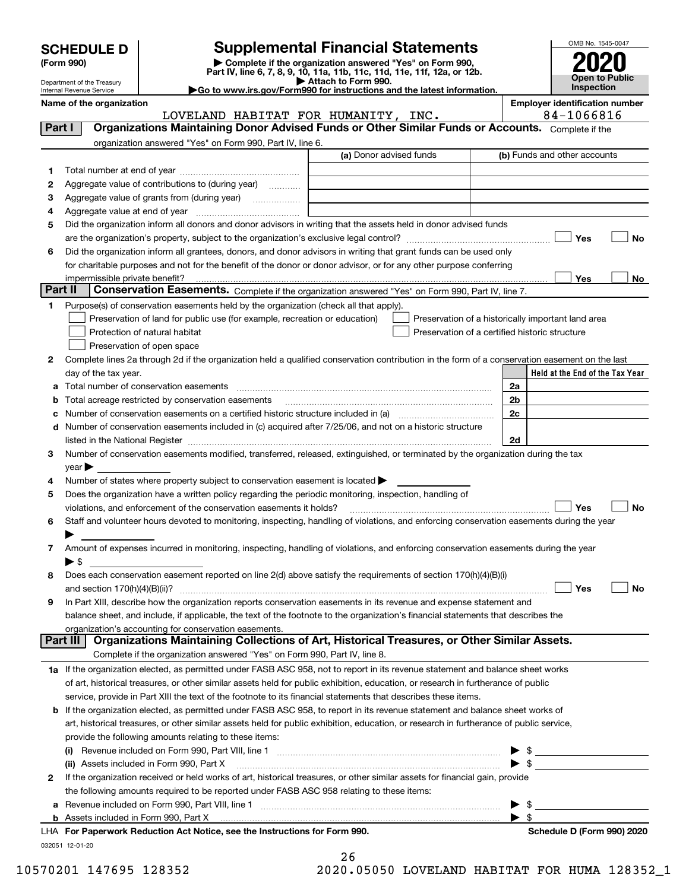| <b>SCHEDULE D</b> |  |
|-------------------|--|
|-------------------|--|

| (Form 990) |  |
|------------|--|
|------------|--|

# **SCHEDULE D Supplemental Financial Statements**

(Form 990)<br>
Pepartment of the Treasury<br>
Department of the Treasury<br>
Department of the Treasury<br>
Department of the Treasury<br> **Co to www.irs.gov/Form990 for instructions and the latest information.**<br> **Co to www.irs.gov/Form9** 



Department of the Treasury Internal Revenue Service

| Name of the organization |          |
|--------------------------|----------|
|                          | LOVELAND |

HABITAT FOR HUMANITY, INC. | 84-1066816

**Name of the organization Employer identification number**

| 1.           | organization answered "Yes" on Form 990, Part IV, line 6.                                                                                      |                         |                                                    |
|--------------|------------------------------------------------------------------------------------------------------------------------------------------------|-------------------------|----------------------------------------------------|
|              |                                                                                                                                                | (a) Donor advised funds | (b) Funds and other accounts                       |
|              |                                                                                                                                                |                         |                                                    |
| 2            | Aggregate value of contributions to (during year)                                                                                              |                         |                                                    |
| з            | Aggregate value of grants from (during year)                                                                                                   |                         |                                                    |
| 4            |                                                                                                                                                |                         |                                                    |
| 5            | Did the organization inform all donors and donor advisors in writing that the assets held in donor advised funds                               |                         |                                                    |
|              |                                                                                                                                                |                         | Yes<br>No                                          |
| 6            | Did the organization inform all grantees, donors, and donor advisors in writing that grant funds can be used only                              |                         |                                                    |
|              | for charitable purposes and not for the benefit of the donor or donor advisor, or for any other purpose conferring                             |                         |                                                    |
|              |                                                                                                                                                |                         | Yes<br>No                                          |
| Part II      | Conservation Easements. Complete if the organization answered "Yes" on Form 990, Part IV, line 7.                                              |                         |                                                    |
| 1            | Purpose(s) of conservation easements held by the organization (check all that apply).                                                          |                         |                                                    |
|              | Preservation of land for public use (for example, recreation or education)                                                                     |                         | Preservation of a historically important land area |
|              | Protection of natural habitat                                                                                                                  |                         | Preservation of a certified historic structure     |
|              | Preservation of open space                                                                                                                     |                         |                                                    |
| 2            | Complete lines 2a through 2d if the organization held a qualified conservation contribution in the form of a conservation easement on the last |                         |                                                    |
|              | day of the tax year.                                                                                                                           |                         | Held at the End of the Tax Year                    |
|              | Total number of conservation easements                                                                                                         |                         | 2a                                                 |
| a            | Total acreage restricted by conservation easements                                                                                             |                         | 2 <sub>b</sub>                                     |
| b            | Number of conservation easements on a certified historic structure included in (a) manufacture included in (a)                                 |                         | 2c                                                 |
| c<br>d       | Number of conservation easements included in (c) acquired after 7/25/06, and not on a historic structure                                       |                         |                                                    |
|              |                                                                                                                                                |                         | 2d                                                 |
| 3            | Number of conservation easements modified, transferred, released, extinguished, or terminated by the organization during the tax               |                         |                                                    |
|              |                                                                                                                                                |                         |                                                    |
| 4            | year<br>Number of states where property subject to conservation easement is located $\blacktriangleright$                                      |                         |                                                    |
| 5            | Does the organization have a written policy regarding the periodic monitoring, inspection, handling of                                         |                         |                                                    |
|              | violations, and enforcement of the conservation easements it holds?                                                                            |                         | Yes<br><b>No</b>                                   |
| 6            | Staff and volunteer hours devoted to monitoring, inspecting, handling of violations, and enforcing conservation easements during the year      |                         |                                                    |
|              |                                                                                                                                                |                         |                                                    |
| 7            | Amount of expenses incurred in monitoring, inspecting, handling of violations, and enforcing conservation easements during the year            |                         |                                                    |
|              | $\blacktriangleright$ \$                                                                                                                       |                         |                                                    |
| 8            | Does each conservation easement reported on line 2(d) above satisfy the requirements of section 170(h)(4)(B)(i)                                |                         |                                                    |
|              |                                                                                                                                                |                         | Yes<br>No                                          |
| 9            | In Part XIII, describe how the organization reports conservation easements in its revenue and expense statement and                            |                         |                                                    |
|              | balance sheet, and include, if applicable, the text of the footnote to the organization's financial statements that describes the              |                         |                                                    |
|              | organization's accounting for conservation easements.                                                                                          |                         |                                                    |
|              | <b>Part III</b><br>Organizations Maintaining Collections of Art, Historical Treasures, or Other Similar Assets.                                |                         |                                                    |
|              | Complete if the organization answered "Yes" on Form 990, Part IV, line 8.                                                                      |                         |                                                    |
|              | 1a If the organization elected, as permitted under FASB ASC 958, not to report in its revenue statement and balance sheet works                |                         |                                                    |
|              | of art, historical treasures, or other similar assets held for public exhibition, education, or research in furtherance of public              |                         |                                                    |
|              | service, provide in Part XIII the text of the footnote to its financial statements that describes these items.                                 |                         |                                                    |
|              | <b>b</b> If the organization elected, as permitted under FASB ASC 958, to report in its revenue statement and balance sheet works of           |                         |                                                    |
|              | art, historical treasures, or other similar assets held for public exhibition, education, or research in furtherance of public service,        |                         |                                                    |
|              | provide the following amounts relating to these items:                                                                                         |                         |                                                    |
|              |                                                                                                                                                |                         | $\frac{1}{2}$                                      |
|              | (ii) Assets included in Form 990, Part X                                                                                                       |                         | $\triangleright$ \$                                |
|              | If the organization received or held works of art, historical treasures, or other similar assets for financial gain, provide                   |                         |                                                    |
| $\mathbf{2}$ | the following amounts required to be reported under FASB ASC 958 relating to these items:                                                      |                         |                                                    |
|              |                                                                                                                                                |                         |                                                    |
|              |                                                                                                                                                |                         |                                                    |
|              |                                                                                                                                                |                         | $\frac{1}{\sqrt{2}}$                               |
|              | LHA For Paperwork Reduction Act Notice, see the Instructions for Form 990.                                                                     |                         | Schedule D (Form 990) 2020                         |

26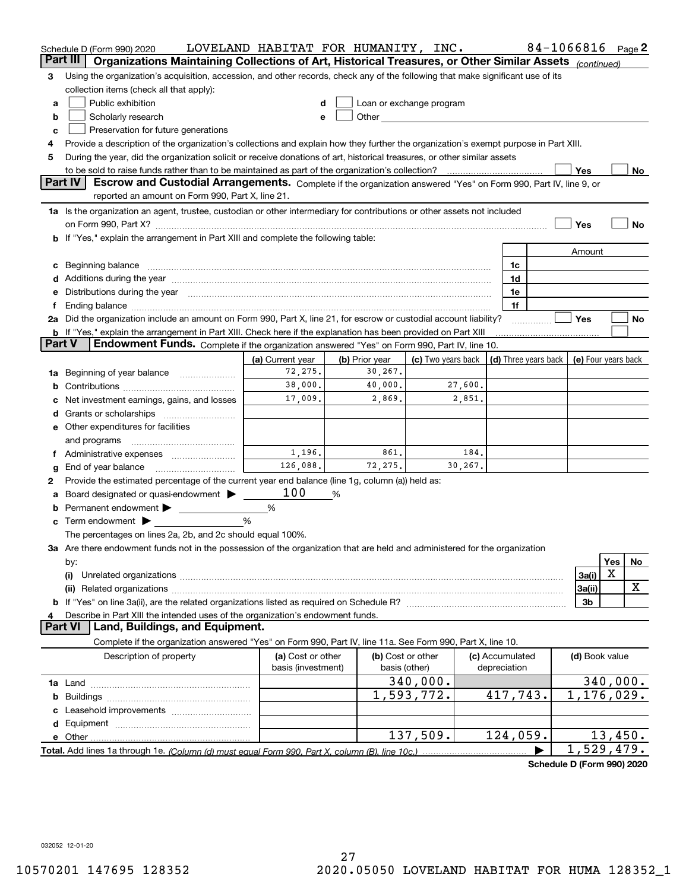| Part III<br>Organizations Maintaining Collections of Art, Historical Treasures, or Other Similar Assets (continued)<br>Using the organization's acquisition, accession, and other records, check any of the following that make significant use of its<br>3<br>collection items (check all that apply):<br>Public exhibition<br>Loan or exchange program<br>a<br>d<br>Other and the contract of the contract of the contract of the contract of the contract of the contract of the contract of the contract of the contract of the contract of the contract of the contract of the contract of the<br>Scholarly research<br>b<br>е<br>Preservation for future generations<br>c<br>Provide a description of the organization's collections and explain how they further the organization's exempt purpose in Part XIII.<br>4<br>During the year, did the organization solicit or receive donations of art, historical treasures, or other similar assets<br>5<br>to be sold to raise funds rather than to be maintained as part of the organization's collection?<br>Yes<br>No<br><b>Part IV</b><br>Escrow and Custodial Arrangements. Complete if the organization answered "Yes" on Form 990, Part IV, line 9, or<br>reported an amount on Form 990, Part X, line 21.<br>1a Is the organization an agent, trustee, custodian or other intermediary for contributions or other assets not included<br>Yes<br><b>No</b><br>on Form 990, Part X? [11] matter contracts and contracts and contracts are contracted as a function of the set of the set of the set of the set of the set of the set of the set of the set of the set of the set of the set o<br>If "Yes," explain the arrangement in Part XIII and complete the following table:<br>Amount<br>1c<br>c<br>Additions during the year manufactured and an according to the year manufactured and according the year manufactured and according the year manufactured and according the year manufactured and according the year manufactur<br>1d<br>d<br>Distributions during the year manufactured and continuum and contained and the year manufactured and contained<br>1e<br>е<br>1f<br>Ending balance manufacture contract contract contract contract contract contract contract contract contract contract contract contract contract contract contract contract contract contract contract contract contract contra<br>Yes<br>2a Did the organization include an amount on Form 990, Part X, line 21, for escrow or custodial account liability?<br>No<br><b>b</b> If "Yes," explain the arrangement in Part XIII. Check here if the explanation has been provided on Part XIII<br>Endowment Funds. Complete if the organization answered "Yes" on Form 990, Part IV, line 10.<br>Part V<br>(c) Two years back $\vert$ (d) Three years back $\vert$<br>(b) Prior year<br>(e) Four years back<br>(a) Current year<br>72,275.<br>30,267.<br>Beginning of year balance<br>1a<br>38,000.<br>40,000.<br>27,600.<br>b<br>17,009.<br>2,869.<br>2,851.<br>Net investment earnings, gains, and losses<br>d<br>e Other expenditures for facilities<br>and programs<br>1,196.<br>861.<br>184.<br>Ť.<br>126,088.<br>72,275.<br>30, 267.<br>End of year balance<br>g<br>Provide the estimated percentage of the current year end balance (line 1g, column (a)) held as:<br>2<br>100<br>Board designated or quasi-endowment ><br>%<br>Permanent endowment > ______________<br>%<br>b<br>%<br>Term endowment $\blacktriangleright$<br>c<br>The percentages on lines 2a, 2b, and 2c should equal 100%.<br>3a Are there endowment funds not in the possession of the organization that are held and administered for the organization<br>Yes<br>No<br>by:<br>Х<br>3a(i)<br>(i)<br>x<br>3a(ii)<br>If "Yes" on line 3a(ii), are the related organizations listed as required on Schedule R?<br>3b<br>Describe in Part XIII the intended uses of the organization's endowment funds.<br>Land, Buildings, and Equipment.<br><b>Part VI</b><br>Complete if the organization answered "Yes" on Form 990, Part IV, line 11a. See Form 990, Part X, line 10.<br>Description of property<br>(a) Cost or other<br>(b) Cost or other<br>(c) Accumulated<br>(d) Book value<br>basis (investment)<br>depreciation<br>basis (other)<br>340,000.<br>340,000.<br>$\overline{1,176}$ , 029.<br>1,593,772.<br>417,743.<br>b<br>d<br>137,509.<br>124,059.<br>13,450.<br>e Other<br>1,529,479.<br>Total. Add lines 1a through 1e. (Column (d) must equal Form 990. Part X. column (B). line 10c.) | Schedule D (Form 990) 2020 | LOVELAND HABITAT FOR HUMANITY, INC. |  |  | 84-1066816 |  | Page $2$ |
|-------------------------------------------------------------------------------------------------------------------------------------------------------------------------------------------------------------------------------------------------------------------------------------------------------------------------------------------------------------------------------------------------------------------------------------------------------------------------------------------------------------------------------------------------------------------------------------------------------------------------------------------------------------------------------------------------------------------------------------------------------------------------------------------------------------------------------------------------------------------------------------------------------------------------------------------------------------------------------------------------------------------------------------------------------------------------------------------------------------------------------------------------------------------------------------------------------------------------------------------------------------------------------------------------------------------------------------------------------------------------------------------------------------------------------------------------------------------------------------------------------------------------------------------------------------------------------------------------------------------------------------------------------------------------------------------------------------------------------------------------------------------------------------------------------------------------------------------------------------------------------------------------------------------------------------------------------------------------------------------------------------------------------------------------------------------------------------------------------------------------------------------------------------------------------------------------------------------------------------------------------------------------------------------------------------------------------------------------------------------------------------------------------------------------------------------------------------------------------------------------------------------------------------------------------------------------------------------------------------------------------------------------------------------------------------------------------------------------------------------------------------------------------------------------------------------------------------------------------------------------------------------------------------------------------------------------------------------------------------------------------------------------------------------------------------------------------------------------------------------------------------------------------------------------------------------------------------------------------------------------------------------------------------------------------------------------------------------------------------------------------------------------------------------------------------------------------------------------------------------------------------------------------------------------------------------------------------------------------------------------------------------------------------------------------------------------------------------------------------------------------------------------------------------------------------------------------------------------------------------------------------------------------------------------------------------------------------------------------------------------------------------------------------------------------------------------------------------------------------------------------------------------------------------------------------------------------------------------------------------------------------------------------------------------------------------------------------------------------------------------------------------------------------------------------------------------------------------------------------------------------------------------------|----------------------------|-------------------------------------|--|--|------------|--|----------|
|                                                                                                                                                                                                                                                                                                                                                                                                                                                                                                                                                                                                                                                                                                                                                                                                                                                                                                                                                                                                                                                                                                                                                                                                                                                                                                                                                                                                                                                                                                                                                                                                                                                                                                                                                                                                                                                                                                                                                                                                                                                                                                                                                                                                                                                                                                                                                                                                                                                                                                                                                                                                                                                                                                                                                                                                                                                                                                                                                                                                                                                                                                                                                                                                                                                                                                                                                                                                                                                                                                                                                                                                                                                                                                                                                                                                                                                                                                                                                                                                                                                                                                                                                                                                                                                                                                                                                                                                                                                                                                                               |                            |                                     |  |  |            |  |          |
|                                                                                                                                                                                                                                                                                                                                                                                                                                                                                                                                                                                                                                                                                                                                                                                                                                                                                                                                                                                                                                                                                                                                                                                                                                                                                                                                                                                                                                                                                                                                                                                                                                                                                                                                                                                                                                                                                                                                                                                                                                                                                                                                                                                                                                                                                                                                                                                                                                                                                                                                                                                                                                                                                                                                                                                                                                                                                                                                                                                                                                                                                                                                                                                                                                                                                                                                                                                                                                                                                                                                                                                                                                                                                                                                                                                                                                                                                                                                                                                                                                                                                                                                                                                                                                                                                                                                                                                                                                                                                                                               |                            |                                     |  |  |            |  |          |
|                                                                                                                                                                                                                                                                                                                                                                                                                                                                                                                                                                                                                                                                                                                                                                                                                                                                                                                                                                                                                                                                                                                                                                                                                                                                                                                                                                                                                                                                                                                                                                                                                                                                                                                                                                                                                                                                                                                                                                                                                                                                                                                                                                                                                                                                                                                                                                                                                                                                                                                                                                                                                                                                                                                                                                                                                                                                                                                                                                                                                                                                                                                                                                                                                                                                                                                                                                                                                                                                                                                                                                                                                                                                                                                                                                                                                                                                                                                                                                                                                                                                                                                                                                                                                                                                                                                                                                                                                                                                                                                               |                            |                                     |  |  |            |  |          |
|                                                                                                                                                                                                                                                                                                                                                                                                                                                                                                                                                                                                                                                                                                                                                                                                                                                                                                                                                                                                                                                                                                                                                                                                                                                                                                                                                                                                                                                                                                                                                                                                                                                                                                                                                                                                                                                                                                                                                                                                                                                                                                                                                                                                                                                                                                                                                                                                                                                                                                                                                                                                                                                                                                                                                                                                                                                                                                                                                                                                                                                                                                                                                                                                                                                                                                                                                                                                                                                                                                                                                                                                                                                                                                                                                                                                                                                                                                                                                                                                                                                                                                                                                                                                                                                                                                                                                                                                                                                                                                                               |                            |                                     |  |  |            |  |          |
|                                                                                                                                                                                                                                                                                                                                                                                                                                                                                                                                                                                                                                                                                                                                                                                                                                                                                                                                                                                                                                                                                                                                                                                                                                                                                                                                                                                                                                                                                                                                                                                                                                                                                                                                                                                                                                                                                                                                                                                                                                                                                                                                                                                                                                                                                                                                                                                                                                                                                                                                                                                                                                                                                                                                                                                                                                                                                                                                                                                                                                                                                                                                                                                                                                                                                                                                                                                                                                                                                                                                                                                                                                                                                                                                                                                                                                                                                                                                                                                                                                                                                                                                                                                                                                                                                                                                                                                                                                                                                                                               |                            |                                     |  |  |            |  |          |
|                                                                                                                                                                                                                                                                                                                                                                                                                                                                                                                                                                                                                                                                                                                                                                                                                                                                                                                                                                                                                                                                                                                                                                                                                                                                                                                                                                                                                                                                                                                                                                                                                                                                                                                                                                                                                                                                                                                                                                                                                                                                                                                                                                                                                                                                                                                                                                                                                                                                                                                                                                                                                                                                                                                                                                                                                                                                                                                                                                                                                                                                                                                                                                                                                                                                                                                                                                                                                                                                                                                                                                                                                                                                                                                                                                                                                                                                                                                                                                                                                                                                                                                                                                                                                                                                                                                                                                                                                                                                                                                               |                            |                                     |  |  |            |  |          |
|                                                                                                                                                                                                                                                                                                                                                                                                                                                                                                                                                                                                                                                                                                                                                                                                                                                                                                                                                                                                                                                                                                                                                                                                                                                                                                                                                                                                                                                                                                                                                                                                                                                                                                                                                                                                                                                                                                                                                                                                                                                                                                                                                                                                                                                                                                                                                                                                                                                                                                                                                                                                                                                                                                                                                                                                                                                                                                                                                                                                                                                                                                                                                                                                                                                                                                                                                                                                                                                                                                                                                                                                                                                                                                                                                                                                                                                                                                                                                                                                                                                                                                                                                                                                                                                                                                                                                                                                                                                                                                                               |                            |                                     |  |  |            |  |          |
|                                                                                                                                                                                                                                                                                                                                                                                                                                                                                                                                                                                                                                                                                                                                                                                                                                                                                                                                                                                                                                                                                                                                                                                                                                                                                                                                                                                                                                                                                                                                                                                                                                                                                                                                                                                                                                                                                                                                                                                                                                                                                                                                                                                                                                                                                                                                                                                                                                                                                                                                                                                                                                                                                                                                                                                                                                                                                                                                                                                                                                                                                                                                                                                                                                                                                                                                                                                                                                                                                                                                                                                                                                                                                                                                                                                                                                                                                                                                                                                                                                                                                                                                                                                                                                                                                                                                                                                                                                                                                                                               |                            |                                     |  |  |            |  |          |
|                                                                                                                                                                                                                                                                                                                                                                                                                                                                                                                                                                                                                                                                                                                                                                                                                                                                                                                                                                                                                                                                                                                                                                                                                                                                                                                                                                                                                                                                                                                                                                                                                                                                                                                                                                                                                                                                                                                                                                                                                                                                                                                                                                                                                                                                                                                                                                                                                                                                                                                                                                                                                                                                                                                                                                                                                                                                                                                                                                                                                                                                                                                                                                                                                                                                                                                                                                                                                                                                                                                                                                                                                                                                                                                                                                                                                                                                                                                                                                                                                                                                                                                                                                                                                                                                                                                                                                                                                                                                                                                               |                            |                                     |  |  |            |  |          |
|                                                                                                                                                                                                                                                                                                                                                                                                                                                                                                                                                                                                                                                                                                                                                                                                                                                                                                                                                                                                                                                                                                                                                                                                                                                                                                                                                                                                                                                                                                                                                                                                                                                                                                                                                                                                                                                                                                                                                                                                                                                                                                                                                                                                                                                                                                                                                                                                                                                                                                                                                                                                                                                                                                                                                                                                                                                                                                                                                                                                                                                                                                                                                                                                                                                                                                                                                                                                                                                                                                                                                                                                                                                                                                                                                                                                                                                                                                                                                                                                                                                                                                                                                                                                                                                                                                                                                                                                                                                                                                                               |                            |                                     |  |  |            |  |          |
|                                                                                                                                                                                                                                                                                                                                                                                                                                                                                                                                                                                                                                                                                                                                                                                                                                                                                                                                                                                                                                                                                                                                                                                                                                                                                                                                                                                                                                                                                                                                                                                                                                                                                                                                                                                                                                                                                                                                                                                                                                                                                                                                                                                                                                                                                                                                                                                                                                                                                                                                                                                                                                                                                                                                                                                                                                                                                                                                                                                                                                                                                                                                                                                                                                                                                                                                                                                                                                                                                                                                                                                                                                                                                                                                                                                                                                                                                                                                                                                                                                                                                                                                                                                                                                                                                                                                                                                                                                                                                                                               |                            |                                     |  |  |            |  |          |
|                                                                                                                                                                                                                                                                                                                                                                                                                                                                                                                                                                                                                                                                                                                                                                                                                                                                                                                                                                                                                                                                                                                                                                                                                                                                                                                                                                                                                                                                                                                                                                                                                                                                                                                                                                                                                                                                                                                                                                                                                                                                                                                                                                                                                                                                                                                                                                                                                                                                                                                                                                                                                                                                                                                                                                                                                                                                                                                                                                                                                                                                                                                                                                                                                                                                                                                                                                                                                                                                                                                                                                                                                                                                                                                                                                                                                                                                                                                                                                                                                                                                                                                                                                                                                                                                                                                                                                                                                                                                                                                               |                            |                                     |  |  |            |  |          |
|                                                                                                                                                                                                                                                                                                                                                                                                                                                                                                                                                                                                                                                                                                                                                                                                                                                                                                                                                                                                                                                                                                                                                                                                                                                                                                                                                                                                                                                                                                                                                                                                                                                                                                                                                                                                                                                                                                                                                                                                                                                                                                                                                                                                                                                                                                                                                                                                                                                                                                                                                                                                                                                                                                                                                                                                                                                                                                                                                                                                                                                                                                                                                                                                                                                                                                                                                                                                                                                                                                                                                                                                                                                                                                                                                                                                                                                                                                                                                                                                                                                                                                                                                                                                                                                                                                                                                                                                                                                                                                                               |                            |                                     |  |  |            |  |          |
|                                                                                                                                                                                                                                                                                                                                                                                                                                                                                                                                                                                                                                                                                                                                                                                                                                                                                                                                                                                                                                                                                                                                                                                                                                                                                                                                                                                                                                                                                                                                                                                                                                                                                                                                                                                                                                                                                                                                                                                                                                                                                                                                                                                                                                                                                                                                                                                                                                                                                                                                                                                                                                                                                                                                                                                                                                                                                                                                                                                                                                                                                                                                                                                                                                                                                                                                                                                                                                                                                                                                                                                                                                                                                                                                                                                                                                                                                                                                                                                                                                                                                                                                                                                                                                                                                                                                                                                                                                                                                                                               |                            |                                     |  |  |            |  |          |
|                                                                                                                                                                                                                                                                                                                                                                                                                                                                                                                                                                                                                                                                                                                                                                                                                                                                                                                                                                                                                                                                                                                                                                                                                                                                                                                                                                                                                                                                                                                                                                                                                                                                                                                                                                                                                                                                                                                                                                                                                                                                                                                                                                                                                                                                                                                                                                                                                                                                                                                                                                                                                                                                                                                                                                                                                                                                                                                                                                                                                                                                                                                                                                                                                                                                                                                                                                                                                                                                                                                                                                                                                                                                                                                                                                                                                                                                                                                                                                                                                                                                                                                                                                                                                                                                                                                                                                                                                                                                                                                               |                            |                                     |  |  |            |  |          |
|                                                                                                                                                                                                                                                                                                                                                                                                                                                                                                                                                                                                                                                                                                                                                                                                                                                                                                                                                                                                                                                                                                                                                                                                                                                                                                                                                                                                                                                                                                                                                                                                                                                                                                                                                                                                                                                                                                                                                                                                                                                                                                                                                                                                                                                                                                                                                                                                                                                                                                                                                                                                                                                                                                                                                                                                                                                                                                                                                                                                                                                                                                                                                                                                                                                                                                                                                                                                                                                                                                                                                                                                                                                                                                                                                                                                                                                                                                                                                                                                                                                                                                                                                                                                                                                                                                                                                                                                                                                                                                                               |                            |                                     |  |  |            |  |          |
|                                                                                                                                                                                                                                                                                                                                                                                                                                                                                                                                                                                                                                                                                                                                                                                                                                                                                                                                                                                                                                                                                                                                                                                                                                                                                                                                                                                                                                                                                                                                                                                                                                                                                                                                                                                                                                                                                                                                                                                                                                                                                                                                                                                                                                                                                                                                                                                                                                                                                                                                                                                                                                                                                                                                                                                                                                                                                                                                                                                                                                                                                                                                                                                                                                                                                                                                                                                                                                                                                                                                                                                                                                                                                                                                                                                                                                                                                                                                                                                                                                                                                                                                                                                                                                                                                                                                                                                                                                                                                                                               |                            |                                     |  |  |            |  |          |
|                                                                                                                                                                                                                                                                                                                                                                                                                                                                                                                                                                                                                                                                                                                                                                                                                                                                                                                                                                                                                                                                                                                                                                                                                                                                                                                                                                                                                                                                                                                                                                                                                                                                                                                                                                                                                                                                                                                                                                                                                                                                                                                                                                                                                                                                                                                                                                                                                                                                                                                                                                                                                                                                                                                                                                                                                                                                                                                                                                                                                                                                                                                                                                                                                                                                                                                                                                                                                                                                                                                                                                                                                                                                                                                                                                                                                                                                                                                                                                                                                                                                                                                                                                                                                                                                                                                                                                                                                                                                                                                               |                            |                                     |  |  |            |  |          |
|                                                                                                                                                                                                                                                                                                                                                                                                                                                                                                                                                                                                                                                                                                                                                                                                                                                                                                                                                                                                                                                                                                                                                                                                                                                                                                                                                                                                                                                                                                                                                                                                                                                                                                                                                                                                                                                                                                                                                                                                                                                                                                                                                                                                                                                                                                                                                                                                                                                                                                                                                                                                                                                                                                                                                                                                                                                                                                                                                                                                                                                                                                                                                                                                                                                                                                                                                                                                                                                                                                                                                                                                                                                                                                                                                                                                                                                                                                                                                                                                                                                                                                                                                                                                                                                                                                                                                                                                                                                                                                                               |                            |                                     |  |  |            |  |          |
|                                                                                                                                                                                                                                                                                                                                                                                                                                                                                                                                                                                                                                                                                                                                                                                                                                                                                                                                                                                                                                                                                                                                                                                                                                                                                                                                                                                                                                                                                                                                                                                                                                                                                                                                                                                                                                                                                                                                                                                                                                                                                                                                                                                                                                                                                                                                                                                                                                                                                                                                                                                                                                                                                                                                                                                                                                                                                                                                                                                                                                                                                                                                                                                                                                                                                                                                                                                                                                                                                                                                                                                                                                                                                                                                                                                                                                                                                                                                                                                                                                                                                                                                                                                                                                                                                                                                                                                                                                                                                                                               |                            |                                     |  |  |            |  |          |
|                                                                                                                                                                                                                                                                                                                                                                                                                                                                                                                                                                                                                                                                                                                                                                                                                                                                                                                                                                                                                                                                                                                                                                                                                                                                                                                                                                                                                                                                                                                                                                                                                                                                                                                                                                                                                                                                                                                                                                                                                                                                                                                                                                                                                                                                                                                                                                                                                                                                                                                                                                                                                                                                                                                                                                                                                                                                                                                                                                                                                                                                                                                                                                                                                                                                                                                                                                                                                                                                                                                                                                                                                                                                                                                                                                                                                                                                                                                                                                                                                                                                                                                                                                                                                                                                                                                                                                                                                                                                                                                               |                            |                                     |  |  |            |  |          |
|                                                                                                                                                                                                                                                                                                                                                                                                                                                                                                                                                                                                                                                                                                                                                                                                                                                                                                                                                                                                                                                                                                                                                                                                                                                                                                                                                                                                                                                                                                                                                                                                                                                                                                                                                                                                                                                                                                                                                                                                                                                                                                                                                                                                                                                                                                                                                                                                                                                                                                                                                                                                                                                                                                                                                                                                                                                                                                                                                                                                                                                                                                                                                                                                                                                                                                                                                                                                                                                                                                                                                                                                                                                                                                                                                                                                                                                                                                                                                                                                                                                                                                                                                                                                                                                                                                                                                                                                                                                                                                                               |                            |                                     |  |  |            |  |          |
|                                                                                                                                                                                                                                                                                                                                                                                                                                                                                                                                                                                                                                                                                                                                                                                                                                                                                                                                                                                                                                                                                                                                                                                                                                                                                                                                                                                                                                                                                                                                                                                                                                                                                                                                                                                                                                                                                                                                                                                                                                                                                                                                                                                                                                                                                                                                                                                                                                                                                                                                                                                                                                                                                                                                                                                                                                                                                                                                                                                                                                                                                                                                                                                                                                                                                                                                                                                                                                                                                                                                                                                                                                                                                                                                                                                                                                                                                                                                                                                                                                                                                                                                                                                                                                                                                                                                                                                                                                                                                                                               |                            |                                     |  |  |            |  |          |
|                                                                                                                                                                                                                                                                                                                                                                                                                                                                                                                                                                                                                                                                                                                                                                                                                                                                                                                                                                                                                                                                                                                                                                                                                                                                                                                                                                                                                                                                                                                                                                                                                                                                                                                                                                                                                                                                                                                                                                                                                                                                                                                                                                                                                                                                                                                                                                                                                                                                                                                                                                                                                                                                                                                                                                                                                                                                                                                                                                                                                                                                                                                                                                                                                                                                                                                                                                                                                                                                                                                                                                                                                                                                                                                                                                                                                                                                                                                                                                                                                                                                                                                                                                                                                                                                                                                                                                                                                                                                                                                               |                            |                                     |  |  |            |  |          |
|                                                                                                                                                                                                                                                                                                                                                                                                                                                                                                                                                                                                                                                                                                                                                                                                                                                                                                                                                                                                                                                                                                                                                                                                                                                                                                                                                                                                                                                                                                                                                                                                                                                                                                                                                                                                                                                                                                                                                                                                                                                                                                                                                                                                                                                                                                                                                                                                                                                                                                                                                                                                                                                                                                                                                                                                                                                                                                                                                                                                                                                                                                                                                                                                                                                                                                                                                                                                                                                                                                                                                                                                                                                                                                                                                                                                                                                                                                                                                                                                                                                                                                                                                                                                                                                                                                                                                                                                                                                                                                                               |                            |                                     |  |  |            |  |          |
|                                                                                                                                                                                                                                                                                                                                                                                                                                                                                                                                                                                                                                                                                                                                                                                                                                                                                                                                                                                                                                                                                                                                                                                                                                                                                                                                                                                                                                                                                                                                                                                                                                                                                                                                                                                                                                                                                                                                                                                                                                                                                                                                                                                                                                                                                                                                                                                                                                                                                                                                                                                                                                                                                                                                                                                                                                                                                                                                                                                                                                                                                                                                                                                                                                                                                                                                                                                                                                                                                                                                                                                                                                                                                                                                                                                                                                                                                                                                                                                                                                                                                                                                                                                                                                                                                                                                                                                                                                                                                                                               |                            |                                     |  |  |            |  |          |
|                                                                                                                                                                                                                                                                                                                                                                                                                                                                                                                                                                                                                                                                                                                                                                                                                                                                                                                                                                                                                                                                                                                                                                                                                                                                                                                                                                                                                                                                                                                                                                                                                                                                                                                                                                                                                                                                                                                                                                                                                                                                                                                                                                                                                                                                                                                                                                                                                                                                                                                                                                                                                                                                                                                                                                                                                                                                                                                                                                                                                                                                                                                                                                                                                                                                                                                                                                                                                                                                                                                                                                                                                                                                                                                                                                                                                                                                                                                                                                                                                                                                                                                                                                                                                                                                                                                                                                                                                                                                                                                               |                            |                                     |  |  |            |  |          |
|                                                                                                                                                                                                                                                                                                                                                                                                                                                                                                                                                                                                                                                                                                                                                                                                                                                                                                                                                                                                                                                                                                                                                                                                                                                                                                                                                                                                                                                                                                                                                                                                                                                                                                                                                                                                                                                                                                                                                                                                                                                                                                                                                                                                                                                                                                                                                                                                                                                                                                                                                                                                                                                                                                                                                                                                                                                                                                                                                                                                                                                                                                                                                                                                                                                                                                                                                                                                                                                                                                                                                                                                                                                                                                                                                                                                                                                                                                                                                                                                                                                                                                                                                                                                                                                                                                                                                                                                                                                                                                                               |                            |                                     |  |  |            |  |          |
|                                                                                                                                                                                                                                                                                                                                                                                                                                                                                                                                                                                                                                                                                                                                                                                                                                                                                                                                                                                                                                                                                                                                                                                                                                                                                                                                                                                                                                                                                                                                                                                                                                                                                                                                                                                                                                                                                                                                                                                                                                                                                                                                                                                                                                                                                                                                                                                                                                                                                                                                                                                                                                                                                                                                                                                                                                                                                                                                                                                                                                                                                                                                                                                                                                                                                                                                                                                                                                                                                                                                                                                                                                                                                                                                                                                                                                                                                                                                                                                                                                                                                                                                                                                                                                                                                                                                                                                                                                                                                                                               |                            |                                     |  |  |            |  |          |
|                                                                                                                                                                                                                                                                                                                                                                                                                                                                                                                                                                                                                                                                                                                                                                                                                                                                                                                                                                                                                                                                                                                                                                                                                                                                                                                                                                                                                                                                                                                                                                                                                                                                                                                                                                                                                                                                                                                                                                                                                                                                                                                                                                                                                                                                                                                                                                                                                                                                                                                                                                                                                                                                                                                                                                                                                                                                                                                                                                                                                                                                                                                                                                                                                                                                                                                                                                                                                                                                                                                                                                                                                                                                                                                                                                                                                                                                                                                                                                                                                                                                                                                                                                                                                                                                                                                                                                                                                                                                                                                               |                            |                                     |  |  |            |  |          |
|                                                                                                                                                                                                                                                                                                                                                                                                                                                                                                                                                                                                                                                                                                                                                                                                                                                                                                                                                                                                                                                                                                                                                                                                                                                                                                                                                                                                                                                                                                                                                                                                                                                                                                                                                                                                                                                                                                                                                                                                                                                                                                                                                                                                                                                                                                                                                                                                                                                                                                                                                                                                                                                                                                                                                                                                                                                                                                                                                                                                                                                                                                                                                                                                                                                                                                                                                                                                                                                                                                                                                                                                                                                                                                                                                                                                                                                                                                                                                                                                                                                                                                                                                                                                                                                                                                                                                                                                                                                                                                                               |                            |                                     |  |  |            |  |          |
|                                                                                                                                                                                                                                                                                                                                                                                                                                                                                                                                                                                                                                                                                                                                                                                                                                                                                                                                                                                                                                                                                                                                                                                                                                                                                                                                                                                                                                                                                                                                                                                                                                                                                                                                                                                                                                                                                                                                                                                                                                                                                                                                                                                                                                                                                                                                                                                                                                                                                                                                                                                                                                                                                                                                                                                                                                                                                                                                                                                                                                                                                                                                                                                                                                                                                                                                                                                                                                                                                                                                                                                                                                                                                                                                                                                                                                                                                                                                                                                                                                                                                                                                                                                                                                                                                                                                                                                                                                                                                                                               |                            |                                     |  |  |            |  |          |
|                                                                                                                                                                                                                                                                                                                                                                                                                                                                                                                                                                                                                                                                                                                                                                                                                                                                                                                                                                                                                                                                                                                                                                                                                                                                                                                                                                                                                                                                                                                                                                                                                                                                                                                                                                                                                                                                                                                                                                                                                                                                                                                                                                                                                                                                                                                                                                                                                                                                                                                                                                                                                                                                                                                                                                                                                                                                                                                                                                                                                                                                                                                                                                                                                                                                                                                                                                                                                                                                                                                                                                                                                                                                                                                                                                                                                                                                                                                                                                                                                                                                                                                                                                                                                                                                                                                                                                                                                                                                                                                               |                            |                                     |  |  |            |  |          |
|                                                                                                                                                                                                                                                                                                                                                                                                                                                                                                                                                                                                                                                                                                                                                                                                                                                                                                                                                                                                                                                                                                                                                                                                                                                                                                                                                                                                                                                                                                                                                                                                                                                                                                                                                                                                                                                                                                                                                                                                                                                                                                                                                                                                                                                                                                                                                                                                                                                                                                                                                                                                                                                                                                                                                                                                                                                                                                                                                                                                                                                                                                                                                                                                                                                                                                                                                                                                                                                                                                                                                                                                                                                                                                                                                                                                                                                                                                                                                                                                                                                                                                                                                                                                                                                                                                                                                                                                                                                                                                                               |                            |                                     |  |  |            |  |          |
|                                                                                                                                                                                                                                                                                                                                                                                                                                                                                                                                                                                                                                                                                                                                                                                                                                                                                                                                                                                                                                                                                                                                                                                                                                                                                                                                                                                                                                                                                                                                                                                                                                                                                                                                                                                                                                                                                                                                                                                                                                                                                                                                                                                                                                                                                                                                                                                                                                                                                                                                                                                                                                                                                                                                                                                                                                                                                                                                                                                                                                                                                                                                                                                                                                                                                                                                                                                                                                                                                                                                                                                                                                                                                                                                                                                                                                                                                                                                                                                                                                                                                                                                                                                                                                                                                                                                                                                                                                                                                                                               |                            |                                     |  |  |            |  |          |
|                                                                                                                                                                                                                                                                                                                                                                                                                                                                                                                                                                                                                                                                                                                                                                                                                                                                                                                                                                                                                                                                                                                                                                                                                                                                                                                                                                                                                                                                                                                                                                                                                                                                                                                                                                                                                                                                                                                                                                                                                                                                                                                                                                                                                                                                                                                                                                                                                                                                                                                                                                                                                                                                                                                                                                                                                                                                                                                                                                                                                                                                                                                                                                                                                                                                                                                                                                                                                                                                                                                                                                                                                                                                                                                                                                                                                                                                                                                                                                                                                                                                                                                                                                                                                                                                                                                                                                                                                                                                                                                               |                            |                                     |  |  |            |  |          |
|                                                                                                                                                                                                                                                                                                                                                                                                                                                                                                                                                                                                                                                                                                                                                                                                                                                                                                                                                                                                                                                                                                                                                                                                                                                                                                                                                                                                                                                                                                                                                                                                                                                                                                                                                                                                                                                                                                                                                                                                                                                                                                                                                                                                                                                                                                                                                                                                                                                                                                                                                                                                                                                                                                                                                                                                                                                                                                                                                                                                                                                                                                                                                                                                                                                                                                                                                                                                                                                                                                                                                                                                                                                                                                                                                                                                                                                                                                                                                                                                                                                                                                                                                                                                                                                                                                                                                                                                                                                                                                                               |                            |                                     |  |  |            |  |          |
|                                                                                                                                                                                                                                                                                                                                                                                                                                                                                                                                                                                                                                                                                                                                                                                                                                                                                                                                                                                                                                                                                                                                                                                                                                                                                                                                                                                                                                                                                                                                                                                                                                                                                                                                                                                                                                                                                                                                                                                                                                                                                                                                                                                                                                                                                                                                                                                                                                                                                                                                                                                                                                                                                                                                                                                                                                                                                                                                                                                                                                                                                                                                                                                                                                                                                                                                                                                                                                                                                                                                                                                                                                                                                                                                                                                                                                                                                                                                                                                                                                                                                                                                                                                                                                                                                                                                                                                                                                                                                                                               |                            |                                     |  |  |            |  |          |
|                                                                                                                                                                                                                                                                                                                                                                                                                                                                                                                                                                                                                                                                                                                                                                                                                                                                                                                                                                                                                                                                                                                                                                                                                                                                                                                                                                                                                                                                                                                                                                                                                                                                                                                                                                                                                                                                                                                                                                                                                                                                                                                                                                                                                                                                                                                                                                                                                                                                                                                                                                                                                                                                                                                                                                                                                                                                                                                                                                                                                                                                                                                                                                                                                                                                                                                                                                                                                                                                                                                                                                                                                                                                                                                                                                                                                                                                                                                                                                                                                                                                                                                                                                                                                                                                                                                                                                                                                                                                                                                               |                            |                                     |  |  |            |  |          |
|                                                                                                                                                                                                                                                                                                                                                                                                                                                                                                                                                                                                                                                                                                                                                                                                                                                                                                                                                                                                                                                                                                                                                                                                                                                                                                                                                                                                                                                                                                                                                                                                                                                                                                                                                                                                                                                                                                                                                                                                                                                                                                                                                                                                                                                                                                                                                                                                                                                                                                                                                                                                                                                                                                                                                                                                                                                                                                                                                                                                                                                                                                                                                                                                                                                                                                                                                                                                                                                                                                                                                                                                                                                                                                                                                                                                                                                                                                                                                                                                                                                                                                                                                                                                                                                                                                                                                                                                                                                                                                                               |                            |                                     |  |  |            |  |          |
|                                                                                                                                                                                                                                                                                                                                                                                                                                                                                                                                                                                                                                                                                                                                                                                                                                                                                                                                                                                                                                                                                                                                                                                                                                                                                                                                                                                                                                                                                                                                                                                                                                                                                                                                                                                                                                                                                                                                                                                                                                                                                                                                                                                                                                                                                                                                                                                                                                                                                                                                                                                                                                                                                                                                                                                                                                                                                                                                                                                                                                                                                                                                                                                                                                                                                                                                                                                                                                                                                                                                                                                                                                                                                                                                                                                                                                                                                                                                                                                                                                                                                                                                                                                                                                                                                                                                                                                                                                                                                                                               |                            |                                     |  |  |            |  |          |
|                                                                                                                                                                                                                                                                                                                                                                                                                                                                                                                                                                                                                                                                                                                                                                                                                                                                                                                                                                                                                                                                                                                                                                                                                                                                                                                                                                                                                                                                                                                                                                                                                                                                                                                                                                                                                                                                                                                                                                                                                                                                                                                                                                                                                                                                                                                                                                                                                                                                                                                                                                                                                                                                                                                                                                                                                                                                                                                                                                                                                                                                                                                                                                                                                                                                                                                                                                                                                                                                                                                                                                                                                                                                                                                                                                                                                                                                                                                                                                                                                                                                                                                                                                                                                                                                                                                                                                                                                                                                                                                               |                            |                                     |  |  |            |  |          |
|                                                                                                                                                                                                                                                                                                                                                                                                                                                                                                                                                                                                                                                                                                                                                                                                                                                                                                                                                                                                                                                                                                                                                                                                                                                                                                                                                                                                                                                                                                                                                                                                                                                                                                                                                                                                                                                                                                                                                                                                                                                                                                                                                                                                                                                                                                                                                                                                                                                                                                                                                                                                                                                                                                                                                                                                                                                                                                                                                                                                                                                                                                                                                                                                                                                                                                                                                                                                                                                                                                                                                                                                                                                                                                                                                                                                                                                                                                                                                                                                                                                                                                                                                                                                                                                                                                                                                                                                                                                                                                                               |                            |                                     |  |  |            |  |          |
|                                                                                                                                                                                                                                                                                                                                                                                                                                                                                                                                                                                                                                                                                                                                                                                                                                                                                                                                                                                                                                                                                                                                                                                                                                                                                                                                                                                                                                                                                                                                                                                                                                                                                                                                                                                                                                                                                                                                                                                                                                                                                                                                                                                                                                                                                                                                                                                                                                                                                                                                                                                                                                                                                                                                                                                                                                                                                                                                                                                                                                                                                                                                                                                                                                                                                                                                                                                                                                                                                                                                                                                                                                                                                                                                                                                                                                                                                                                                                                                                                                                                                                                                                                                                                                                                                                                                                                                                                                                                                                                               |                            |                                     |  |  |            |  |          |
|                                                                                                                                                                                                                                                                                                                                                                                                                                                                                                                                                                                                                                                                                                                                                                                                                                                                                                                                                                                                                                                                                                                                                                                                                                                                                                                                                                                                                                                                                                                                                                                                                                                                                                                                                                                                                                                                                                                                                                                                                                                                                                                                                                                                                                                                                                                                                                                                                                                                                                                                                                                                                                                                                                                                                                                                                                                                                                                                                                                                                                                                                                                                                                                                                                                                                                                                                                                                                                                                                                                                                                                                                                                                                                                                                                                                                                                                                                                                                                                                                                                                                                                                                                                                                                                                                                                                                                                                                                                                                                                               |                            |                                     |  |  |            |  |          |
|                                                                                                                                                                                                                                                                                                                                                                                                                                                                                                                                                                                                                                                                                                                                                                                                                                                                                                                                                                                                                                                                                                                                                                                                                                                                                                                                                                                                                                                                                                                                                                                                                                                                                                                                                                                                                                                                                                                                                                                                                                                                                                                                                                                                                                                                                                                                                                                                                                                                                                                                                                                                                                                                                                                                                                                                                                                                                                                                                                                                                                                                                                                                                                                                                                                                                                                                                                                                                                                                                                                                                                                                                                                                                                                                                                                                                                                                                                                                                                                                                                                                                                                                                                                                                                                                                                                                                                                                                                                                                                                               |                            |                                     |  |  |            |  |          |
|                                                                                                                                                                                                                                                                                                                                                                                                                                                                                                                                                                                                                                                                                                                                                                                                                                                                                                                                                                                                                                                                                                                                                                                                                                                                                                                                                                                                                                                                                                                                                                                                                                                                                                                                                                                                                                                                                                                                                                                                                                                                                                                                                                                                                                                                                                                                                                                                                                                                                                                                                                                                                                                                                                                                                                                                                                                                                                                                                                                                                                                                                                                                                                                                                                                                                                                                                                                                                                                                                                                                                                                                                                                                                                                                                                                                                                                                                                                                                                                                                                                                                                                                                                                                                                                                                                                                                                                                                                                                                                                               |                            |                                     |  |  |            |  |          |
|                                                                                                                                                                                                                                                                                                                                                                                                                                                                                                                                                                                                                                                                                                                                                                                                                                                                                                                                                                                                                                                                                                                                                                                                                                                                                                                                                                                                                                                                                                                                                                                                                                                                                                                                                                                                                                                                                                                                                                                                                                                                                                                                                                                                                                                                                                                                                                                                                                                                                                                                                                                                                                                                                                                                                                                                                                                                                                                                                                                                                                                                                                                                                                                                                                                                                                                                                                                                                                                                                                                                                                                                                                                                                                                                                                                                                                                                                                                                                                                                                                                                                                                                                                                                                                                                                                                                                                                                                                                                                                                               |                            |                                     |  |  |            |  |          |
|                                                                                                                                                                                                                                                                                                                                                                                                                                                                                                                                                                                                                                                                                                                                                                                                                                                                                                                                                                                                                                                                                                                                                                                                                                                                                                                                                                                                                                                                                                                                                                                                                                                                                                                                                                                                                                                                                                                                                                                                                                                                                                                                                                                                                                                                                                                                                                                                                                                                                                                                                                                                                                                                                                                                                                                                                                                                                                                                                                                                                                                                                                                                                                                                                                                                                                                                                                                                                                                                                                                                                                                                                                                                                                                                                                                                                                                                                                                                                                                                                                                                                                                                                                                                                                                                                                                                                                                                                                                                                                                               |                            |                                     |  |  |            |  |          |

**Schedule D (Form 990) 2020**

032052 12-01-20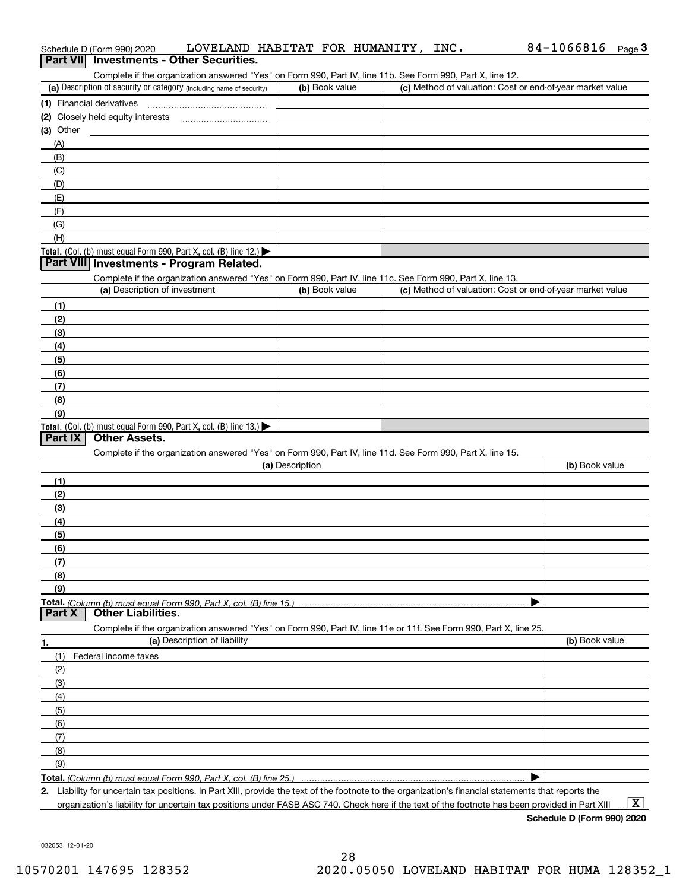|             | Schedule D (Form 990) 2020               | LOVELAND HABITAT FOR HUMANITY, INC.                                                                                                                  |                 |  | $84-1066816$ Page 3                                       |  |
|-------------|------------------------------------------|------------------------------------------------------------------------------------------------------------------------------------------------------|-----------------|--|-----------------------------------------------------------|--|
|             | Part VII Investments - Other Securities. |                                                                                                                                                      |                 |  |                                                           |  |
|             |                                          | Complete if the organization answered "Yes" on Form 990, Part IV, line 11b. See Form 990, Part X, line 12.                                           |                 |  |                                                           |  |
|             |                                          | (a) Description of security or category (including name of security)                                                                                 | (b) Book value  |  | (c) Method of valuation: Cost or end-of-year market value |  |
|             | (1) Financial derivatives                |                                                                                                                                                      |                 |  |                                                           |  |
|             |                                          |                                                                                                                                                      |                 |  |                                                           |  |
| $(3)$ Other |                                          |                                                                                                                                                      |                 |  |                                                           |  |
| (A)         |                                          |                                                                                                                                                      |                 |  |                                                           |  |
| (B)         |                                          |                                                                                                                                                      |                 |  |                                                           |  |
| (C)         |                                          |                                                                                                                                                      |                 |  |                                                           |  |
| (D)         |                                          |                                                                                                                                                      |                 |  |                                                           |  |
| (E)         |                                          |                                                                                                                                                      |                 |  |                                                           |  |
| (F)         |                                          |                                                                                                                                                      |                 |  |                                                           |  |
| (G)         |                                          |                                                                                                                                                      |                 |  |                                                           |  |
| (H)         |                                          |                                                                                                                                                      |                 |  |                                                           |  |
|             |                                          | Total. (Col. (b) must equal Form 990, Part X, col. (B) line 12.)                                                                                     |                 |  |                                                           |  |
|             |                                          | Part VIII Investments - Program Related.                                                                                                             |                 |  |                                                           |  |
|             |                                          |                                                                                                                                                      |                 |  |                                                           |  |
|             | (a) Description of investment            | Complete if the organization answered "Yes" on Form 990, Part IV, line 11c. See Form 990, Part X, line 13.                                           | (b) Book value  |  | (c) Method of valuation: Cost or end-of-year market value |  |
|             |                                          |                                                                                                                                                      |                 |  |                                                           |  |
| (1)         |                                          |                                                                                                                                                      |                 |  |                                                           |  |
| (2)         |                                          |                                                                                                                                                      |                 |  |                                                           |  |
| (3)         |                                          |                                                                                                                                                      |                 |  |                                                           |  |
| (4)         |                                          |                                                                                                                                                      |                 |  |                                                           |  |
| (5)         |                                          |                                                                                                                                                      |                 |  |                                                           |  |
| (6)         |                                          |                                                                                                                                                      |                 |  |                                                           |  |
| (7)         |                                          |                                                                                                                                                      |                 |  |                                                           |  |
| (8)         |                                          |                                                                                                                                                      |                 |  |                                                           |  |
| (9)         |                                          |                                                                                                                                                      |                 |  |                                                           |  |
|             |                                          | Total. (Col. (b) must equal Form 990, Part X, col. (B) line 13.)                                                                                     |                 |  |                                                           |  |
| Part IX     | <b>Other Assets.</b>                     |                                                                                                                                                      |                 |  |                                                           |  |
|             |                                          | Complete if the organization answered "Yes" on Form 990, Part IV, line 11d. See Form 990, Part X, line 15.                                           |                 |  |                                                           |  |
|             |                                          |                                                                                                                                                      | (a) Description |  | (b) Book value                                            |  |
| (1)         |                                          |                                                                                                                                                      |                 |  |                                                           |  |
| (2)         |                                          |                                                                                                                                                      |                 |  |                                                           |  |
| (3)         |                                          |                                                                                                                                                      |                 |  |                                                           |  |
| (4)         |                                          |                                                                                                                                                      |                 |  |                                                           |  |
| (5)         |                                          |                                                                                                                                                      |                 |  |                                                           |  |
| (6)         |                                          |                                                                                                                                                      |                 |  |                                                           |  |
| (7)         |                                          |                                                                                                                                                      |                 |  |                                                           |  |
| (8)         |                                          |                                                                                                                                                      |                 |  |                                                           |  |
| (9)         |                                          |                                                                                                                                                      |                 |  |                                                           |  |
|             |                                          |                                                                                                                                                      |                 |  |                                                           |  |
| Part X      | <b>Other Liabilities.</b>                |                                                                                                                                                      |                 |  |                                                           |  |
|             |                                          | Complete if the organization answered "Yes" on Form 990, Part IV, line 11e or 11f. See Form 990, Part X, line 25.                                    |                 |  |                                                           |  |
| 1.          |                                          | (a) Description of liability                                                                                                                         |                 |  | (b) Book value                                            |  |
| (1)         | Federal income taxes                     |                                                                                                                                                      |                 |  |                                                           |  |
| (2)         |                                          |                                                                                                                                                      |                 |  |                                                           |  |
| (3)         |                                          |                                                                                                                                                      |                 |  |                                                           |  |
| (4)         |                                          |                                                                                                                                                      |                 |  |                                                           |  |
| (5)         |                                          |                                                                                                                                                      |                 |  |                                                           |  |
| (6)         |                                          |                                                                                                                                                      |                 |  |                                                           |  |
| (7)         |                                          |                                                                                                                                                      |                 |  |                                                           |  |
| (8)         |                                          |                                                                                                                                                      |                 |  |                                                           |  |
| (9)         |                                          |                                                                                                                                                      |                 |  |                                                           |  |
|             |                                          |                                                                                                                                                      |                 |  |                                                           |  |
|             |                                          | 2. Liability for uncertain tax positions. In Part XIII, provide the text of the footnote to the organization's financial statements that reports the |                 |  |                                                           |  |

organization's liability for uncertain tax positions under FASB ASC 740. Check here if the text of the footnote has been provided in Part XIII  $\,$  ...  $\overline{\rm X}$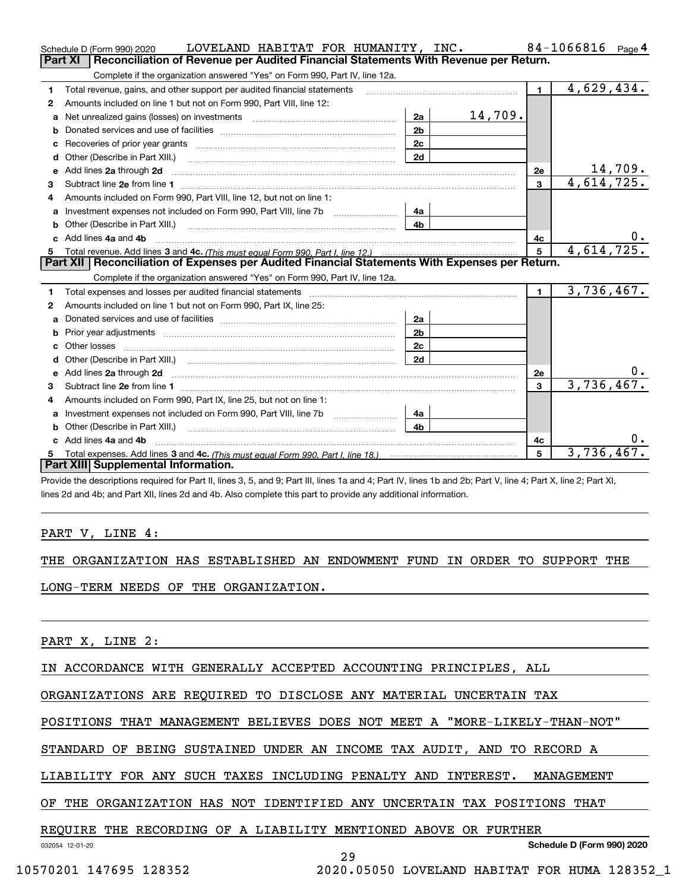|    | LOVELAND HABITAT FOR HUMANITY, INC.<br>Schedule D (Form 990) 2020                                                                                                                                                                   |                |         |                         | $84 - 1066816$ Page 4 |
|----|-------------------------------------------------------------------------------------------------------------------------------------------------------------------------------------------------------------------------------------|----------------|---------|-------------------------|-----------------------|
|    | <b>Part XI</b><br>Reconciliation of Revenue per Audited Financial Statements With Revenue per Return.                                                                                                                               |                |         |                         |                       |
|    | Complete if the organization answered "Yes" on Form 990, Part IV, line 12a.                                                                                                                                                         |                |         |                         |                       |
| 1  | Total revenue, gains, and other support per audited financial statements                                                                                                                                                            |                |         | $\blacksquare$          | 4,629,434.            |
| 2  | Amounts included on line 1 but not on Form 990, Part VIII, line 12:                                                                                                                                                                 |                |         |                         |                       |
| a  | Net unrealized gains (losses) on investments [11] matter contracts and the unrealized gains (losses) on investments                                                                                                                 | 2a             | 14,709. |                         |                       |
|    |                                                                                                                                                                                                                                     | 2 <sub>b</sub> |         |                         |                       |
|    |                                                                                                                                                                                                                                     | 2c             |         |                         |                       |
| d  | Other (Describe in Part XIII.) <b>Construction Contract Construction</b> (Describe in Part XIII.)                                                                                                                                   | 2d             |         |                         |                       |
| e  | Add lines 2a through 2d                                                                                                                                                                                                             |                |         | 2е                      | 14,709.               |
| 3  |                                                                                                                                                                                                                                     |                |         | $\mathbf{3}$            | 4,614,725.            |
| 4  | Amounts included on Form 990. Part VIII. line 12, but not on line 1:                                                                                                                                                                |                |         |                         |                       |
|    | Investment expenses not included on Form 990, Part VIII, line 7b                                                                                                                                                                    | 4a             |         |                         |                       |
|    |                                                                                                                                                                                                                                     | 4b             |         |                         |                       |
| c. | Add lines 4a and 4b                                                                                                                                                                                                                 |                |         | 4c                      | $0 \cdot$             |
|    |                                                                                                                                                                                                                                     |                |         | 5                       | 4,614,725.            |
|    |                                                                                                                                                                                                                                     |                |         |                         |                       |
|    | Part XII   Reconciliation of Expenses per Audited Financial Statements With Expenses per Return.                                                                                                                                    |                |         |                         |                       |
|    | Complete if the organization answered "Yes" on Form 990, Part IV, line 12a.                                                                                                                                                         |                |         |                         |                       |
| 1  | Total expenses and losses per audited financial statements [11,11] [11] Total expenses and losses per audited financial statements [11] [11] Total expenses and losses per audited financial statements                             |                |         | $\blacksquare$          | 3,736,467.            |
| 2  | Amounts included on line 1 but not on Form 990, Part IX, line 25:                                                                                                                                                                   |                |         |                         |                       |
| a  |                                                                                                                                                                                                                                     | 2a             |         |                         |                       |
| b  |                                                                                                                                                                                                                                     | 2 <sub>b</sub> |         |                         |                       |
| C. |                                                                                                                                                                                                                                     | 2c             |         |                         |                       |
|    |                                                                                                                                                                                                                                     | 2d             |         |                         |                       |
| е  | Add lines 2a through 2d <b>contained a contained a contained a contained a</b> contained a contained a contained a contained a contained a contained a contained a contained a contained a contained a contained a contained a cont |                |         | 2e                      | υ.                    |
| 3  |                                                                                                                                                                                                                                     |                |         | $\overline{\mathbf{3}}$ | 3,736,467.            |
| 4  | Amounts included on Form 990, Part IX, line 25, but not on line 1:                                                                                                                                                                  |                |         |                         |                       |
| a  | Investment expenses not included on Form 990, Part VIII, line 7b [                                                                                                                                                                  | 4a             |         |                         |                       |
|    |                                                                                                                                                                                                                                     | 4 <sub>b</sub> |         |                         |                       |
|    | c Add lines 4a and 4b                                                                                                                                                                                                               |                |         | 4с                      |                       |
|    | Part XIII Supplemental Information.                                                                                                                                                                                                 |                |         | 5                       | 3,736,467.            |

Provide the descriptions required for Part II, lines 3, 5, and 9; Part III, lines 1a and 4; Part IV, lines 1b and 2b; Part V, line 4; Part X, line 2; Part XI, lines 2d and 4b; and Part XII, lines 2d and 4b. Also complete this part to provide any additional information.

### PART V, LINE 4:

THE ORGANIZATION HAS ESTABLISHED AN ENDOWMENT FUND IN ORDER TO SUPPORT THE

LONG-TERM NEEDS OF THE ORGANIZATION.

PART X, LINE 2:

IN ACCORDANCE WITH GENERALLY ACCEPTED ACCOUNTING PRINCIPLES, ALL

ORGANIZATIONS ARE REQUIRED TO DISCLOSE ANY MATERIAL UNCERTAIN TAX

POSITIONS THAT MANAGEMENT BELIEVES DOES NOT MEET A "MORE-LIKELY-THAN-NOT"

STANDARD OF BEING SUSTAINED UNDER AN INCOME TAX AUDIT, AND TO RECORD A

LIABILITY FOR ANY SUCH TAXES INCLUDING PENALTY AND INTEREST. MANAGEMENT

OF THE ORGANIZATION HAS NOT IDENTIFIED ANY UNCERTAIN TAX POSITIONS THAT

### REQUIRE THE RECORDING OF A LIABILITY MENTIONED ABOVE OR FURTHER

032054 12-01-20

**Schedule D (Form 990) 2020**

29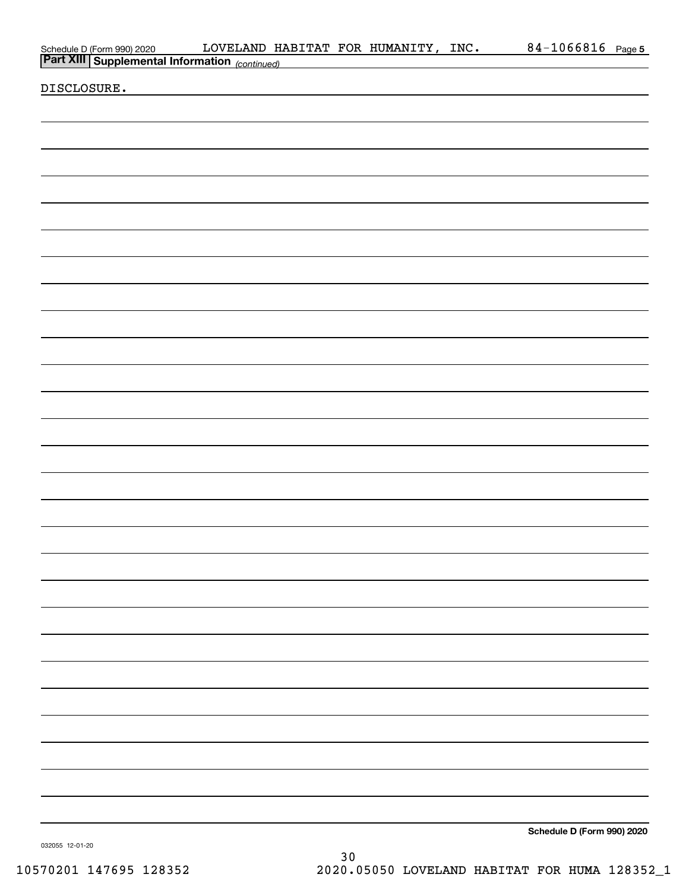| Schedule D (Form 990) 2020 LOVELAND HAND HAND DETERT XIII Supplemental Information (continued) |  | LOVELAND HABITAT FOR HUMANITY, INC. | 84-1066816 Page 5          |  |
|------------------------------------------------------------------------------------------------|--|-------------------------------------|----------------------------|--|
|                                                                                                |  |                                     |                            |  |
| DISCLOSURE.                                                                                    |  |                                     |                            |  |
|                                                                                                |  |                                     |                            |  |
|                                                                                                |  |                                     |                            |  |
|                                                                                                |  |                                     |                            |  |
|                                                                                                |  |                                     |                            |  |
|                                                                                                |  |                                     |                            |  |
|                                                                                                |  |                                     |                            |  |
|                                                                                                |  |                                     |                            |  |
|                                                                                                |  |                                     |                            |  |
|                                                                                                |  |                                     |                            |  |
|                                                                                                |  |                                     |                            |  |
|                                                                                                |  |                                     |                            |  |
|                                                                                                |  |                                     |                            |  |
|                                                                                                |  |                                     |                            |  |
|                                                                                                |  |                                     |                            |  |
|                                                                                                |  |                                     |                            |  |
|                                                                                                |  |                                     |                            |  |
|                                                                                                |  |                                     |                            |  |
|                                                                                                |  |                                     |                            |  |
|                                                                                                |  |                                     |                            |  |
|                                                                                                |  |                                     |                            |  |
|                                                                                                |  |                                     |                            |  |
|                                                                                                |  |                                     |                            |  |
|                                                                                                |  |                                     |                            |  |
|                                                                                                |  |                                     |                            |  |
|                                                                                                |  |                                     |                            |  |
|                                                                                                |  |                                     |                            |  |
|                                                                                                |  |                                     |                            |  |
|                                                                                                |  |                                     |                            |  |
|                                                                                                |  |                                     |                            |  |
|                                                                                                |  |                                     |                            |  |
|                                                                                                |  |                                     |                            |  |
|                                                                                                |  |                                     |                            |  |
|                                                                                                |  |                                     |                            |  |
|                                                                                                |  |                                     |                            |  |
|                                                                                                |  |                                     |                            |  |
|                                                                                                |  |                                     |                            |  |
|                                                                                                |  |                                     |                            |  |
|                                                                                                |  |                                     |                            |  |
|                                                                                                |  |                                     |                            |  |
|                                                                                                |  |                                     |                            |  |
|                                                                                                |  |                                     |                            |  |
|                                                                                                |  |                                     |                            |  |
|                                                                                                |  |                                     |                            |  |
|                                                                                                |  |                                     | Schedule D (Form 990) 2020 |  |

032055 12-01-20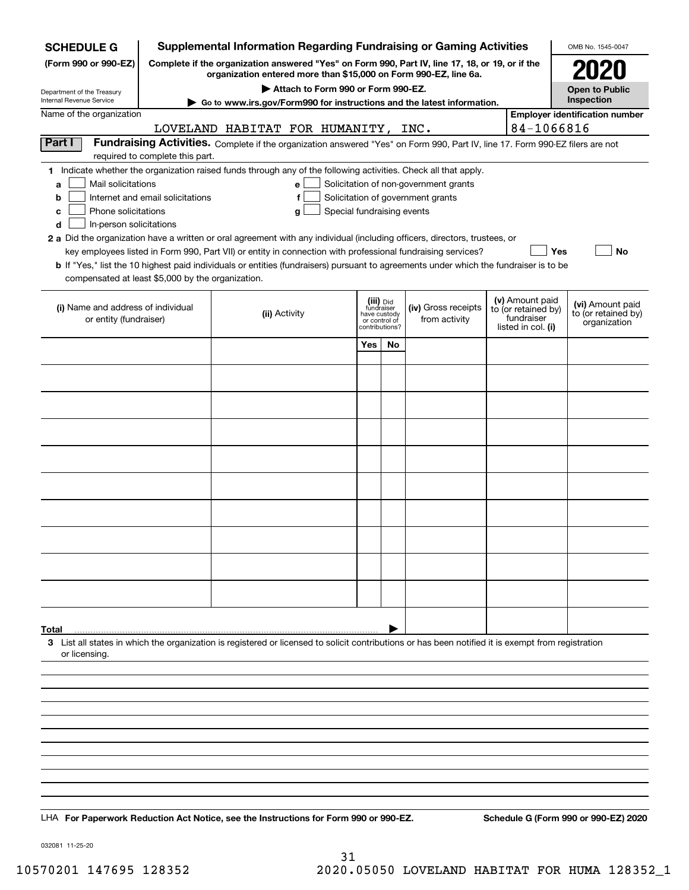| <b>SCHEDULE G</b>                                                                                                                                                   |                                  |                                     |                                             |    | <b>Supplemental Information Regarding Fundraising or Gaming Activities</b>                                                                                          |                                   | OMB No. 1545-0047                       |
|---------------------------------------------------------------------------------------------------------------------------------------------------------------------|----------------------------------|-------------------------------------|---------------------------------------------|----|---------------------------------------------------------------------------------------------------------------------------------------------------------------------|-----------------------------------|-----------------------------------------|
| (Form 990 or 990-EZ)                                                                                                                                                |                                  |                                     |                                             |    | Complete if the organization answered "Yes" on Form 990, Part IV, line 17, 18, or 19, or if the<br>organization entered more than \$15,000 on Form 990-EZ, line 6a. |                                   |                                         |
| Department of the Treasury<br>Internal Revenue Service                                                                                                              |                                  | Attach to Form 990 or Form 990-EZ.  |                                             |    |                                                                                                                                                                     |                                   | <b>Open to Public</b><br>Inspection     |
| Name of the organization                                                                                                                                            |                                  |                                     |                                             |    | ► Go to www.irs.gov/Form990 for instructions and the latest information.                                                                                            |                                   | <b>Employer identification number</b>   |
|                                                                                                                                                                     |                                  | LOVELAND HABITAT FOR HUMANITY, INC. |                                             |    |                                                                                                                                                                     | 84-1066816                        |                                         |
| Part I                                                                                                                                                              |                                  |                                     |                                             |    | Fundraising Activities. Complete if the organization answered "Yes" on Form 990, Part IV, line 17. Form 990-EZ filers are not                                       |                                   |                                         |
| 1 Indicate whether the organization raised funds through any of the following activities. Check all that apply.                                                     | required to complete this part.  |                                     |                                             |    |                                                                                                                                                                     |                                   |                                         |
| Mail solicitations<br>a                                                                                                                                             |                                  | e                                   |                                             |    | Solicitation of non-government grants                                                                                                                               |                                   |                                         |
| b                                                                                                                                                                   | Internet and email solicitations | f                                   |                                             |    | Solicitation of government grants                                                                                                                                   |                                   |                                         |
| Phone solicitations<br>c                                                                                                                                            |                                  | Special fundraising events<br>g     |                                             |    |                                                                                                                                                                     |                                   |                                         |
| In-person solicitations<br>d                                                                                                                                        |                                  |                                     |                                             |    |                                                                                                                                                                     |                                   |                                         |
| 2 a Did the organization have a written or oral agreement with any individual (including officers, directors, trustees, or                                          |                                  |                                     |                                             |    | key employees listed in Form 990, Part VII) or entity in connection with professional fundraising services?                                                         | Yes                               | No                                      |
| <b>b</b> If "Yes," list the 10 highest paid individuals or entities (fundraisers) pursuant to agreements under which the fundraiser is to be                        |                                  |                                     |                                             |    |                                                                                                                                                                     |                                   |                                         |
| compensated at least \$5,000 by the organization.                                                                                                                   |                                  |                                     |                                             |    |                                                                                                                                                                     |                                   |                                         |
|                                                                                                                                                                     |                                  |                                     | (iii) Did                                   |    |                                                                                                                                                                     | (v) Amount paid                   |                                         |
| (i) Name and address of individual<br>or entity (fundraiser)                                                                                                        |                                  | (ii) Activity                       | fundraiser<br>have custody<br>or control of |    | (iv) Gross receipts<br>from activity                                                                                                                                | to (or retained by)<br>fundraiser | (vi) Amount paid<br>to (or retained by) |
|                                                                                                                                                                     |                                  |                                     | contributions?                              |    |                                                                                                                                                                     | listed in col. (i)                | organization                            |
|                                                                                                                                                                     |                                  |                                     | Yes                                         | No |                                                                                                                                                                     |                                   |                                         |
|                                                                                                                                                                     |                                  |                                     |                                             |    |                                                                                                                                                                     |                                   |                                         |
|                                                                                                                                                                     |                                  |                                     |                                             |    |                                                                                                                                                                     |                                   |                                         |
|                                                                                                                                                                     |                                  |                                     |                                             |    |                                                                                                                                                                     |                                   |                                         |
|                                                                                                                                                                     |                                  |                                     |                                             |    |                                                                                                                                                                     |                                   |                                         |
|                                                                                                                                                                     |                                  |                                     |                                             |    |                                                                                                                                                                     |                                   |                                         |
|                                                                                                                                                                     |                                  |                                     |                                             |    |                                                                                                                                                                     |                                   |                                         |
|                                                                                                                                                                     |                                  |                                     |                                             |    |                                                                                                                                                                     |                                   |                                         |
|                                                                                                                                                                     |                                  |                                     |                                             |    |                                                                                                                                                                     |                                   |                                         |
|                                                                                                                                                                     |                                  |                                     |                                             |    |                                                                                                                                                                     |                                   |                                         |
|                                                                                                                                                                     |                                  |                                     |                                             |    |                                                                                                                                                                     |                                   |                                         |
|                                                                                                                                                                     |                                  |                                     |                                             |    |                                                                                                                                                                     |                                   |                                         |
|                                                                                                                                                                     |                                  |                                     |                                             |    |                                                                                                                                                                     |                                   |                                         |
|                                                                                                                                                                     |                                  |                                     |                                             |    |                                                                                                                                                                     |                                   |                                         |
|                                                                                                                                                                     |                                  |                                     |                                             |    |                                                                                                                                                                     |                                   |                                         |
|                                                                                                                                                                     |                                  |                                     |                                             |    |                                                                                                                                                                     |                                   |                                         |
|                                                                                                                                                                     |                                  |                                     |                                             |    |                                                                                                                                                                     |                                   |                                         |
| Total                                                                                                                                                               |                                  |                                     |                                             |    |                                                                                                                                                                     |                                   |                                         |
| 3 List all states in which the organization is registered or licensed to solicit contributions or has been notified it is exempt from registration<br>or licensing. |                                  |                                     |                                             |    |                                                                                                                                                                     |                                   |                                         |
|                                                                                                                                                                     |                                  |                                     |                                             |    |                                                                                                                                                                     |                                   |                                         |
|                                                                                                                                                                     |                                  |                                     |                                             |    |                                                                                                                                                                     |                                   |                                         |
|                                                                                                                                                                     |                                  |                                     |                                             |    |                                                                                                                                                                     |                                   |                                         |
|                                                                                                                                                                     |                                  |                                     |                                             |    |                                                                                                                                                                     |                                   |                                         |
|                                                                                                                                                                     |                                  |                                     |                                             |    |                                                                                                                                                                     |                                   |                                         |
|                                                                                                                                                                     |                                  |                                     |                                             |    |                                                                                                                                                                     |                                   |                                         |
|                                                                                                                                                                     |                                  |                                     |                                             |    |                                                                                                                                                                     |                                   |                                         |
|                                                                                                                                                                     |                                  |                                     |                                             |    |                                                                                                                                                                     |                                   |                                         |
|                                                                                                                                                                     |                                  |                                     |                                             |    |                                                                                                                                                                     |                                   |                                         |
| LHA For Paperwork Reduction Act Notice, see the Instructions for Form 990 or 990-EZ.                                                                                |                                  |                                     |                                             |    |                                                                                                                                                                     |                                   | Schedule G (Form 990 or 990-EZ) 2020    |

032081 11-25-20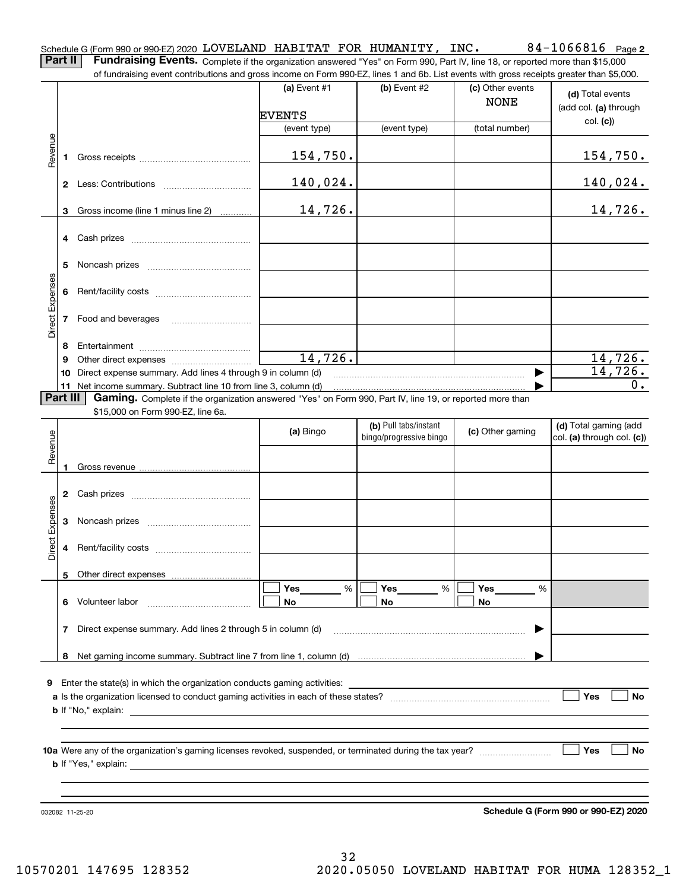**2** Schedule G (Form 990 or 990-EZ) 2020 Page LOVELAND HABITAT FOR HUMANITY, INC. 84-1066816

**Part II** | Fundraising Events. Complete if the organization answered "Yes" on Form 990, Part IV, line 18, or reported more than \$15,000 of fundraising event contributions and gross income on Form 990-EZ, lines 1 and 6b. List events with gross receipts greater than \$5,000.

|                 |    |                                                                                                                                                                                                                                   | ovent continuations and gross income on rionii oco EZ, illico il and cis. Elst events with gross receipto greater than φo;oco. |                                                  |                                 |                                                     |
|-----------------|----|-----------------------------------------------------------------------------------------------------------------------------------------------------------------------------------------------------------------------------------|--------------------------------------------------------------------------------------------------------------------------------|--------------------------------------------------|---------------------------------|-----------------------------------------------------|
|                 |    |                                                                                                                                                                                                                                   | (a) Event $#1$                                                                                                                 | $(b)$ Event #2                                   | (c) Other events<br><b>NONE</b> | (d) Total events<br>(add col. (a) through           |
|                 |    |                                                                                                                                                                                                                                   | <b>EVENTS</b>                                                                                                                  |                                                  |                                 | col. (c)                                            |
|                 |    |                                                                                                                                                                                                                                   | (event type)                                                                                                                   | (event type)                                     | (total number)                  |                                                     |
| Revenue         |    |                                                                                                                                                                                                                                   | 154,750.                                                                                                                       |                                                  |                                 | 154,750.                                            |
|                 |    |                                                                                                                                                                                                                                   | 140,024.                                                                                                                       |                                                  |                                 | 140,024.                                            |
|                 |    | 3 Gross income (line 1 minus line 2)                                                                                                                                                                                              | 14,726.                                                                                                                        |                                                  |                                 | 14,726.                                             |
|                 |    |                                                                                                                                                                                                                                   |                                                                                                                                |                                                  |                                 |                                                     |
|                 | 5  |                                                                                                                                                                                                                                   |                                                                                                                                |                                                  |                                 |                                                     |
| Direct Expenses | 6  |                                                                                                                                                                                                                                   |                                                                                                                                |                                                  |                                 |                                                     |
|                 | 7  | Food and beverages                                                                                                                                                                                                                |                                                                                                                                |                                                  |                                 |                                                     |
|                 | 8  |                                                                                                                                                                                                                                   |                                                                                                                                |                                                  |                                 |                                                     |
|                 | 9  |                                                                                                                                                                                                                                   | 14,726.                                                                                                                        |                                                  |                                 | 14,726.                                             |
|                 |    | 10 Direct expense summary. Add lines 4 through 9 in column (d)                                                                                                                                                                    |                                                                                                                                |                                                  |                                 | 14,726.                                             |
|                 |    |                                                                                                                                                                                                                                   |                                                                                                                                |                                                  |                                 | $\overline{0}$ .                                    |
| Part III        |    | Gaming. Complete if the organization answered "Yes" on Form 990, Part IV, line 19, or reported more than                                                                                                                          |                                                                                                                                |                                                  |                                 |                                                     |
|                 |    | \$15,000 on Form 990-EZ, line 6a.                                                                                                                                                                                                 |                                                                                                                                |                                                  |                                 |                                                     |
| Revenue         |    |                                                                                                                                                                                                                                   | (a) Bingo                                                                                                                      | (b) Pull tabs/instant<br>bingo/progressive bingo | (c) Other gaming                | (d) Total gaming (add<br>col. (a) through col. (c)) |
|                 |    |                                                                                                                                                                                                                                   |                                                                                                                                |                                                  |                                 |                                                     |
|                 |    |                                                                                                                                                                                                                                   |                                                                                                                                |                                                  |                                 |                                                     |
| Direct Expenses | 3  |                                                                                                                                                                                                                                   |                                                                                                                                |                                                  |                                 |                                                     |
|                 | 4  |                                                                                                                                                                                                                                   |                                                                                                                                |                                                  |                                 |                                                     |
|                 |    |                                                                                                                                                                                                                                   |                                                                                                                                |                                                  |                                 |                                                     |
|                 | 6. | Volunteer labor                                                                                                                                                                                                                   | Yes<br>%<br>No                                                                                                                 | Yes<br>%<br>No                                   | Yes<br>%<br>No                  |                                                     |
|                 | 7  | Direct expense summary. Add lines 2 through 5 in column (d)                                                                                                                                                                       |                                                                                                                                |                                                  |                                 |                                                     |
|                 | 8  |                                                                                                                                                                                                                                   |                                                                                                                                |                                                  |                                 |                                                     |
|                 |    | 9 Enter the state(s) in which the organization conducts gaming activities:<br><b>b</b> If "No," explain:<br><u>and the state of the state of the state of the state of the state of the state of the state of the state of th</u> |                                                                                                                                |                                                  |                                 | Yes<br>No                                           |
|                 |    |                                                                                                                                                                                                                                   |                                                                                                                                |                                                  |                                 |                                                     |
|                 |    | <b>b</b> If "Yes," explain:                                                                                                                                                                                                       |                                                                                                                                |                                                  |                                 | Yes<br>No                                           |
|                 |    |                                                                                                                                                                                                                                   |                                                                                                                                |                                                  |                                 |                                                     |

032082 11-25-20

**Schedule G (Form 990 or 990-EZ) 2020**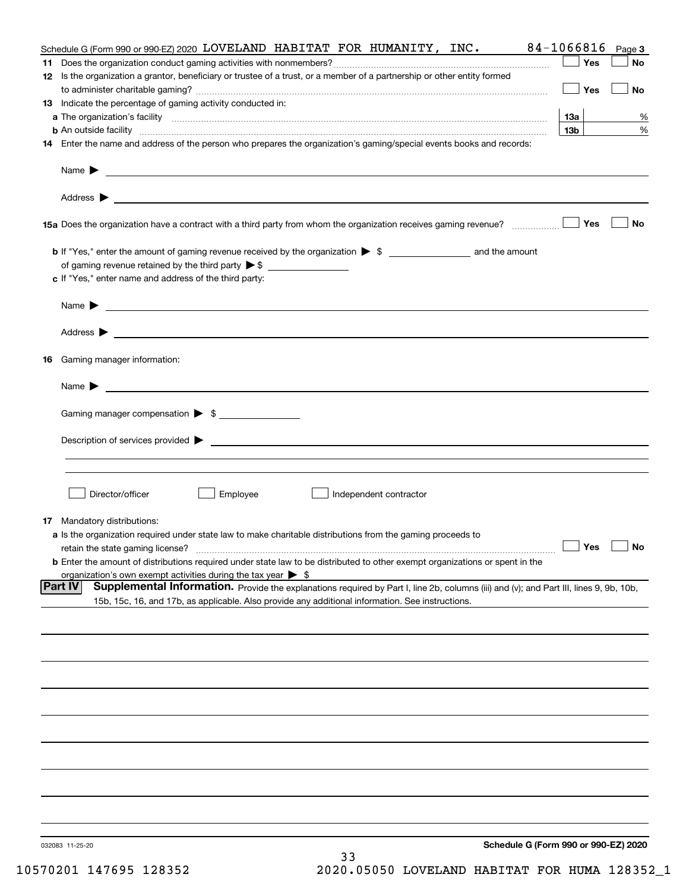| Schedule G (Form 990 or 990-EZ) 2020 LOVELAND HABITAT FOR HUMANITY, INC.                                                                                      | 84-1066816      | Page 3    |
|---------------------------------------------------------------------------------------------------------------------------------------------------------------|-----------------|-----------|
|                                                                                                                                                               | Yes             | No        |
| 12 Is the organization a grantor, beneficiary or trustee of a trust, or a member of a partnership or other entity formed                                      |                 |           |
|                                                                                                                                                               | Yes             | <b>No</b> |
| 13 Indicate the percentage of gaming activity conducted in:                                                                                                   |                 |           |
|                                                                                                                                                               | <u>13a</u>      | %         |
| <b>b</b> An outside facility <i>www.communicality www.communicality.communicality www.communicality www.communicality.communicality www.communicality.com</i> | 13 <sub>b</sub> | %         |
| 14 Enter the name and address of the person who prepares the organization's gaming/special events books and records:                                          |                 |           |
|                                                                                                                                                               |                 |           |
|                                                                                                                                                               |                 |           |
|                                                                                                                                                               |                 |           |
|                                                                                                                                                               |                 |           |
| 15a Does the organization have a contract with a third party from whom the organization receives gaming revenue?                                              | Yes             | No        |
|                                                                                                                                                               |                 |           |
| <b>b</b> If "Yes," enter the amount of gaming revenue received by the organization $\triangleright$ \$ ____________________ and the amount                    |                 |           |
|                                                                                                                                                               |                 |           |
| c If "Yes," enter name and address of the third party:                                                                                                        |                 |           |
|                                                                                                                                                               |                 |           |
| Name $\blacktriangleright$ $\_\_\_\_\_\_\_\_\_\$                                                                                                              |                 |           |
|                                                                                                                                                               |                 |           |
|                                                                                                                                                               |                 |           |
| 16 Gaming manager information:                                                                                                                                |                 |           |
|                                                                                                                                                               |                 |           |
| Name $\blacktriangleright$ $\frac{1}{\sqrt{1-\frac{1}{2}}\left(1-\frac{1}{2}\right)}$                                                                         |                 |           |
|                                                                                                                                                               |                 |           |
| Gaming manager compensation > \$                                                                                                                              |                 |           |
|                                                                                                                                                               |                 |           |
|                                                                                                                                                               |                 |           |
|                                                                                                                                                               |                 |           |
|                                                                                                                                                               |                 |           |
| Director/officer<br>Employee                                                                                                                                  |                 |           |
| Independent contractor                                                                                                                                        |                 |           |
| <b>17</b> Mandatory distributions:                                                                                                                            |                 |           |
| a Is the organization required under state law to make charitable distributions from the gaming proceeds to                                                   |                 |           |
| $\Box$ Yes $\Box$ No<br>retain the state gaming license?                                                                                                      |                 |           |
| <b>b</b> Enter the amount of distributions required under state law to be distributed to other exempt organizations or spent in the                           |                 |           |
| organization's own exempt activities during the tax year $\triangleright$ \$                                                                                  |                 |           |
| <b>Part IV</b><br>Supplemental Information. Provide the explanations required by Part I, line 2b, columns (iii) and (v); and Part III, lines 9, 9b, 10b,      |                 |           |
| 15b, 15c, 16, and 17b, as applicable. Also provide any additional information. See instructions.                                                              |                 |           |
|                                                                                                                                                               |                 |           |
|                                                                                                                                                               |                 |           |
|                                                                                                                                                               |                 |           |
|                                                                                                                                                               |                 |           |
|                                                                                                                                                               |                 |           |
|                                                                                                                                                               |                 |           |
|                                                                                                                                                               |                 |           |
|                                                                                                                                                               |                 |           |
|                                                                                                                                                               |                 |           |
|                                                                                                                                                               |                 |           |
|                                                                                                                                                               |                 |           |
|                                                                                                                                                               |                 |           |
|                                                                                                                                                               |                 |           |
|                                                                                                                                                               |                 |           |
|                                                                                                                                                               |                 |           |
| Schedule G (Form 990 or 990-EZ) 2020<br>032083 11-25-20                                                                                                       |                 |           |
| 33                                                                                                                                                            |                 |           |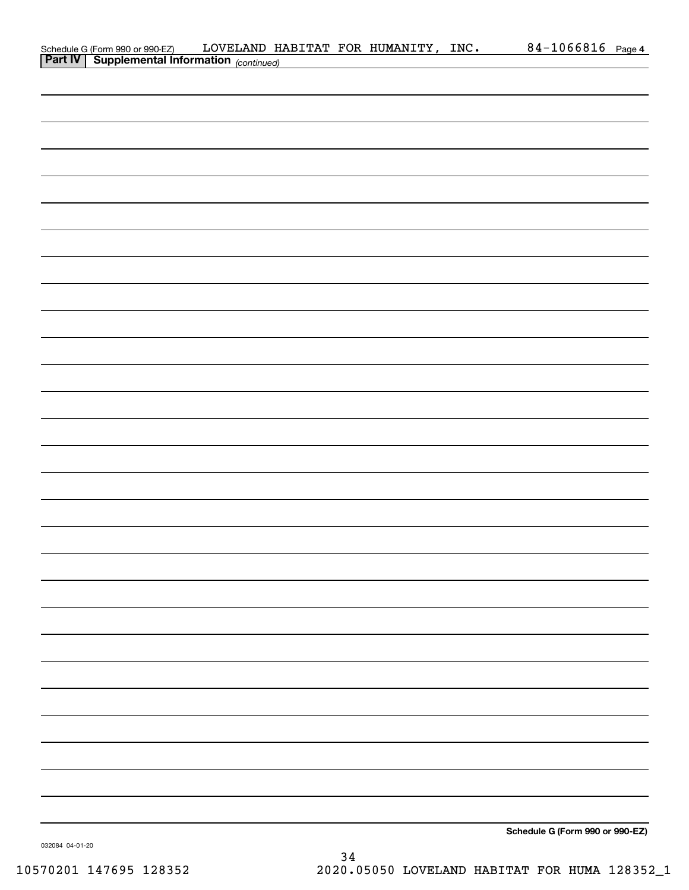| Schedule G (Form 990 or 990-EZ) LOVELAND H.<br>Part IV   Supplemental Information (continued) |  | LOVELAND HABITAT FOR HUMANITY, INC. | 84-1066816 Page 4               |  |
|-----------------------------------------------------------------------------------------------|--|-------------------------------------|---------------------------------|--|
|                                                                                               |  |                                     |                                 |  |
|                                                                                               |  |                                     |                                 |  |
|                                                                                               |  |                                     |                                 |  |
|                                                                                               |  |                                     |                                 |  |
|                                                                                               |  |                                     |                                 |  |
|                                                                                               |  |                                     |                                 |  |
|                                                                                               |  |                                     |                                 |  |
|                                                                                               |  |                                     |                                 |  |
|                                                                                               |  |                                     |                                 |  |
|                                                                                               |  |                                     |                                 |  |
|                                                                                               |  |                                     |                                 |  |
|                                                                                               |  |                                     |                                 |  |
|                                                                                               |  |                                     |                                 |  |
|                                                                                               |  |                                     |                                 |  |
|                                                                                               |  |                                     |                                 |  |
|                                                                                               |  |                                     |                                 |  |
|                                                                                               |  |                                     |                                 |  |
|                                                                                               |  |                                     |                                 |  |
|                                                                                               |  |                                     |                                 |  |
|                                                                                               |  |                                     |                                 |  |
|                                                                                               |  |                                     |                                 |  |
|                                                                                               |  |                                     |                                 |  |
|                                                                                               |  |                                     |                                 |  |
|                                                                                               |  |                                     |                                 |  |
|                                                                                               |  |                                     |                                 |  |
|                                                                                               |  |                                     |                                 |  |
|                                                                                               |  |                                     |                                 |  |
|                                                                                               |  |                                     |                                 |  |
|                                                                                               |  |                                     |                                 |  |
|                                                                                               |  |                                     |                                 |  |
|                                                                                               |  |                                     |                                 |  |
|                                                                                               |  |                                     |                                 |  |
|                                                                                               |  |                                     |                                 |  |
|                                                                                               |  |                                     |                                 |  |
|                                                                                               |  |                                     |                                 |  |
|                                                                                               |  |                                     |                                 |  |
|                                                                                               |  |                                     |                                 |  |
|                                                                                               |  |                                     | Schedule G (Form 990 or 990-EZ) |  |

032084 04-01-20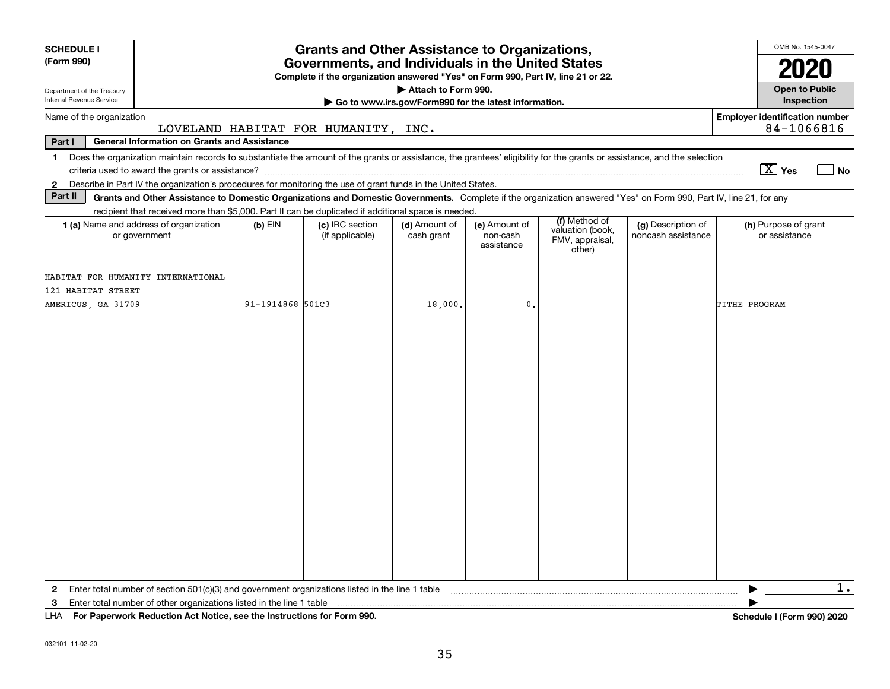| <b>SCHEDULE I</b><br>(Form 990)                                                                                                                                            |                                                     |                  | <b>Grants and Other Assistance to Organizations,</b><br>Governments, and Individuals in the United States<br>Complete if the organization answered "Yes" on Form 990, Part IV, line 21 or 22. |                                                                              |                                         |                                                                |                                          | OMB No. 1545-0047<br>2020                                                                                                                               |
|----------------------------------------------------------------------------------------------------------------------------------------------------------------------------|-----------------------------------------------------|------------------|-----------------------------------------------------------------------------------------------------------------------------------------------------------------------------------------------|------------------------------------------------------------------------------|-----------------------------------------|----------------------------------------------------------------|------------------------------------------|---------------------------------------------------------------------------------------------------------------------------------------------------------|
| Department of the Treasury<br>Internal Revenue Service                                                                                                                     |                                                     |                  |                                                                                                                                                                                               | Attach to Form 990.<br>Go to www.irs.gov/Form990 for the latest information. |                                         |                                                                |                                          | <b>Open to Public</b><br>Inspection                                                                                                                     |
| Name of the organization                                                                                                                                                   |                                                     |                  | LOVELAND HABITAT FOR HUMANITY, INC.                                                                                                                                                           |                                                                              |                                         |                                                                |                                          | <b>Employer identification number</b><br>84-1066816                                                                                                     |
| Part I                                                                                                                                                                     | <b>General Information on Grants and Assistance</b> |                  |                                                                                                                                                                                               |                                                                              |                                         |                                                                |                                          |                                                                                                                                                         |
| 1 Does the organization maintain records to substantiate the amount of the grants or assistance, the grantees' eligibility for the grants or assistance, and the selection |                                                     |                  |                                                                                                                                                                                               |                                                                              |                                         |                                                                |                                          | $\boxed{\text{X}}$ Yes<br>l No                                                                                                                          |
| Describe in Part IV the organization's procedures for monitoring the use of grant funds in the United States.<br>$\mathbf{2}$                                              |                                                     |                  |                                                                                                                                                                                               |                                                                              |                                         |                                                                |                                          |                                                                                                                                                         |
| Part II                                                                                                                                                                    |                                                     |                  | Grants and Other Assistance to Domestic Organizations and Domestic Governments. Complete if the organization answered "Yes" on Form 990, Part IV, line 21, for any                            |                                                                              |                                         |                                                                |                                          |                                                                                                                                                         |
| 1 (a) Name and address of organization<br>or government                                                                                                                    |                                                     | (b) EIN          | recipient that received more than \$5,000. Part II can be duplicated if additional space is needed.<br>(c) IRC section<br>(if applicable)                                                     | (d) Amount of<br>cash grant                                                  | (e) Amount of<br>non-cash<br>assistance | (f) Method of<br>valuation (book,<br>FMV, appraisal,<br>other) | (g) Description of<br>noncash assistance | (h) Purpose of grant<br>or assistance                                                                                                                   |
| HABITAT FOR HUMANITY INTERNATIONAL<br>121 HABITAT STREET<br>AMERICUS, GA 31709                                                                                             |                                                     | 91-1914868 501C3 |                                                                                                                                                                                               | 18,000.                                                                      | 0.                                      |                                                                |                                          | TITHE PROGRAM                                                                                                                                           |
|                                                                                                                                                                            |                                                     |                  |                                                                                                                                                                                               |                                                                              |                                         |                                                                |                                          |                                                                                                                                                         |
|                                                                                                                                                                            |                                                     |                  |                                                                                                                                                                                               |                                                                              |                                         |                                                                |                                          |                                                                                                                                                         |
|                                                                                                                                                                            |                                                     |                  |                                                                                                                                                                                               |                                                                              |                                         |                                                                |                                          |                                                                                                                                                         |
|                                                                                                                                                                            |                                                     |                  |                                                                                                                                                                                               |                                                                              |                                         |                                                                |                                          |                                                                                                                                                         |
|                                                                                                                                                                            |                                                     |                  |                                                                                                                                                                                               |                                                                              |                                         |                                                                |                                          |                                                                                                                                                         |
| 3<br>LIIA FURNISHING LINE ROLL OF A LEADER CONTROL IN THE CHARGE OF THE CONTROL ON A                                                                                       |                                                     |                  |                                                                                                                                                                                               |                                                                              |                                         |                                                                |                                          | $1$ .<br>$\mathbf{A}$ $\mathbf{B}$ $\mathbf{C}$ $\mathbf{D}$ $\mathbf{D}$ $\mathbf{D}$ $\mathbf{D}$ $\mathbf{D}$ $\mathbf{D}$ $\mathbf{D}$ $\mathbf{D}$ |

**For Paperwork Reduction Act Notice, see the Instructions for Form 990. Schedule I (Form 990) 2020** LHA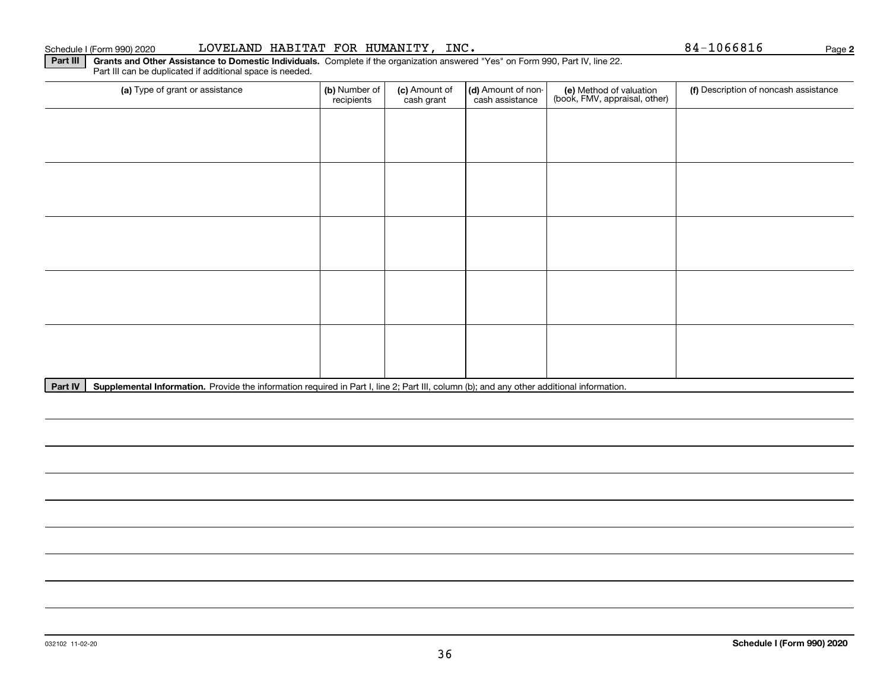Part III can be duplicated if additional space is needed.

| (a) Type of grant or assistance                                                                                                                      | (b) Number of<br>recipients | (c) Amount of<br>cash grant | (d) Amount of non-<br>cash assistance | (e) Method of valuation<br>(book, FMV, appraisal, other) | (f) Description of noncash assistance |
|------------------------------------------------------------------------------------------------------------------------------------------------------|-----------------------------|-----------------------------|---------------------------------------|----------------------------------------------------------|---------------------------------------|
|                                                                                                                                                      |                             |                             |                                       |                                                          |                                       |
|                                                                                                                                                      |                             |                             |                                       |                                                          |                                       |
|                                                                                                                                                      |                             |                             |                                       |                                                          |                                       |
|                                                                                                                                                      |                             |                             |                                       |                                                          |                                       |
|                                                                                                                                                      |                             |                             |                                       |                                                          |                                       |
|                                                                                                                                                      |                             |                             |                                       |                                                          |                                       |
|                                                                                                                                                      |                             |                             |                                       |                                                          |                                       |
|                                                                                                                                                      |                             |                             |                                       |                                                          |                                       |
|                                                                                                                                                      |                             |                             |                                       |                                                          |                                       |
|                                                                                                                                                      |                             |                             |                                       |                                                          |                                       |
| Part IV<br>Supplemental Information. Provide the information required in Part I, line 2; Part III, column (b); and any other additional information. |                             |                             |                                       |                                                          |                                       |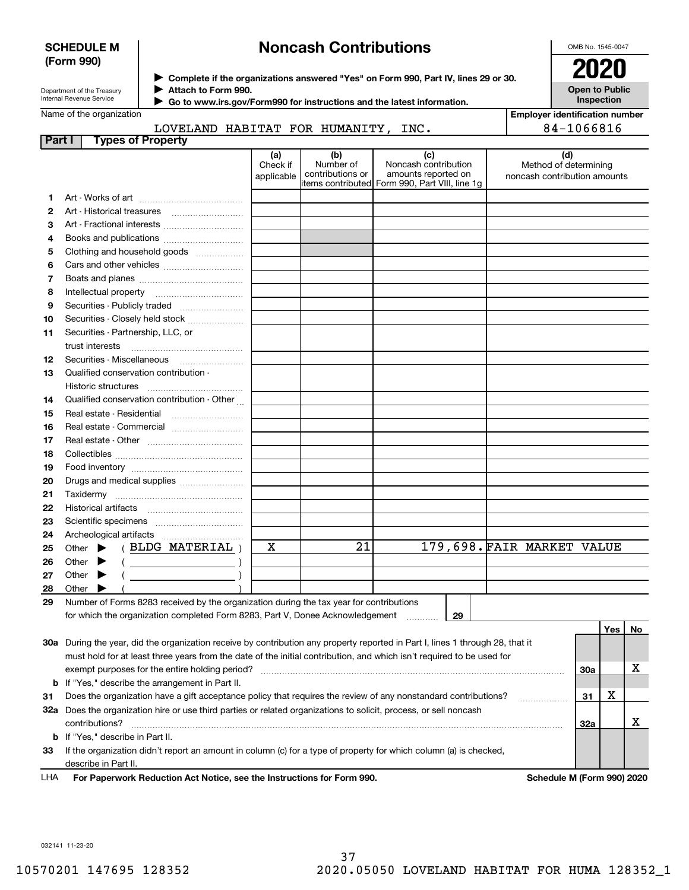### **SCHEDULE M (Form 990)**

# **Noncash Contributions**

OMB No. 1545-0047

**Open to Public**

| Department of the Treasury |
|----------------------------|
| Internal Revenue Service   |

**Complete if the organizations answered "Yes" on Form 990, Part IV, lines 29 or 30.** <sup>J</sup>**2020**

**Attach to Form 990.** J

 **Go to www.irs.gov/Form990 for instructions and the latest information.** J

## Name of the organization

|  | LOVELAND HABITAT FOR HUMANITY, INC. |  |
|--|-------------------------------------|--|

| Inspection                            |
|---------------------------------------|
| <b>Employer identification number</b> |
| 84-1066816                            |

| Part I | <b>Types of Property</b>                                                                                                       |                               |                                      |                                                                                                       |                                                              |     |     |     |
|--------|--------------------------------------------------------------------------------------------------------------------------------|-------------------------------|--------------------------------------|-------------------------------------------------------------------------------------------------------|--------------------------------------------------------------|-----|-----|-----|
|        |                                                                                                                                | (a)<br>Check if<br>applicable | (b)<br>Number of<br>contributions or | (c)<br>Noncash contribution<br>amounts reported on<br>litems contributed Form 990, Part VIII, line 1g | (d)<br>Method of determining<br>noncash contribution amounts |     |     |     |
| 1      |                                                                                                                                |                               |                                      |                                                                                                       |                                                              |     |     |     |
| 2      |                                                                                                                                |                               |                                      |                                                                                                       |                                                              |     |     |     |
| З      | Art - Fractional interests                                                                                                     |                               |                                      |                                                                                                       |                                                              |     |     |     |
| 4      | Books and publications                                                                                                         |                               |                                      |                                                                                                       |                                                              |     |     |     |
| 5      | Clothing and household goods                                                                                                   |                               |                                      |                                                                                                       |                                                              |     |     |     |
| 6      |                                                                                                                                |                               |                                      |                                                                                                       |                                                              |     |     |     |
| 7      |                                                                                                                                |                               |                                      |                                                                                                       |                                                              |     |     |     |
| 8      | Intellectual property                                                                                                          |                               |                                      |                                                                                                       |                                                              |     |     |     |
| 9      | Securities - Publicly traded                                                                                                   |                               |                                      |                                                                                                       |                                                              |     |     |     |
| 10     | Securities - Closely held stock                                                                                                |                               |                                      |                                                                                                       |                                                              |     |     |     |
| 11     | Securities - Partnership, LLC, or                                                                                              |                               |                                      |                                                                                                       |                                                              |     |     |     |
|        | trust interests                                                                                                                |                               |                                      |                                                                                                       |                                                              |     |     |     |
| 12     |                                                                                                                                |                               |                                      |                                                                                                       |                                                              |     |     |     |
| 13     | Qualified conservation contribution -                                                                                          |                               |                                      |                                                                                                       |                                                              |     |     |     |
|        | Historic structures                                                                                                            |                               |                                      |                                                                                                       |                                                              |     |     |     |
| 14     | Qualified conservation contribution - Other                                                                                    |                               |                                      |                                                                                                       |                                                              |     |     |     |
| 15     | Real estate - Residential                                                                                                      |                               |                                      |                                                                                                       |                                                              |     |     |     |
| 16     | Real estate - Commercial                                                                                                       |                               |                                      |                                                                                                       |                                                              |     |     |     |
| 17     |                                                                                                                                |                               |                                      |                                                                                                       |                                                              |     |     |     |
| 18     |                                                                                                                                |                               |                                      |                                                                                                       |                                                              |     |     |     |
| 19     |                                                                                                                                |                               |                                      |                                                                                                       |                                                              |     |     |     |
| 20     | Drugs and medical supplies                                                                                                     |                               |                                      |                                                                                                       |                                                              |     |     |     |
| 21     |                                                                                                                                |                               |                                      |                                                                                                       |                                                              |     |     |     |
| 22     |                                                                                                                                |                               |                                      |                                                                                                       |                                                              |     |     |     |
| 23     |                                                                                                                                |                               |                                      |                                                                                                       |                                                              |     |     |     |
| 24     |                                                                                                                                |                               |                                      |                                                                                                       |                                                              |     |     |     |
| 25     | (BLDG MATERIAL)<br>Other $\blacktriangleright$                                                                                 | х                             | 21                                   |                                                                                                       | 179,698. FAIR MARKET VALUE                                   |     |     |     |
| 26     | Other $\blacktriangleright$<br>$\left(\begin{array}{ccc}\n\end{array}\right)$                                                  |                               |                                      |                                                                                                       |                                                              |     |     |     |
| 27     | Other $\blacktriangleright$<br><u> 1989 - Johann Barbara, martin a</u>                                                         |                               |                                      |                                                                                                       |                                                              |     |     |     |
| 28     | Other                                                                                                                          |                               |                                      |                                                                                                       |                                                              |     |     |     |
| 29     | Number of Forms 8283 received by the organization during the tax year for contributions                                        |                               |                                      |                                                                                                       |                                                              |     |     |     |
|        | for which the organization completed Form 8283, Part V, Donee Acknowledgement                                                  |                               |                                      | 29                                                                                                    |                                                              |     |     |     |
|        |                                                                                                                                |                               |                                      |                                                                                                       |                                                              |     | Yes | No. |
|        | 30a During the year, did the organization receive by contribution any property reported in Part I, lines 1 through 28, that it |                               |                                      |                                                                                                       |                                                              |     |     |     |
|        | must hold for at least three years from the date of the initial contribution, and which isn't required to be used for          |                               |                                      |                                                                                                       |                                                              |     |     |     |
|        | exempt purposes for the entire holding period?                                                                                 |                               |                                      |                                                                                                       |                                                              | 30a |     | х   |
|        | <b>b</b> If "Yes," describe the arrangement in Part II.                                                                        |                               |                                      |                                                                                                       |                                                              |     |     |     |
| 31     | Does the organization have a gift acceptance policy that requires the review of any nonstandard contributions?                 |                               |                                      |                                                                                                       |                                                              | 31  | х   |     |
|        | 32a Does the organization hire or use third parties or related organizations to solicit, process, or sell noncash              |                               |                                      |                                                                                                       |                                                              |     |     |     |
|        | contributions?                                                                                                                 |                               |                                      |                                                                                                       |                                                              | 32a |     | x   |
|        | <b>b</b> If "Yes," describe in Part II.                                                                                        |                               |                                      |                                                                                                       |                                                              |     |     |     |
| 33     | If the organization didn't report an amount in column (c) for a type of property for which column (a) is checked,              |                               |                                      |                                                                                                       |                                                              |     |     |     |

describe in Part II.

**For Paperwork Reduction Act Notice, see the Instructions for Form 990. Schedule M (Form 990) 2020** LHA

032141 11-23-20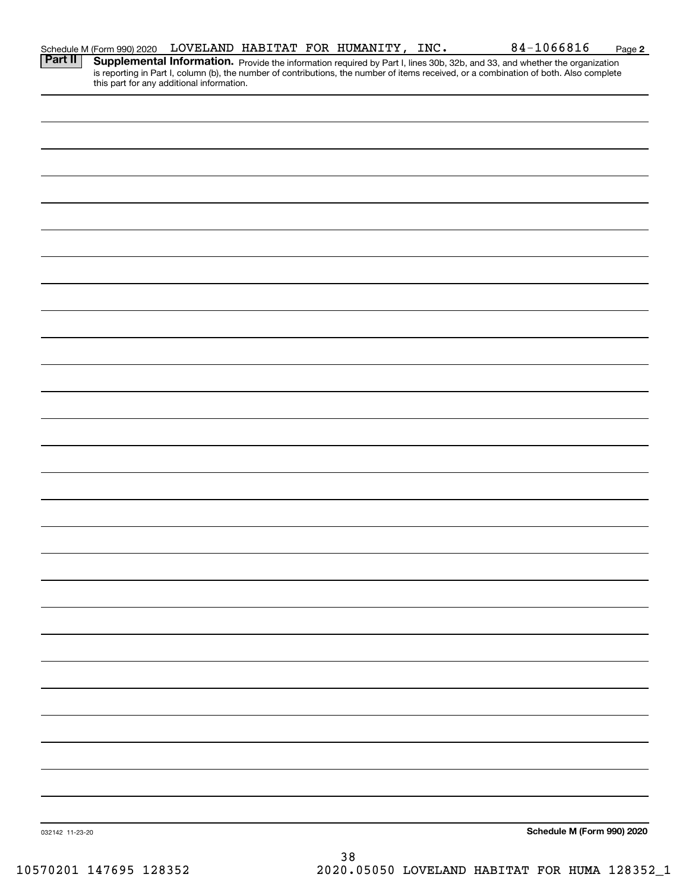|                 | Schedule M (Form 990) 2020                |  | LOVELAND HABITAT FOR HUMANITY, INC. | 84-1066816                                                                                                                                                                                                                          | Page 2 |
|-----------------|-------------------------------------------|--|-------------------------------------|-------------------------------------------------------------------------------------------------------------------------------------------------------------------------------------------------------------------------------------|--------|
| <b>Part II</b>  | this part for any additional information. |  |                                     | <b>Supplemental Information.</b> Provide the information required by Part I, lines 30b, 32b, and 33, and whether the organization is reporting in Part I, column (b), the number of contributions, the number of items received, or |        |
|                 |                                           |  |                                     |                                                                                                                                                                                                                                     |        |
|                 |                                           |  |                                     |                                                                                                                                                                                                                                     |        |
|                 |                                           |  |                                     |                                                                                                                                                                                                                                     |        |
|                 |                                           |  |                                     |                                                                                                                                                                                                                                     |        |
|                 |                                           |  |                                     |                                                                                                                                                                                                                                     |        |
|                 |                                           |  |                                     |                                                                                                                                                                                                                                     |        |
|                 |                                           |  |                                     |                                                                                                                                                                                                                                     |        |
|                 |                                           |  |                                     |                                                                                                                                                                                                                                     |        |
|                 |                                           |  |                                     |                                                                                                                                                                                                                                     |        |
|                 |                                           |  |                                     |                                                                                                                                                                                                                                     |        |
|                 |                                           |  |                                     |                                                                                                                                                                                                                                     |        |
|                 |                                           |  |                                     |                                                                                                                                                                                                                                     |        |
|                 |                                           |  |                                     |                                                                                                                                                                                                                                     |        |
|                 |                                           |  |                                     |                                                                                                                                                                                                                                     |        |
|                 |                                           |  |                                     |                                                                                                                                                                                                                                     |        |
|                 |                                           |  |                                     |                                                                                                                                                                                                                                     |        |
|                 |                                           |  |                                     |                                                                                                                                                                                                                                     |        |
|                 |                                           |  |                                     |                                                                                                                                                                                                                                     |        |
|                 |                                           |  |                                     |                                                                                                                                                                                                                                     |        |
|                 |                                           |  |                                     |                                                                                                                                                                                                                                     |        |
|                 |                                           |  |                                     |                                                                                                                                                                                                                                     |        |
|                 |                                           |  |                                     |                                                                                                                                                                                                                                     |        |
|                 |                                           |  |                                     |                                                                                                                                                                                                                                     |        |
|                 |                                           |  |                                     |                                                                                                                                                                                                                                     |        |
|                 |                                           |  |                                     |                                                                                                                                                                                                                                     |        |
| 032142 11-23-20 |                                           |  |                                     | Schedule M (Form 990) 2020                                                                                                                                                                                                          |        |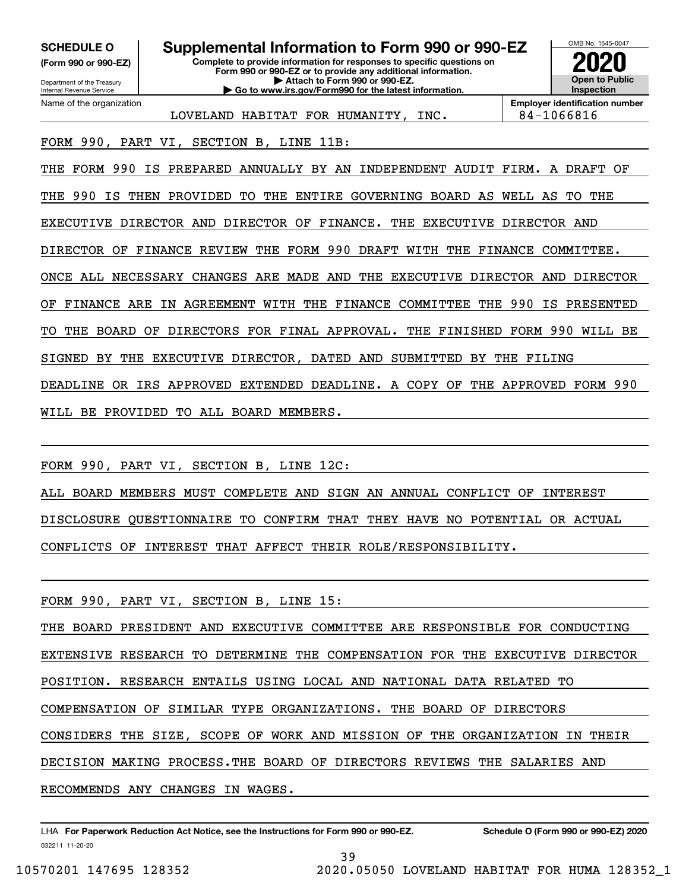**(Form 990 or 990-EZ)**

Department of the Treasury Internal Revenue Service Name of the organization

**Complete to provide information for responses to specific questions on Form 990 or 990-EZ or to provide any additional information. | Attach to Form 990 or 990-EZ. | Go to www.irs.gov/Form990 for the latest information. SCHEDULE O Supplemental Information to Form 990 or 990-EZ**



LOVELAND HABITAT FOR HUMANITY, INC. 84-1066816

FORM 990, PART VI, SECTION B, LINE 11B:

THE FORM 990 IS PREPARED ANNUALLY BY AN INDEPENDENT AUDIT FIRM. A DRAFT OF

THE 990 IS THEN PROVIDED TO THE ENTIRE GOVERNING BOARD AS WELL AS TO THE

EXECUTIVE DIRECTOR AND DIRECTOR OF FINANCE. THE EXECUTIVE DIRECTOR AND

DIRECTOR OF FINANCE REVIEW THE FORM 990 DRAFT WITH THE FINANCE COMMITTEE.

ONCE ALL NECESSARY CHANGES ARE MADE AND THE EXECUTIVE DIRECTOR AND DIRECTOR

OF FINANCE ARE IN AGREEMENT WITH THE FINANCE COMMITTEE THE 990 IS PRESENTED

THE BOARD OF DIRECTORS FOR FINAL APPROVAL. THE FINISHED FORM 990 WILL BE

SIGNED BY THE EXECUTIVE DIRECTOR, DATED AND SUBMITTED BY THE FILING

DEADLINE OR IRS APPROVED EXTENDED DEADLINE. A COPY OF THE APPROVED FORM 990

WILL BE PROVIDED TO ALL BOARD MEMBERS.

FORM 990, PART VI, SECTION B, LINE 12C:

ALL BOARD MEMBERS MUST COMPLETE AND SIGN AN ANNUAL CONFLICT OF INTEREST DISCLOSURE QUESTIONNAIRE TO CONFIRM THAT THEY HAVE NO POTENTIAL OR ACTUAL CONFLICTS OF INTEREST THAT AFFECT THEIR ROLE/RESPONSIBILITY.

FORM 990, PART VI, SECTION B, LINE 15:

THE BOARD PRESIDENT AND EXECUTIVE COMMITTEE ARE RESPONSIBLE FOR CONDUCTING EXTENSIVE RESEARCH TO DETERMINE THE COMPENSATION FOR THE EXECUTIVE DIRECTOR POSITION. RESEARCH ENTAILS USING LOCAL AND NATIONAL DATA RELATED TO COMPENSATION OF SIMILAR TYPE ORGANIZATIONS. THE BOARD OF DIRECTORS CONSIDERS THE SIZE, SCOPE OF WORK AND MISSION OF THE ORGANIZATION IN THEIR DECISION MAKING PROCESS.THE BOARD OF DIRECTORS REVIEWS THE SALARIES AND RECOMMENDS ANY CHANGES IN WAGES.

032211 11-20-20 LHA For Paperwork Reduction Act Notice, see the Instructions for Form 990 or 990-EZ. Schedule O (Form 990 or 990-EZ) 2020